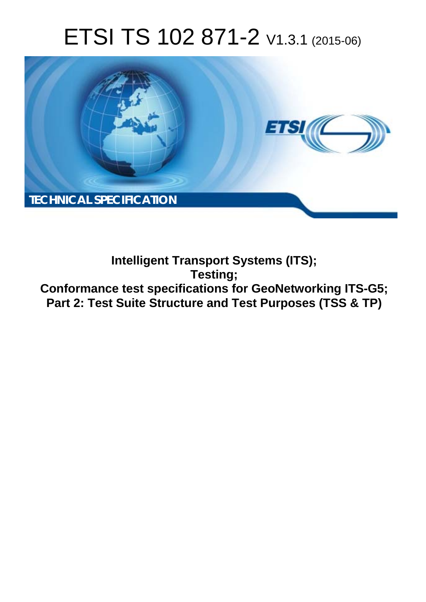# ETSI TS 102 871-2 V1.3.1 (2015-06)



**Intelligent Transport Systems (ITS); Testing; Conformance test specifications for GeoNetworking ITS-G5; Part 2: Test Suite Structure and Test Purposes (TSS & TP)**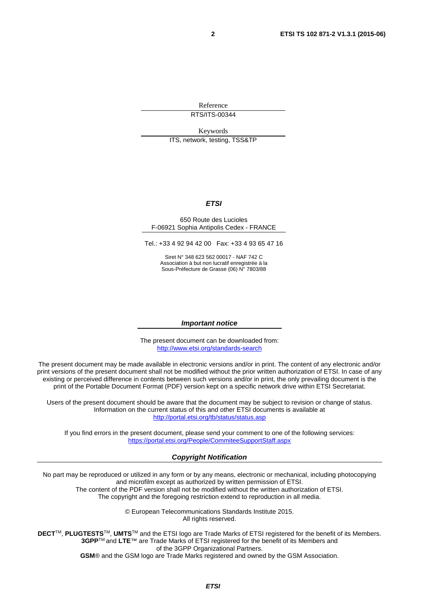Reference RTS/ITS-00344

Keywords

ITS, network, testing, TSS&TP

#### *ETSI*

#### 650 Route des Lucioles F-06921 Sophia Antipolis Cedex - FRANCE

Tel.: +33 4 92 94 42 00 Fax: +33 4 93 65 47 16

Siret N° 348 623 562 00017 - NAF 742 C Association à but non lucratif enregistrée à la Sous-Préfecture de Grasse (06) N° 7803/88

#### *Important notice*

The present document can be downloaded from: <http://www.etsi.org/standards-search>

The present document may be made available in electronic versions and/or in print. The content of any electronic and/or print versions of the present document shall not be modified without the prior written authorization of ETSI. In case of any existing or perceived difference in contents between such versions and/or in print, the only prevailing document is the print of the Portable Document Format (PDF) version kept on a specific network drive within ETSI Secretariat.

Users of the present document should be aware that the document may be subject to revision or change of status. Information on the current status of this and other ETSI documents is available at <http://portal.etsi.org/tb/status/status.asp>

If you find errors in the present document, please send your comment to one of the following services: <https://portal.etsi.org/People/CommiteeSupportStaff.aspx>

#### *Copyright Notification*

No part may be reproduced or utilized in any form or by any means, electronic or mechanical, including photocopying and microfilm except as authorized by written permission of ETSI.

The content of the PDF version shall not be modified without the written authorization of ETSI. The copyright and the foregoing restriction extend to reproduction in all media.

> © European Telecommunications Standards Institute 2015. All rights reserved.

**DECT**TM, **PLUGTESTS**TM, **UMTS**TM and the ETSI logo are Trade Marks of ETSI registered for the benefit of its Members. **3GPP**TM and **LTE**™ are Trade Marks of ETSI registered for the benefit of its Members and of the 3GPP Organizational Partners.

**GSM**® and the GSM logo are Trade Marks registered and owned by the GSM Association.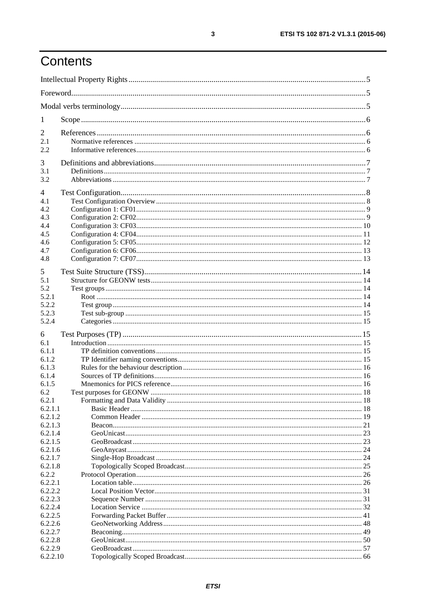# Contents

| 1                                                         |  |  |  |
|-----------------------------------------------------------|--|--|--|
| $\overline{2}$<br>2.1<br>2.2                              |  |  |  |
| 3<br>3.1<br>3.2                                           |  |  |  |
| 4<br>4.1<br>4.2<br>4.3<br>4.4<br>4.5<br>4.6<br>4.7<br>4.8 |  |  |  |
| 5<br>5.1<br>5.2<br>5.2.1<br>5.2.2<br>5.2.3<br>5.2.4       |  |  |  |
| 6<br>6.1<br>6.1.1<br>6.1.2<br>6.1.3                       |  |  |  |
| 6.1.4<br>6.1.5<br>6.2<br>6.2.1                            |  |  |  |
| 6.2.1.1<br>6.2.1.2<br>6.2.1.3<br>6.2.1.4<br>6.2.1.5       |  |  |  |
| 6.2.1.6<br>6.2.1.7<br>6.2.1.8<br>6.2.2                    |  |  |  |
| 6.2.2.1<br>6.2.2.2<br>6.2.2.3<br>6.2.2.4                  |  |  |  |
| 6.2.2.5<br>6.2.2.6<br>6.2.2.7<br>6.2.2.8                  |  |  |  |
| 6.2.2.9<br>6.2.2.10                                       |  |  |  |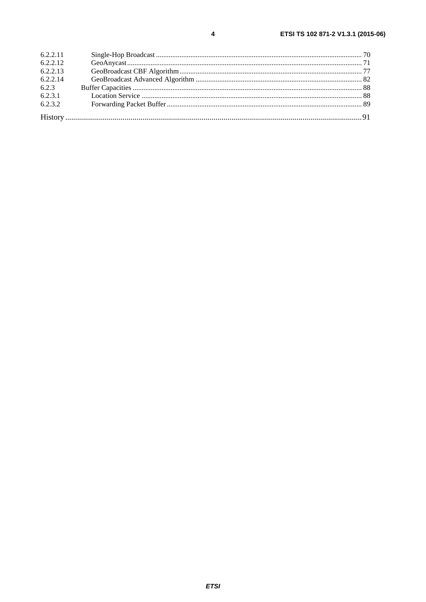| 6.2.2.11 |  |
|----------|--|
| 6.2.2.12 |  |
| 6.2.2.13 |  |
| 6.2.2.14 |  |
| 6.2.3    |  |
| 6.2.3.1  |  |
| 6.2.3.2  |  |
|          |  |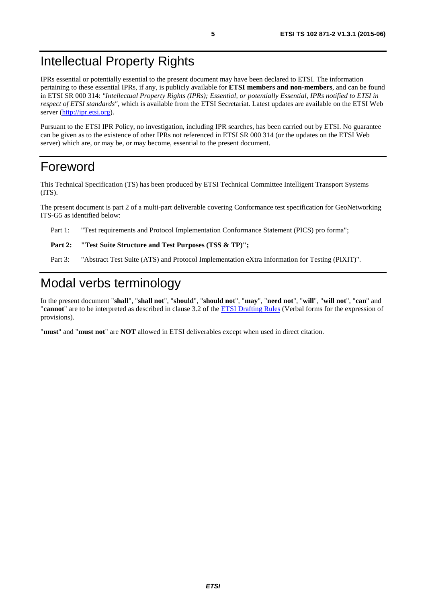# <span id="page-4-0"></span>Intellectual Property Rights

IPRs essential or potentially essential to the present document may have been declared to ETSI. The information pertaining to these essential IPRs, if any, is publicly available for **ETSI members and non-members**, and can be found in ETSI SR 000 314: *"Intellectual Property Rights (IPRs); Essential, or potentially Essential, IPRs notified to ETSI in respect of ETSI standards"*, which is available from the ETSI Secretariat. Latest updates are available on the ETSI Web server [\(http://ipr.etsi.org](http://webapp.etsi.org/IPR/home.asp)).

Pursuant to the ETSI IPR Policy, no investigation, including IPR searches, has been carried out by ETSI. No guarantee can be given as to the existence of other IPRs not referenced in ETSI SR 000 314 (or the updates on the ETSI Web server) which are, or may be, or may become, essential to the present document.

# Foreword

This Technical Specification (TS) has been produced by ETSI Technical Committee Intelligent Transport Systems (ITS).

The present document is part 2 of a multi-part deliverable covering Conformance test specification for GeoNetworking ITS-G5 as identified below:

Part 1: "Test requirements and Protocol Implementation Conformance Statement (PICS) pro forma";

#### Part 2: "Test Suite Structure and Test Purposes (TSS & TP)";

Part 3: "Abstract Test Suite (ATS) and Protocol Implementation eXtra Information for Testing (PIXIT)".

# Modal verbs terminology

In the present document "**shall**", "**shall not**", "**should**", "**should not**", "**may**", "**need not**", "**will**", "**will not**", "**can**" and "**cannot**" are to be interpreted as described in clause 3.2 of the [ETSI Drafting Rules](http://portal.etsi.org/Help/editHelp!/Howtostart/ETSIDraftingRules.aspx) (Verbal forms for the expression of provisions).

"**must**" and "**must not**" are **NOT** allowed in ETSI deliverables except when used in direct citation.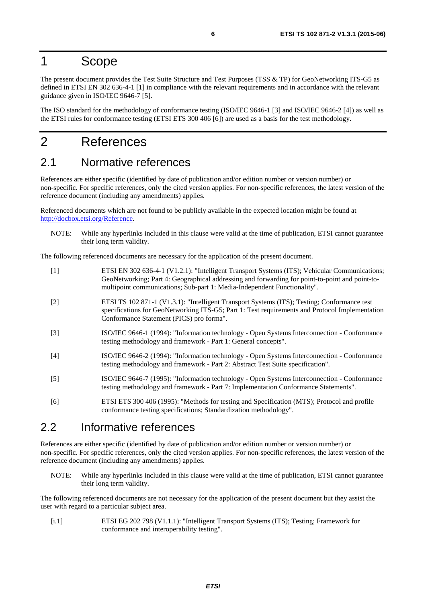### <span id="page-5-0"></span>1 Scope

The present document provides the Test Suite Structure and Test Purposes (TSS & TP) for GeoNetworking ITS-G5 as defined in ETSI EN 302 636-4-1 [1] in compliance with the relevant requirements and in accordance with the relevant guidance given in ISO/IEC 9646-7 [5].

The ISO standard for the methodology of conformance testing (ISO/IEC 9646-1 [3] and ISO/IEC 9646-2 [4]) as well as the ETSI rules for conformance testing (ETSI ETS 300 406 [6]) are used as a basis for the test methodology.

# 2 References

### 2.1 Normative references

References are either specific (identified by date of publication and/or edition number or version number) or non-specific. For specific references, only the cited version applies. For non-specific references, the latest version of the reference document (including any amendments) applies.

Referenced documents which are not found to be publicly available in the expected location might be found at <http://docbox.etsi.org/Reference>.

NOTE: While any hyperlinks included in this clause were valid at the time of publication, ETSI cannot guarantee their long term validity.

The following referenced documents are necessary for the application of the present document.

| $[1]$ | ETSI EN 302 636-4-1 (V1.2.1): "Intelligent Transport Systems (ITS); Vehicular Communications;<br>GeoNetworking; Part 4: Geographical addressing and forwarding for point-to-point and point-to-<br>multipoint communications; Sub-part 1: Media-Independent Functionality". |
|-------|-----------------------------------------------------------------------------------------------------------------------------------------------------------------------------------------------------------------------------------------------------------------------------|
| $[2]$ | ETSI TS 102 871-1 (V1.3.1): "Intelligent Transport Systems (ITS); Testing; Conformance test<br>specifications for GeoNetworking ITS-G5; Part 1: Test requirements and Protocol Implementation<br>Conformance Statement (PICS) pro forma".                                   |
| $[3]$ | ISO/IEC 9646-1 (1994): "Information technology - Open Systems Interconnection - Conformance<br>testing methodology and framework - Part 1: General concepts".                                                                                                               |
| $[4]$ | ISO/IEC 9646-2 (1994): "Information technology - Open Systems Interconnection - Conformance<br>testing methodology and framework - Part 2: Abstract Test Suite specification".                                                                                              |
| $[5]$ | ISO/IEC 9646-7 (1995): "Information technology - Open Systems Interconnection - Conformance<br>testing methodology and framework - Part 7: Implementation Conformance Statements".                                                                                          |
| [6]   | ETSI ETS 300 406 (1995): "Methods for testing and Specification (MTS); Protocol and profile<br>conformance testing specifications; Standardization methodology".                                                                                                            |

### 2.2 Informative references

References are either specific (identified by date of publication and/or edition number or version number) or non-specific. For specific references, only the cited version applies. For non-specific references, the latest version of the reference document (including any amendments) applies.

NOTE: While any hyperlinks included in this clause were valid at the time of publication, ETSI cannot guarantee their long term validity.

The following referenced documents are not necessary for the application of the present document but they assist the user with regard to a particular subject area.

[i.1] ETSI EG 202 798 (V1.1.1): "Intelligent Transport Systems (ITS); Testing; Framework for conformance and interoperability testing".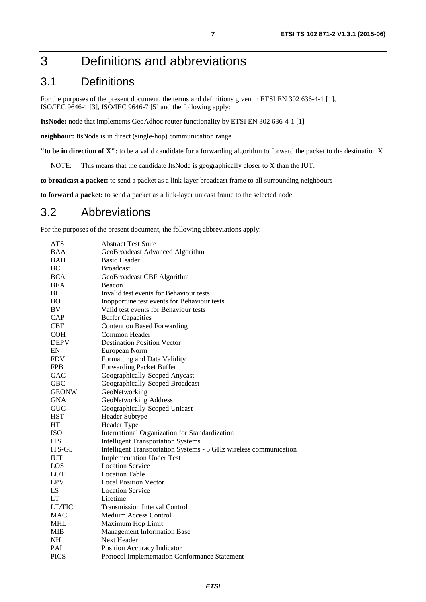# <span id="page-6-0"></span>3 Definitions and abbreviations

# 3.1 Definitions

For the purposes of the present document, the terms and definitions given in ETSI EN 302 636-4-1 [\[1](#page-5-0)], ISO/IEC 9646-1 [\[3](#page-5-0)], ISO/IEC 9646-7 [\[5](#page-5-0)] and the following apply:

**ItsNode:** node that implements GeoAdhoc router functionality by ETSI EN 302 636-4-1 [\[1\]](#page-5-0)

**neighbour:** ItsNode is in direct (single-hop) communication range

**"to be in direction of X":** to be a valid candidate for a forwarding algorithm to forward the packet to the destination X

NOTE: This means that the candidate ItsNode is geographically closer to X than the IUT.

**to broadcast a packet:** to send a packet as a link-layer broadcast frame to all surrounding neighbours

**to forward a packet:** to send a packet as a link-layer unicast frame to the selected node

#### 3.2 Abbreviations

For the purposes of the present document, the following abbreviations apply:

| <b>ATS</b>   | <b>Abstract Test Suite</b>                                        |
|--------------|-------------------------------------------------------------------|
| <b>BAA</b>   | GeoBroadcast Advanced Algorithm                                   |
| <b>BAH</b>   | <b>Basic Header</b>                                               |
| <b>BC</b>    | <b>Broadcast</b>                                                  |
| <b>BCA</b>   | GeoBroadcast CBF Algorithm                                        |
| <b>BEA</b>   | Beacon                                                            |
| ВI           | Invalid test events for Behaviour tests                           |
| <b>BO</b>    | Inopportune test events for Behaviour tests                       |
| BV           | Valid test events for Behaviour tests                             |
| CAP          | <b>Buffer Capacities</b>                                          |
| CBF          | <b>Contention Based Forwarding</b>                                |
| <b>COH</b>   | Common Header                                                     |
| <b>DEPV</b>  | <b>Destination Position Vector</b>                                |
| EN           | European Norm                                                     |
| <b>FDV</b>   | Formatting and Data Validity                                      |
| <b>FPB</b>   | Forwarding Packet Buffer                                          |
| <b>GAC</b>   | Geographically-Scoped Anycast                                     |
| <b>GBC</b>   | Geographically-Scoped Broadcast                                   |
| <b>GEONW</b> | GeoNetworking                                                     |
| <b>GNA</b>   | GeoNetworking Address                                             |
| <b>GUC</b>   | Geographically-Scoped Unicast                                     |
| <b>HST</b>   | <b>Header Subtype</b>                                             |
| HT           | Header Type                                                       |
| <b>ISO</b>   | International Organization for Standardization                    |
| <b>ITS</b>   | <b>Intelligent Transportation Systems</b>                         |
| ITS-G5       | Intelligent Transportation Systems - 5 GHz wireless communication |
| <b>IUT</b>   | <b>Implementation Under Test</b>                                  |
| LOS          | <b>Location Service</b>                                           |
| <b>LOT</b>   | <b>Location Table</b>                                             |
| <b>LPV</b>   | <b>Local Position Vector</b>                                      |
| LS           | <b>Location Service</b>                                           |
| <b>LT</b>    | Lifetime                                                          |
| LT/TIC       | <b>Transmission Interval Control</b>                              |
| MAC          | <b>Medium Access Control</b>                                      |
| MHL          | Maximum Hop Limit                                                 |
| MIB          | <b>Management Information Base</b>                                |
| <b>NH</b>    | Next Header                                                       |
| PAI          | Position Accuracy Indicator                                       |
| <b>PICS</b>  | Protocol Implementation Conformance Statement                     |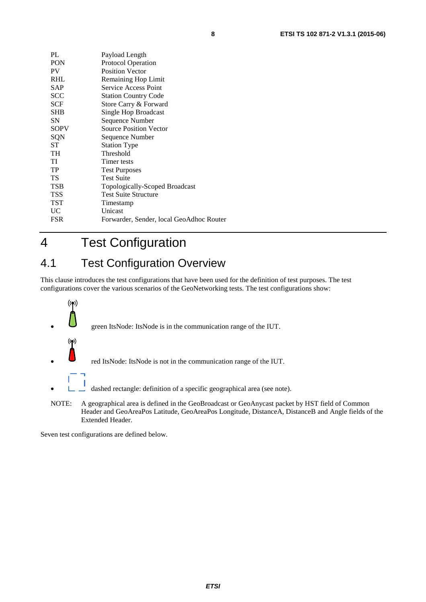<span id="page-7-0"></span>

| PL          | Payload Length                           |
|-------------|------------------------------------------|
| PON         | <b>Protocol Operation</b>                |
| PV          | <b>Position Vector</b>                   |
| RHL         | Remaining Hop Limit                      |
| SAP         | Service Access Point                     |
| SCC         | <b>Station Country Code</b>              |
| <b>SCF</b>  | Store Carry & Forward                    |
| <b>SHB</b>  | Single Hop Broadcast                     |
| SΝ          | Sequence Number                          |
| <b>SOPV</b> | <b>Source Position Vector</b>            |
| SQN         | Sequence Number                          |
| ST          | <b>Station Type</b>                      |
| TH          | Threshold                                |
| TI          | Timer tests                              |
| TP          | <b>Test Purposes</b>                     |
| TS          | <b>Test Suite</b>                        |
| <b>TSB</b>  | Topologically-Scoped Broadcast           |
| <b>TSS</b>  | <b>Test Suite Structure</b>              |
| TST         | Timestamp                                |
| <b>UC</b>   | Unicast                                  |
| <b>FSR</b>  | Forwarder, Sender, local GeoAdhoc Router |
|             |                                          |

4 Test Configuration

# 4.1 Test Configuration Overview

This clause introduces the test configurations that have been used for the definition of test purposes. The test configurations cover the various scenarios of the GeoNetworking tests. The test configurations show:



NOTE: A geographical area is defined in the GeoBroadcast or GeoAnycast packet by HST field of Common Header and GeoAreaPos Latitude, GeoAreaPos Longitude, DistanceA, DistanceB and Angle fields of the Extended Header.

Seven test configurations are defined below.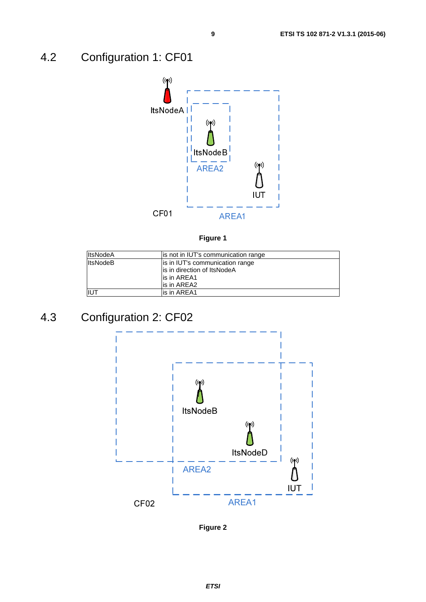# <span id="page-8-0"></span>4.2 Configuration 1: CF01





| <b>ItsNodeA</b> | lis not in IUT's communication range                            |
|-----------------|-----------------------------------------------------------------|
| <b>ItsNodeB</b> | is in IUT's communication range<br>lis in direction of ItsNodeA |
|                 | lis in AREA1                                                    |
|                 | lis in AREA2                                                    |
| <b>IUT</b>      | lis in AREA1                                                    |

# 4.3 Configuration 2: CF02



**Figure 2**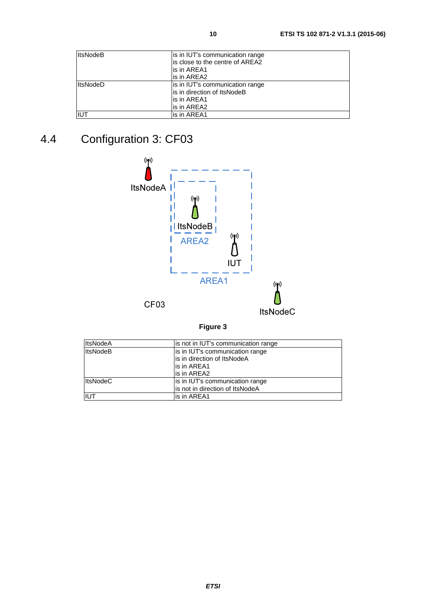<span id="page-9-0"></span>

| <b>ItsNodeB</b> | is in IUT's communication range  |
|-----------------|----------------------------------|
|                 | lis close to the centre of AREA2 |
|                 | is in AREA1                      |
|                 | lis in AREA2                     |
| <b>ItsNodeD</b> | is in IUT's communication range  |
|                 | is in direction of ItsNodeB      |
|                 | is in AREA1                      |
|                 | lis in AREA2                     |
| IIUT            | lis in AREA1                     |

# 4.4 Configuration 3: CF03



| <b>ItsNodeA</b> | is not in IUT's communication range |
|-----------------|-------------------------------------|
| <b>ItsNodeB</b> | is in IUT's communication range     |
|                 | is in direction of ItsNodeA         |
|                 | lis in AREA1                        |
|                 | is in AREA2                         |
| <b>ItsNodeC</b> | is in IUT's communication range     |
|                 | lis not in direction of ItsNodeA    |
| liut            | is in AREA1                         |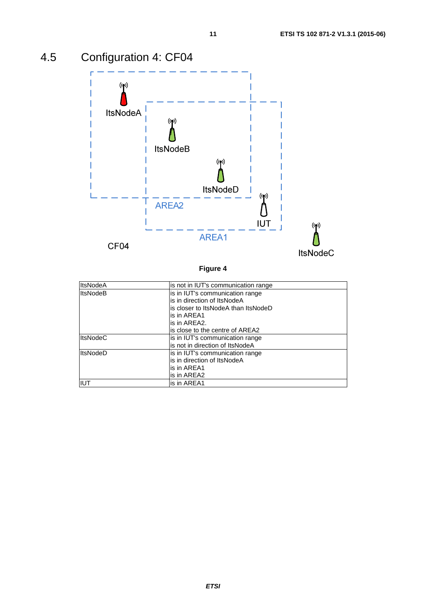<span id="page-10-0"></span>

**Figure 4** 

| <b>ItsNodeA</b> | is not in IUT's communication range |
|-----------------|-------------------------------------|
| <b>ItsNodeB</b> | is in IUT's communication range     |
|                 | is in direction of ItsNodeA         |
|                 | is closer to ItsNodeA than ItsNodeD |
|                 | is in AREA1                         |
|                 | is in AREA2.                        |
|                 | is close to the centre of AREA2     |
| <b>ItsNodeC</b> | is in IUT's communication range     |
|                 | is not in direction of ItsNodeA     |
| <b>ItsNodeD</b> | is in IUT's communication range     |
|                 | is in direction of ItsNodeA         |
|                 | is in AREA1                         |
|                 | is in AREA2                         |
| IIUT            | is in AREA1                         |

#### *ETSI*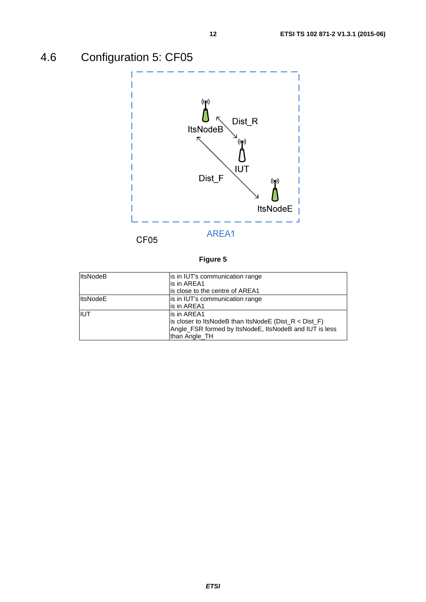# <span id="page-11-0"></span>4.6 Configuration 5: CF05



#### **Figure 5**

| <b>ItsNodeB</b> | is in IUT's communication range                           |
|-----------------|-----------------------------------------------------------|
|                 | is in AREA1                                               |
|                 | is close to the centre of AREA1                           |
| <b>ItsNodeE</b> | is in IUT's communication range                           |
|                 | lis in AREA1                                              |
| <b>IIUT</b>     | is in AREA1                                               |
|                 | is closer to ItsNodeB than ItsNodeE ( $Dist_R < Dist_F$ ) |
|                 | Angle_FSR formed by ItsNodeE, ItsNodeB and IUT is less    |
|                 | than Angle TH                                             |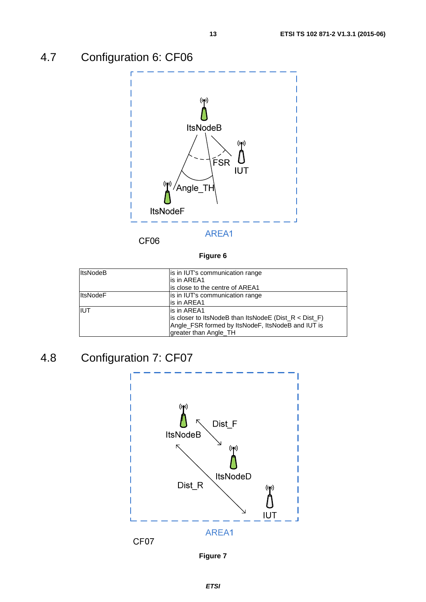# <span id="page-12-0"></span>4.7 Configuration 6: CF06



CF06

#### **Figure 6**

| <b>ItsNodeB</b> | is in IUT's communication range                           |
|-----------------|-----------------------------------------------------------|
|                 | is in AREA1                                               |
|                 | is close to the centre of AREA1                           |
| <b>ItsNodeF</b> | is in IUT's communication range                           |
|                 | lis in AREA1                                              |
| <b>IIUT</b>     | is in AREA1                                               |
|                 | is closer to ItsNodeB than ItsNodeE ( $Dist_R < Dist_F$ ) |
|                 | Angle_FSR formed by ItsNodeF, ItsNodeB and IUT is         |
|                 | greater than Angle_TH                                     |

# 4.8 Configuration 7: CF07



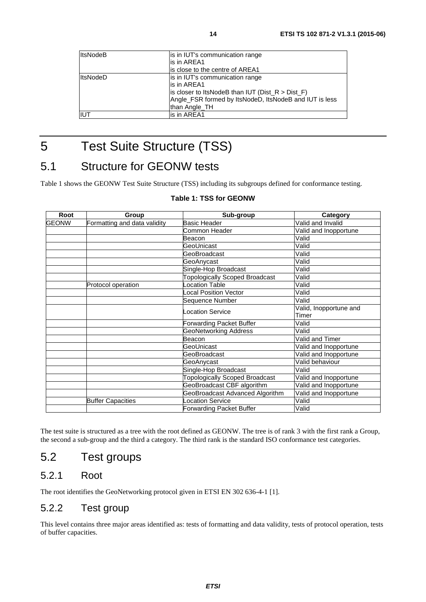<span id="page-13-0"></span>

| <b>ItsNodeB</b> | is in IUT's communication range                        |
|-----------------|--------------------------------------------------------|
|                 | is in AREA1                                            |
|                 | lis close to the centre of AREA1                       |
| <b>ItsNodeD</b> | is in IUT's communication range                        |
|                 | lis in AREA1                                           |
|                 | is closer to ItsNodeB than IUT ( $Dist_R > Dist_F$ )   |
|                 | Angle_FSR formed by ItsNodeD, ItsNodeB and IUT is less |
|                 | than Angle TH                                          |
| <b>IUT</b>      | lis in AREA1                                           |
|                 |                                                        |

# 5 Test Suite Structure (TSS)

# 5.1 Structure for GEONW tests

Table 1 shows the GEONW Test Suite Structure (TSS) including its subgroups defined for conformance testing.

| Root         | Group                        | Sub-group                             | Category               |
|--------------|------------------------------|---------------------------------------|------------------------|
| <b>GEONW</b> | Formatting and data validity | <b>Basic Header</b>                   | Valid and Invalid      |
|              |                              | Common Header                         | Valid and Inopportune  |
|              |                              | Beacon                                | Valid                  |
|              |                              | GeoUnicast                            | Valid                  |
|              |                              | GeoBroadcast                          | Valid                  |
|              |                              | GeoAnycast                            | Valid                  |
|              |                              | Single-Hop Broadcast                  | Valid                  |
|              |                              | <b>Topologically Scoped Broadcast</b> | Valid                  |
|              | Protocol operation           | ocation Table                         | Valid                  |
|              |                              | Local Position Vector                 | Valid                  |
|              |                              | Sequence Number                       | Valid                  |
|              |                              | Location Service                      | Valid, Inopportune and |
|              |                              |                                       | Timer                  |
|              |                              | Forwarding Packet Buffer              | Valid                  |
|              |                              | <b>GeoNetworking Address</b>          | Valid                  |
|              |                              | Beacon                                | Valid and Timer        |
|              |                              | GeoUnicast                            | Valid and Inopportune  |
|              |                              | GeoBroadcast                          | Valid and Inopportune  |
|              |                              | GeoAnycast                            | Valid behaviour        |
|              |                              | Single-Hop Broadcast                  | Valid                  |
|              |                              | Topologically Scoped Broadcast        | Valid and Inopportune  |
|              |                              | GeoBroadcast CBF algorithm            | Valid and Inopportune  |
|              |                              | GeoBroadcast Advanced Algorithm       | Valid and Inopportune  |
|              | <b>Buffer Capacities</b>     | Location Service                      | Valid                  |
|              |                              | Forwarding Packet Buffer              | Valid                  |

#### **Table 1: TSS for GEONW**

The test suite is structured as a tree with the root defined as GEONW. The tree is of rank 3 with the first rank a Group, the second a sub-group and the third a category. The third rank is the standard ISO conformance test categories.

### 5.2 Test groups

#### 5.2.1 Root

The root identifies the GeoNetworking protocol given in ETSI EN 302 636-4-1 [\[1](#page-5-0)].

#### 5.2.2 Test group

This level contains three major areas identified as: tests of formatting and data validity, tests of protocol operation, tests of buffer capacities.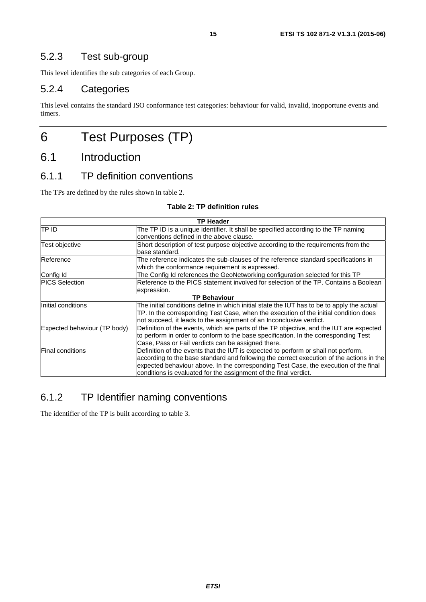<span id="page-14-0"></span>This level identifies the sub categories of each Group.

#### 5.2.4 Categories

This level contains the standard ISO conformance test categories: behaviour for valid, invalid, inopportune events and timers.

# 6 Test Purposes (TP)

# 6.1 Introduction

#### 6.1.1 TP definition conventions

The TPs are defined by the rules shown in table 2.

#### **Table 2: TP definition rules**

| <b>TP Header</b>             |                                                                                                                                                                                                                                                                                                                                            |  |
|------------------------------|--------------------------------------------------------------------------------------------------------------------------------------------------------------------------------------------------------------------------------------------------------------------------------------------------------------------------------------------|--|
| TP ID                        | The TP ID is a unique identifier. It shall be specified according to the TP naming                                                                                                                                                                                                                                                         |  |
|                              | conventions defined in the above clause.                                                                                                                                                                                                                                                                                                   |  |
| Test objective               | Short description of test purpose objective according to the requirements from the<br>base standard.                                                                                                                                                                                                                                       |  |
| Reference                    | The reference indicates the sub-clauses of the reference standard specifications in<br>which the conformance requirement is expressed.                                                                                                                                                                                                     |  |
| Config Id                    | The Config Id references the GeoNetworking configuration selected for this TP                                                                                                                                                                                                                                                              |  |
| <b>PICS Selection</b>        | Reference to the PICS statement involved for selection of the TP. Contains a Boolean<br>expression.                                                                                                                                                                                                                                        |  |
|                              | <b>TP Behaviour</b>                                                                                                                                                                                                                                                                                                                        |  |
| Initial conditions           | The initial conditions define in which initial state the IUT has to be to apply the actual                                                                                                                                                                                                                                                 |  |
|                              | TP. In the corresponding Test Case, when the execution of the initial condition does<br>not succeed, it leads to the assignment of an Inconclusive verdict.                                                                                                                                                                                |  |
| Expected behaviour (TP body) | Definition of the events, which are parts of the TP objective, and the IUT are expected                                                                                                                                                                                                                                                    |  |
|                              | to perform in order to conform to the base specification. In the corresponding Test                                                                                                                                                                                                                                                        |  |
|                              | Case, Pass or Fail verdicts can be assigned there.                                                                                                                                                                                                                                                                                         |  |
| <b>Final conditions</b>      | Definition of the events that the IUT is expected to perform or shall not perform,<br>according to the base standard and following the correct execution of the actions in the<br>expected behaviour above. In the corresponding Test Case, the execution of the final<br>conditions is evaluated for the assignment of the final verdict. |  |

### 6.1.2 TP Identifier naming conventions

The identifier of the TP is built according to table 3.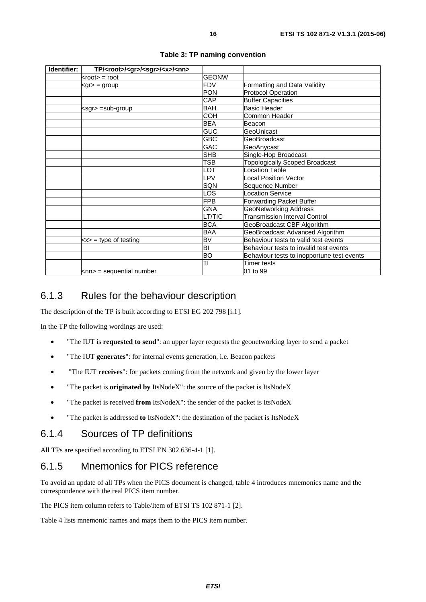<span id="page-15-0"></span>

| Identifier: | TP/ <root>/<gr>/<sgr>/<x>/<nn></nn></x></sgr></gr></root> |                         |                                            |
|-------------|-----------------------------------------------------------|-------------------------|--------------------------------------------|
|             | $<$ root $>$ = root                                       | <b>GEONW</b>            |                                            |
|             | <gr> = group</gr>                                         | $\overline{\text{FDV}}$ | Formatting and Data Validity               |
|             |                                                           | PON                     | <b>Protocol Operation</b>                  |
|             |                                                           | <b>CAP</b>              | <b>Buffer Capacities</b>                   |
|             | <sgr> =sub-group</sgr>                                    | <b>BAH</b>              | Basic Header                               |
|             |                                                           | <b>COH</b>              | Common Header                              |
|             |                                                           | <b>BEA</b>              | Beacon                                     |
|             |                                                           | GUC                     | GeoUnicast                                 |
|             |                                                           | <b>GBC</b>              | GeoBroadcast                               |
|             |                                                           | <b>GAC</b>              | GeoAnycast                                 |
|             |                                                           | <b>SHB</b>              | Single-Hop Broadcast                       |
|             |                                                           | TSB                     | <b>Topologically Scoped Broadcast</b>      |
|             |                                                           | .OT                     | ocation Table                              |
|             |                                                           | _PV                     | ocal Position Vector                       |
|             |                                                           | SQN                     | Sequence Number                            |
|             |                                                           | _OS                     | ocation Service                            |
|             |                                                           | FPB                     | <b>Forwarding Packet Buffer</b>            |
|             |                                                           | <b>GNA</b>              | <b>GeoNetworking Address</b>               |
|             |                                                           | LT/TIC                  | <b>Transmission Interval Control</b>       |
|             |                                                           | <b>BCA</b>              | GeoBroadcast CBF Algorithm                 |
|             |                                                           | <b>BAA</b>              | GeoBroadcast Advanced Algorithm            |
|             | $\langle x \rangle$ = type of testing                     | <b>BV</b>               | Behaviour tests to valid test events       |
|             |                                                           | Ы                       | Behaviour tests to invalid test events     |
|             |                                                           | Ю                       | Behaviour tests to inopportune test events |
|             |                                                           | TΙ                      | <b>Timer</b> tests                         |
|             | $\textsf{knn}$ = sequential number                        |                         | 01 to 99                                   |

#### **Table 3: TP naming convention**

#### 6.1.3 Rules for the behaviour description

The description of the TP is built according to ETSI EG 202 798 [\[i.1](#page-5-0)].

In the TP the following wordings are used:

- "The IUT is **requested to send**": an upper layer requests the geonetworking layer to send a packet
- "The IUT **generates**": for internal events generation, i.e. Beacon packets
- "The IUT **receives**": for packets coming from the network and given by the lower layer
- "The packet is **originated by** ItsNodeX": the source of the packet is ItsNodeX
- "The packet is received **from** ItsNodeX": the sender of the packet is ItsNodeX
- "The packet is addressed **to** ItsNodeX": the destination of the packet is ItsNodeX

#### 6.1.4 Sources of TP definitions

All TPs are specified according to ETSI EN 302 636-4-1 [\[1](#page-5-0)].

### 6.1.5 Mnemonics for PICS reference

To avoid an update of all TPs when the PICS document is changed, table 4 introduces mnemonics name and the correspondence with the real PICS item number.

The PICS item column refers to Table/Item of ETSI TS 102 871-1 [\[2](#page-5-0)].

Table 4 lists mnemonic names and maps them to the PICS item number.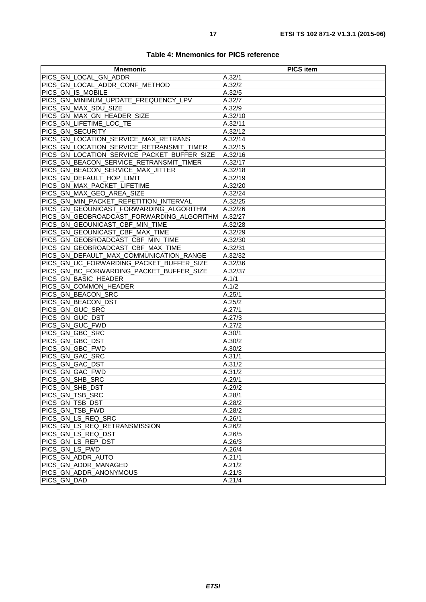| Table 4: Mnemonics for PICS reference |
|---------------------------------------|
|---------------------------------------|

| <b>Mnemonic</b>                                | <b>PICS item</b> |
|------------------------------------------------|------------------|
| PICS GN LOCAL GN ADDR                          | A.32/1           |
| PICS GN_LOCAL_ADDR_CONF_METHOD                 | A.32/2           |
| PICS GN IS MOBILE                              | A.32/5           |
| PICS_GN_MINIMUM_UPDATE_FREQUENCY_LPV           | A.32/7           |
| PICS_GN_MAX_SDU_SIZE                           | A.32/9           |
| PICS GN MAX GN HEADER SIZE                     | A.32/10          |
| PICS GN_LIFETIME_LOC_TE                        | A.32/11          |
| PICS GN SECURITY                               | A.32/12          |
| PICS_GN_LOCATION_SERVICE_MAX_RETRANS           | A.32/14          |
| PICS GN LOCATION SERVICE RETRANSMIT TIMER      | A.32/15          |
| PICS_GN_LOCATION_SERVICE_PACKET_BUFFER_SIZE    | A.32/16          |
| PICS GN BEACON SERVICE RETRANSMIT TIMER        | A.32/17          |
| PICS_GN_BEACON_SERVICE_MAX_JITTER              | A.32/18          |
| PICS_GN_DEFAULT_HOP_LIMIT                      | A.32/19          |
| PICS_GN_MAX_PACKET_LIFETIME                    | A.32/20          |
| PICS GN MAX GEO AREA SIZE                      | A.32/24          |
| PICS_GN_MIN_PACKET_REPETITION_INTERVAL         | A.32/25          |
| PICS GN GEOUNICAST FORWARDING ALGORITHM        | A.32/26          |
| PICS_GN_GEOBROADCAST_FORWARDING_ALGORITHM      | A.32/27          |
| PICS GN GEOUNICAST CBF MIN TIME                | A.32/28          |
| PICS_GN_GEOUNICAST_CBF_MAX_TIME                | A.32/29          |
| PICS_GN_GEOBROADCAST_CBF_MIN_TIME              | A.32/30          |
| PICS_GN_GEOBROADCAST_CBF_MAX_TIME              | A.32/31          |
| PICS GN_DEFAULT_MAX_COMMUNICATION_RANGE        | A.32/32          |
| PICS_GN_UC_FORWARDING_PACKET_BUFFER_SIZE       | A.32/36          |
| PICS GN BC FORWARDING PACKET BUFFER SIZE       | A.32/37          |
| PICS GN BASIC HEADER                           | A.1/1            |
| PICS_GN_COMMON_HEADER                          | A.1/2            |
| PICS GN BEACON SRC                             | A.25/1           |
| PICS_GN_BEACON_DST                             | A.25/2           |
| PICS_GN_GUC_SRC                                | A.27/1           |
| PICS_GN_GUC_DST                                | A.27/3           |
| PICS_GN_GUC_FWD                                | A.27/2           |
| PICS GN GBC SRC                                | A.30/1           |
| PICS_GN_GBC_DST                                | A.30/2           |
| PICS GN GBC FWD                                | A.30/2           |
| PICS_GN_GAC_SRC                                | A.31/1           |
| PICS GN GAC DST                                | A.31/2           |
| PICS GN GAC_FWD                                | A.31/2           |
| PICS_GN_SHB_SRC                                | A.29/1           |
| PICS_GN_SHB_DST                                | A.29/2           |
| PICS_GN_TSB_SRC                                | A.28/1           |
| PICS_GN_TSB_DST                                | A.28/2           |
| PICS GN TSB FWD                                | A.28/2           |
| PICS GN LS REQ SRC                             | A.26/1           |
| PICS_GN_LS_REQ_RETRANSMISSION                  | A.26/2           |
| PICS GN LS REQ DST                             | A.26/5           |
| PICS_GN_LS_REP_DST                             | A.26/3           |
| PICS_GN_LS_FWD                                 | A.26/4           |
| PICS GN ADDR AUTO                              | A.21/1           |
| PICS_GN_ADDR_MANAGED<br>PICS GN ADDR ANONYMOUS | A.21/2           |
| PICS GN DAD                                    | A.21/3<br>A.21/4 |
|                                                |                  |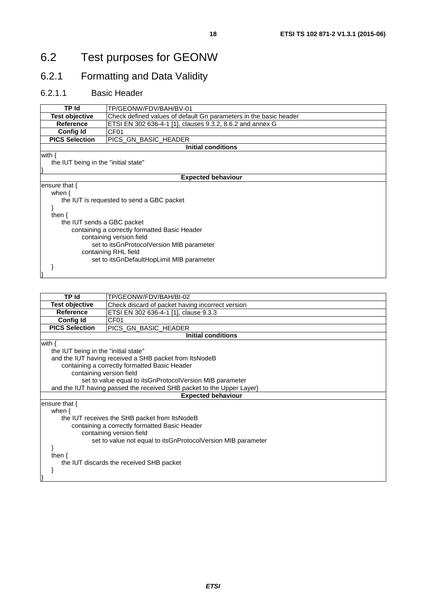# <span id="page-17-0"></span>6.2 Test purposes for GEONW

# 6.2.1 Formatting and Data Validity

#### 6.2.1.1 Basic Header

| TP Id                                     | TP/GEONW/FDV/BAH/BV-01                                            |
|-------------------------------------------|-------------------------------------------------------------------|
| <b>Test objective</b>                     | Check defined values of default Gn parameters in the basic header |
| <b>Reference</b>                          | ETSI EN 302 636-4-1 [1], clauses 9.3.2, 8.6.2 and annex G         |
| Config Id                                 | CF <sub>01</sub>                                                  |
| <b>PICS Selection</b>                     | PICS GN BASIC HEADER                                              |
|                                           | <b>Initial conditions</b>                                         |
| with $\{$                                 |                                                                   |
| the IUT being in the "initial state"      |                                                                   |
|                                           |                                                                   |
|                                           | <b>Expected behaviour</b>                                         |
| ensure that $\{$                          |                                                                   |
| when $\{$                                 |                                                                   |
| the IUT is requested to send a GBC packet |                                                                   |
|                                           |                                                                   |
| then $\{$                                 |                                                                   |
| the IUT sends a GBC packet                |                                                                   |
|                                           | containing a correctly formatted Basic Header                     |
| containing version field                  |                                                                   |
| set to itsGnProtocolVersion MIB parameter |                                                                   |
| containing RHL field                      |                                                                   |
|                                           | set to itsGnDefaultHopLimit MIB parameter                         |
|                                           |                                                                   |
|                                           |                                                                   |

| <b>TP</b> Id                                                   | TP/GEONW/FDV/BAH/BI-02                                                |  |
|----------------------------------------------------------------|-----------------------------------------------------------------------|--|
| <b>Test objective</b>                                          | Check discard of packet having incorrect version                      |  |
| <b>Reference</b>                                               | ETSI EN 302 636-4-1 [1], clause 9.3.3                                 |  |
| <b>Config Id</b>                                               | CF01                                                                  |  |
| <b>PICS Selection</b>                                          | PICS_GN_BASIC_HEADER                                                  |  |
|                                                                | <b>Initial conditions</b>                                             |  |
| with $\{$                                                      |                                                                       |  |
| the IUT being in the "initial state"                           |                                                                       |  |
|                                                                | and the IUT having received a SHB packet from ItsNodeB                |  |
|                                                                | containing a correctly formatted Basic Header                         |  |
| containing version field                                       |                                                                       |  |
|                                                                | set to value equal to itsGnProtocolVersion MIB parameter              |  |
|                                                                | and the IUT having passed the received SHB packet to the Upper Layer} |  |
|                                                                | <b>Expected behaviour</b>                                             |  |
| ensure that $\{$                                               |                                                                       |  |
| when $\{$                                                      |                                                                       |  |
|                                                                | the IUT receives the SHB packet from ItsNodeB                         |  |
|                                                                | containing a correctly formatted Basic Header                         |  |
| containing version field                                       |                                                                       |  |
| set to value not equal to its GnProtocol Version MIB parameter |                                                                       |  |
|                                                                |                                                                       |  |
| then $\{$                                                      |                                                                       |  |
|                                                                | the IUT discards the received SHB packet                              |  |
|                                                                |                                                                       |  |
|                                                                |                                                                       |  |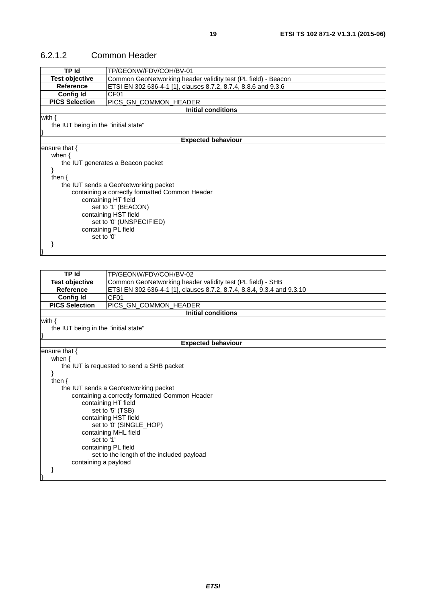| TP Id                                                                                                                                                                                                                                                                                                              | TP/GEONW/FDV/COH/BV-01                                                 |  |
|--------------------------------------------------------------------------------------------------------------------------------------------------------------------------------------------------------------------------------------------------------------------------------------------------------------------|------------------------------------------------------------------------|--|
| <b>Test objective</b>                                                                                                                                                                                                                                                                                              | Common GeoNetworking header validity test (PL field) - Beacon          |  |
| <b>Reference</b>                                                                                                                                                                                                                                                                                                   | ETSI EN 302 636-4-1 [1], clauses 8.7.2, 8.7.4, 8.8.6 and 9.3.6         |  |
| Config Id                                                                                                                                                                                                                                                                                                          | CF <sub>01</sub>                                                       |  |
| <b>PICS Selection</b>                                                                                                                                                                                                                                                                                              | PICS_GN_COMMON_HEADER                                                  |  |
|                                                                                                                                                                                                                                                                                                                    | <b>Initial conditions</b>                                              |  |
| with $\{$<br>the IUT being in the "initial state"                                                                                                                                                                                                                                                                  |                                                                        |  |
|                                                                                                                                                                                                                                                                                                                    | <b>Expected behaviour</b>                                              |  |
| ensure that {<br>when $\{$<br>the IUT generates a Beacon packet<br>ł<br>then $\{$<br>the IUT sends a GeoNetworking packet<br>containing a correctly formatted Common Header<br>containing HT field<br>set to '1' (BEACON)<br>containing HST field<br>set to '0' (UNSPECIFIED)<br>containing PL field<br>set to '0' |                                                                        |  |
|                                                                                                                                                                                                                                                                                                                    |                                                                        |  |
| <b>TP</b> Id                                                                                                                                                                                                                                                                                                       | TP/GEONW/FDV/COH/BV-02                                                 |  |
| <b>Test objective</b>                                                                                                                                                                                                                                                                                              | Common GeoNetworking header validity test (PL field) - SHB             |  |
| <b>Reference</b>                                                                                                                                                                                                                                                                                                   | ETSI EN 302 636-4-1 [1], clauses 8.7.2, 8.7.4, 8.8.4, 9.3.4 and 9.3.10 |  |
| <b>Config Id</b>                                                                                                                                                                                                                                                                                                   | CF01                                                                   |  |
| <b>PICS Selection</b>                                                                                                                                                                                                                                                                                              | PICS_GN_COMMON_HEADER                                                  |  |
| <b>Initial conditions</b>                                                                                                                                                                                                                                                                                          |                                                                        |  |
| with $\{$<br>the IUT being in the "initial state"                                                                                                                                                                                                                                                                  |                                                                        |  |
| <b>Expected behaviour</b>                                                                                                                                                                                                                                                                                          |                                                                        |  |

#### <span id="page-18-0"></span>6.2.1.2 Common Header

| <b>Expected behavio</b>                        |
|------------------------------------------------|
| ensure that $\{$                               |
| when $\{$                                      |
| the IUT is requested to send a SHB packet      |
|                                                |
| then $\{$                                      |
| the IUT sends a GeoNetworking packet           |
| containing a correctly formatted Common Header |
| containing HT field                            |
| set to '5' (TSB)                               |
| containing HST field                           |
| set to '0' (SINGLE HOP)                        |
| containing MHL field                           |
| set to '1'                                     |
| containing PL field                            |
| set to the length of the included payload      |
| containing a payload                           |
|                                                |
|                                                |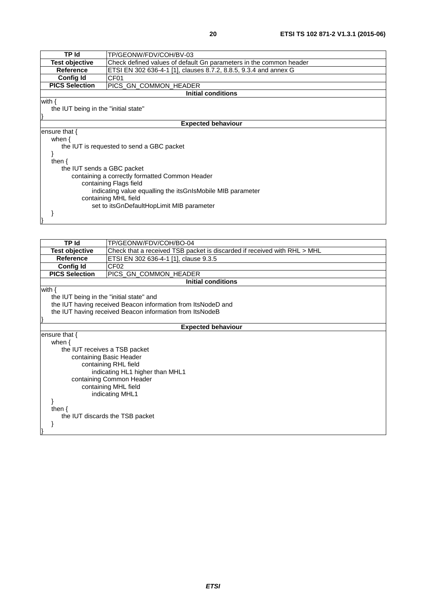| TP Id                                                        | TP/GEONW/FDV/COH/BV-03                                             |  |
|--------------------------------------------------------------|--------------------------------------------------------------------|--|
| <b>Test objective</b>                                        | Check defined values of default Gn parameters in the common header |  |
| <b>Reference</b>                                             | ETSI EN 302 636-4-1 [1], clauses 8.7.2, 8.8.5, 9.3.4 and annex G   |  |
| <b>Config Id</b>                                             | CF <sub>01</sub>                                                   |  |
| <b>PICS Selection</b>                                        | PICS GN_COMMON_HEADER                                              |  |
|                                                              | <b>Initial conditions</b>                                          |  |
| with $\{$                                                    |                                                                    |  |
| the IUT being in the "initial state"                         |                                                                    |  |
|                                                              |                                                                    |  |
|                                                              | <b>Expected behaviour</b>                                          |  |
| ensure that $\{$                                             |                                                                    |  |
| when $\{$                                                    |                                                                    |  |
|                                                              | the IUT is requested to send a GBC packet                          |  |
|                                                              |                                                                    |  |
| then $\{$                                                    |                                                                    |  |
| the IUT sends a GBC packet                                   |                                                                    |  |
|                                                              | containing a correctly formatted Common Header                     |  |
| containing Flags field                                       |                                                                    |  |
| indicating value equalling the its GnIs Mobile MIB parameter |                                                                    |  |
| containing MHL field                                         |                                                                    |  |
|                                                              | set to itsGnDefaultHopLimit MIB parameter                          |  |
|                                                              |                                                                    |  |
|                                                              |                                                                    |  |

| <b>TP Id</b>                             | TP/GEONW/FDV/COH/BO-04                                                   |  |  |
|------------------------------------------|--------------------------------------------------------------------------|--|--|
| <b>Test objective</b>                    | Check that a received TSB packet is discarded if received with RHL > MHL |  |  |
| <b>Reference</b>                         | ETSI EN 302 636-4-1 [1], clause 9.3.5                                    |  |  |
| <b>Config Id</b>                         | CF <sub>02</sub>                                                         |  |  |
| <b>PICS Selection</b>                    | PICS_GN_COMMON_HEADER                                                    |  |  |
|                                          | <b>Initial conditions</b>                                                |  |  |
| with $\{$                                |                                                                          |  |  |
| the IUT being in the "initial state" and |                                                                          |  |  |
|                                          | the IUT having received Beacon information from ItsNodeD and             |  |  |
|                                          | the IUT having received Beacon information from ItsNodeB                 |  |  |
|                                          |                                                                          |  |  |
|                                          | <b>Expected behaviour</b>                                                |  |  |
| ensure that $\{$                         |                                                                          |  |  |
|                                          | when $\{$                                                                |  |  |
|                                          | the IUT receives a TSB packet                                            |  |  |
|                                          | containing Basic Header                                                  |  |  |
|                                          | containing RHL field                                                     |  |  |
| indicating HL1 higher than MHL1          |                                                                          |  |  |
|                                          | containing Common Header                                                 |  |  |
| containing MHL field                     |                                                                          |  |  |
|                                          | indicating MHL1                                                          |  |  |
|                                          |                                                                          |  |  |
| then $\{$                                |                                                                          |  |  |
|                                          | the IUT discards the TSB packet                                          |  |  |
|                                          |                                                                          |  |  |
|                                          |                                                                          |  |  |
|                                          |                                                                          |  |  |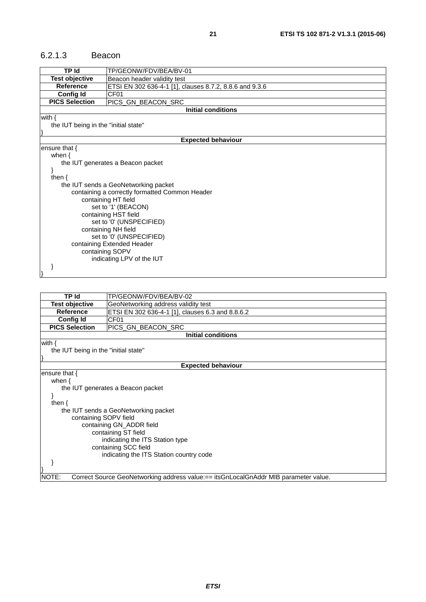#### <span id="page-20-0"></span>6.2.1.3 Beacon

| <b>TP Id</b>                                  | TP/GEONW/FDV/BEA/BV-01                                  |  |
|-----------------------------------------------|---------------------------------------------------------|--|
| <b>Test objective</b>                         | Beacon header validity test                             |  |
| <b>Reference</b>                              | ETSI EN 302 636-4-1 [1], clauses 8.7.2, 8.8.6 and 9.3.6 |  |
| <b>Config Id</b>                              | CF <sub>01</sub>                                        |  |
| <b>PICS Selection</b>                         | PICS_GN_BEACON_SRC                                      |  |
|                                               | <b>Initial conditions</b>                               |  |
| with $\{$                                     |                                                         |  |
| the IUT being in the "initial state"          |                                                         |  |
|                                               |                                                         |  |
|                                               | <b>Expected behaviour</b>                               |  |
| ensure that {                                 |                                                         |  |
| when $\{$                                     |                                                         |  |
|                                               | the IUT generates a Beacon packet                       |  |
|                                               |                                                         |  |
| then $\{$                                     |                                                         |  |
|                                               | the IUT sends a GeoNetworking packet                    |  |
|                                               | containing a correctly formatted Common Header          |  |
|                                               | containing HT field                                     |  |
|                                               | set to '1' (BEACON)                                     |  |
|                                               | containing HST field                                    |  |
|                                               | set to '0' (UNSPECIFIED)                                |  |
| containing NH field                           |                                                         |  |
| set to '0' (UNSPECIFIED)                      |                                                         |  |
| containing Extended Header<br>containing SOPV |                                                         |  |
|                                               | indicating LPV of the IUT                               |  |
|                                               |                                                         |  |
|                                               |                                                         |  |
|                                               |                                                         |  |

| TP Id                                             | TP/GEONW/FDV/BEA/BV-02                                                              |  |
|---------------------------------------------------|-------------------------------------------------------------------------------------|--|
| Test objective                                    | GeoNetworking address validity test                                                 |  |
| Reference                                         | ETSI EN 302 636-4-1 [1], clauses 6.3 and 8.8.6.2                                    |  |
| <b>Config Id</b>                                  | CF01                                                                                |  |
| <b>PICS Selection</b>                             | PICS GN_BEACON_SRC                                                                  |  |
|                                                   | <b>Initial conditions</b>                                                           |  |
| with $\{$<br>the IUT being in the "initial state" |                                                                                     |  |
|                                                   | <b>Expected behaviour</b>                                                           |  |
| ensure that $\{$                                  |                                                                                     |  |
| when $\{$                                         |                                                                                     |  |
|                                                   | the IUT generates a Beacon packet                                                   |  |
| ł                                                 |                                                                                     |  |
| then $\{$                                         |                                                                                     |  |
|                                                   | the IUT sends a GeoNetworking packet                                                |  |
| containing SOPV field                             |                                                                                     |  |
| containing GN_ADDR field                          |                                                                                     |  |
|                                                   | containing ST field                                                                 |  |
| indicating the ITS Station type                   |                                                                                     |  |
| containing SCC field                              |                                                                                     |  |
| indicating the ITS Station country code           |                                                                                     |  |
|                                                   |                                                                                     |  |
|                                                   |                                                                                     |  |
| NOTE:                                             | Correct Source GeoNetworking address value:== itsGnLocalGnAddr MIB parameter value. |  |

*ETSI*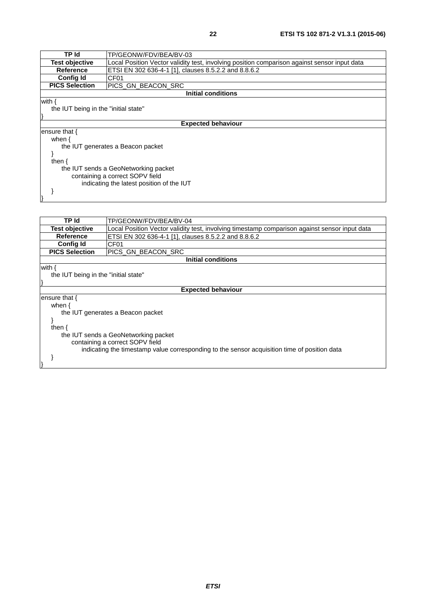| TP Id                 | TP/GEONW/FDV/BEA/BV-03                                                                       |
|-----------------------|----------------------------------------------------------------------------------------------|
| <b>Test objective</b> | Local Position Vector validity test, involving position comparison against sensor input data |
| <b>Reference</b>      | ETSI EN 302 636-4-1 [1], clauses 8.5.2.2 and 8.8.6.2                                         |
| <b>Config Id</b>      | CF <sub>01</sub>                                                                             |
| <b>PICS Selection</b> | PICS_GN_BEACON_SRC                                                                           |
|                       | <b>Initial conditions</b>                                                                    |
|                       | <b>Expected behaviour</b>                                                                    |
| ensure that $\{$      |                                                                                              |
| when $\{$             |                                                                                              |
|                       | the IUT generates a Beacon packet                                                            |
|                       |                                                                                              |
| then $\{$             |                                                                                              |
|                       | the IUT sends a GeoNetworking packet<br>containing a correct SOPV field                      |
|                       | indicating the latest position of the IUT                                                    |

 } }

| TP Id                                                                                        | TP/GEONW/FDV/BEA/BV-04                                                                        |  |  |
|----------------------------------------------------------------------------------------------|-----------------------------------------------------------------------------------------------|--|--|
| <b>Test objective</b>                                                                        | Local Position Vector validity test, involving timestamp comparison against sensor input data |  |  |
| <b>Reference</b>                                                                             | ETSI EN 302 636-4-1 [1], clauses 8.5.2.2 and 8.8.6.2                                          |  |  |
| <b>Config Id</b>                                                                             | CF <sub>01</sub>                                                                              |  |  |
| <b>PICS Selection</b>                                                                        | PICS GN BEACON SRC                                                                            |  |  |
|                                                                                              | Initial conditions                                                                            |  |  |
| with {                                                                                       |                                                                                               |  |  |
| the IUT being in the "initial state"                                                         |                                                                                               |  |  |
|                                                                                              |                                                                                               |  |  |
|                                                                                              | <b>Expected behaviour</b>                                                                     |  |  |
| ensure that $\{$                                                                             |                                                                                               |  |  |
| when $\{$                                                                                    |                                                                                               |  |  |
|                                                                                              | the IUT generates a Beacon packet                                                             |  |  |
|                                                                                              |                                                                                               |  |  |
| then $\{$                                                                                    |                                                                                               |  |  |
| the IUT sends a GeoNetworking packet                                                         |                                                                                               |  |  |
| containing a correct SOPV field                                                              |                                                                                               |  |  |
| indicating the timestamp value corresponding to the sensor acquisition time of position data |                                                                                               |  |  |
|                                                                                              |                                                                                               |  |  |
|                                                                                              |                                                                                               |  |  |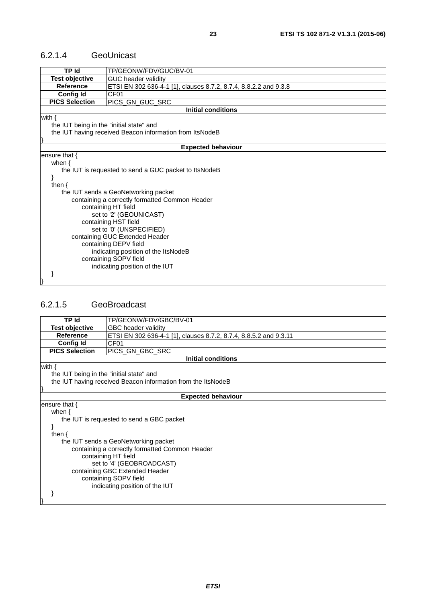#### <span id="page-22-0"></span>6.2.1.4 GeoUnicast

| <b>TP Id</b>                             | TP/GEONW/FDV/GUC/BV-01                                           |  |
|------------------------------------------|------------------------------------------------------------------|--|
| <b>Test objective</b>                    | <b>GUC header validity</b>                                       |  |
| <b>Reference</b>                         | ETSI EN 302 636-4-1 [1], clauses 8.7.2, 8.7.4, 8.8.2.2 and 9.3.8 |  |
| <b>Config Id</b>                         | CF <sub>01</sub>                                                 |  |
| <b>PICS Selection</b>                    | PICS_GN_GUC_SRC                                                  |  |
|                                          | Initial conditions                                               |  |
| with $\{$                                |                                                                  |  |
| the IUT being in the "initial state" and |                                                                  |  |
|                                          | the IUT having received Beacon information from ItsNodeB         |  |
|                                          |                                                                  |  |
|                                          | <b>Expected behaviour</b>                                        |  |
| ensure that $\{$                         |                                                                  |  |
| when $\{$                                |                                                                  |  |
|                                          | the IUT is requested to send a GUC packet to ItsNodeB            |  |
|                                          |                                                                  |  |
| then $\{$                                |                                                                  |  |
|                                          | the IUT sends a GeoNetworking packet                             |  |
|                                          | containing a correctly formatted Common Header                   |  |
|                                          | containing HT field                                              |  |
|                                          | set to '2' (GEOUNICAST)                                          |  |
|                                          | containing HST field                                             |  |
| set to '0' (UNSPECIFIED)                 |                                                                  |  |
| containing GUC Extended Header           |                                                                  |  |
| containing DEPV field                    |                                                                  |  |
| indicating position of the ItsNodeB      |                                                                  |  |
|                                          | containing SOPV field                                            |  |
|                                          | indicating position of the IUT                                   |  |
|                                          |                                                                  |  |
|                                          |                                                                  |  |

#### 6.2.1.5 GeoBroadcast

| <b>TP Id</b>                                                                                                          | TP/GEONW/FDV/GBC/BV-01                                            |  |
|-----------------------------------------------------------------------------------------------------------------------|-------------------------------------------------------------------|--|
| <b>Test objective</b>                                                                                                 | GBC header validity                                               |  |
| <b>Reference</b>                                                                                                      | ETSI EN 302 636-4-1 [1], clauses 8.7.2, 8.7.4, 8.8.5.2 and 9.3.11 |  |
| <b>Config Id</b>                                                                                                      | CF <sub>01</sub>                                                  |  |
| <b>PICS Selection</b>                                                                                                 | PICS_GN_GBC_SRC                                                   |  |
|                                                                                                                       | <b>Initial conditions</b>                                         |  |
| with $\{$<br>the IUT being in the "initial state" and<br>the IUT having received Beacon information from the ItsNodeB |                                                                   |  |
|                                                                                                                       | <b>Expected behaviour</b>                                         |  |
| ensure that {                                                                                                         |                                                                   |  |
| when $\{$                                                                                                             |                                                                   |  |
| the IUT is requested to send a GBC packet                                                                             |                                                                   |  |
|                                                                                                                       |                                                                   |  |
| then $\{$                                                                                                             |                                                                   |  |
| the IUT sends a GeoNetworking packet                                                                                  |                                                                   |  |
| containing a correctly formatted Common Header                                                                        |                                                                   |  |
| containing HT field                                                                                                   |                                                                   |  |
| set to '4' (GEOBROADCAST)                                                                                             |                                                                   |  |
| containing GBC Extended Header                                                                                        |                                                                   |  |
| containing SOPV field                                                                                                 |                                                                   |  |
|                                                                                                                       | indicating position of the IUT                                    |  |
|                                                                                                                       |                                                                   |  |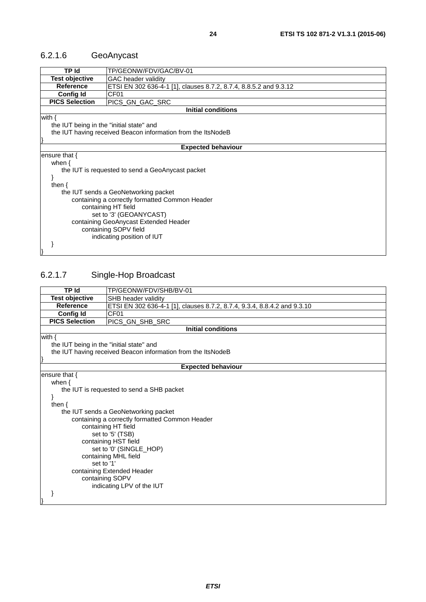# <span id="page-23-0"></span>6.2.1.6 GeoAnycast

| TP Id                                                        | TP/GEONW/FDV/GAC/BV-01                                            |  |
|--------------------------------------------------------------|-------------------------------------------------------------------|--|
| <b>Test objective</b>                                        | <b>GAC</b> header validity                                        |  |
| <b>Reference</b>                                             | ETSI EN 302 636-4-1 [1], clauses 8.7.2, 8.7.4, 8.8.5.2 and 9.3.12 |  |
| <b>Config Id</b>                                             | CF <sub>01</sub>                                                  |  |
| <b>PICS Selection</b>                                        | PICS_GN_GAC_SRC                                                   |  |
|                                                              | <b>Initial conditions</b>                                         |  |
| with $\{$                                                    |                                                                   |  |
| the IUT being in the "initial state" and                     |                                                                   |  |
| the IUT having received Beacon information from the ItsNodeB |                                                                   |  |
|                                                              |                                                                   |  |
| <b>Expected behaviour</b>                                    |                                                                   |  |
| ensure that {                                                |                                                                   |  |
| when $\{$                                                    |                                                                   |  |
| the IUT is requested to send a GeoAnycast packet             |                                                                   |  |
|                                                              |                                                                   |  |
| then $\{$                                                    |                                                                   |  |
| the IUT sends a GeoNetworking packet                         |                                                                   |  |
| containing a correctly formatted Common Header               |                                                                   |  |
| containing HT field                                          |                                                                   |  |
| set to '3' (GEOANYCAST)                                      |                                                                   |  |
| containing GeoAnycast Extended Header                        |                                                                   |  |
| containing SOPV field                                        |                                                                   |  |
|                                                              | indicating position of IUT                                        |  |
|                                                              |                                                                   |  |
|                                                              |                                                                   |  |

# 6.2.1.7 Single-Hop Broadcast

| <b>TP Id</b>                             | TP/GEONW/FDV/SHB/BV-01                                                   |  |
|------------------------------------------|--------------------------------------------------------------------------|--|
| <b>Test objective</b>                    | SHB header validity                                                      |  |
| <b>Reference</b>                         | ETSI EN 302 636-4-1 [1], clauses 8.7.2, 8.7.4, 9.3.4, 8.8.4.2 and 9.3.10 |  |
| <b>Config Id</b>                         | CF01                                                                     |  |
| <b>PICS Selection</b>                    | PICS_GN_SHB_SRC                                                          |  |
|                                          | <b>Initial conditions</b>                                                |  |
| with $\{$                                |                                                                          |  |
| the IUT being in the "initial state" and |                                                                          |  |
|                                          | the IUT having received Beacon information from the ItsNodeB             |  |
|                                          |                                                                          |  |
|                                          | <b>Expected behaviour</b>                                                |  |
| ensure that $\{$                         |                                                                          |  |
| when $\{$                                |                                                                          |  |
|                                          | the IUT is requested to send a SHB packet                                |  |
|                                          |                                                                          |  |
| then $\{$                                |                                                                          |  |
|                                          | the IUT sends a GeoNetworking packet                                     |  |
|                                          | containing a correctly formatted Common Header                           |  |
|                                          | containing HT field                                                      |  |
|                                          | set to '5' (TSB)                                                         |  |
|                                          | containing HST field                                                     |  |
| set to '0' (SINGLE_HOP)                  |                                                                          |  |
| containing MHL field                     |                                                                          |  |
| set to '1'                               |                                                                          |  |
| containing Extended Header               |                                                                          |  |
|                                          | containing SOPV                                                          |  |
|                                          | indicating LPV of the IUT                                                |  |
|                                          |                                                                          |  |
|                                          |                                                                          |  |
|                                          |                                                                          |  |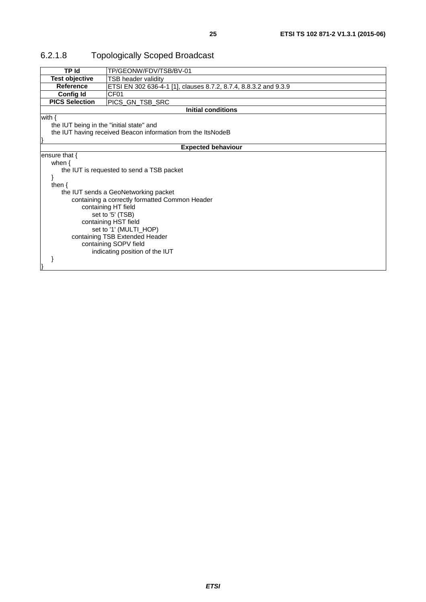| <b>TP</b> Id                                   | TP/GEONW/FDV/TSB/BV-01                                           |  |
|------------------------------------------------|------------------------------------------------------------------|--|
| <b>Test objective</b>                          | <b>TSB header validity</b>                                       |  |
| <b>Reference</b>                               | ETSI EN 302 636-4-1 [1], clauses 8.7.2, 8.7.4, 8.8.3.2 and 9.3.9 |  |
| <b>Config Id</b>                               | CF01                                                             |  |
| <b>PICS Selection</b>                          | PICS_GN_TSB_SRC                                                  |  |
|                                                | <b>Initial conditions</b>                                        |  |
| with $\{$                                      |                                                                  |  |
| the IUT being in the "initial state" and       |                                                                  |  |
|                                                | the IUT having received Beacon information from the ItsNodeB     |  |
|                                                |                                                                  |  |
|                                                | <b>Expected behaviour</b>                                        |  |
| ensure that $\{$                               |                                                                  |  |
| when $\{$                                      |                                                                  |  |
|                                                | the IUT is requested to send a TSB packet                        |  |
|                                                |                                                                  |  |
| then $\{$                                      |                                                                  |  |
|                                                | the IUT sends a GeoNetworking packet                             |  |
| containing a correctly formatted Common Header |                                                                  |  |
|                                                | containing HT field                                              |  |
|                                                | set to '5' (TSB)                                                 |  |
| containing HST field                           |                                                                  |  |
| set to '1' (MULTI_HOP)                         |                                                                  |  |
| containing TSB Extended Header                 |                                                                  |  |
|                                                | containing SOPV field                                            |  |
|                                                | indicating position of the IUT                                   |  |
|                                                |                                                                  |  |
|                                                |                                                                  |  |

# <span id="page-24-0"></span>6.2.1.8 Topologically Scoped Broadcast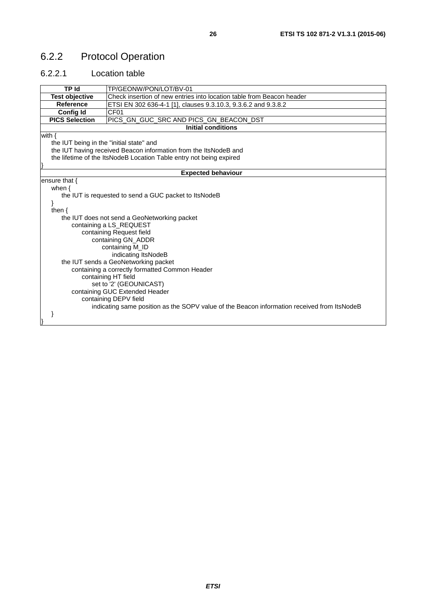# <span id="page-25-0"></span>6.2.2 Protocol Operation

#### 6.2.2.1 Location table

| <b>TP Id</b>                             | TP/GEONW/PON/LOT/BV-01                                                                      |  |
|------------------------------------------|---------------------------------------------------------------------------------------------|--|
| <b>Test objective</b>                    | Check insertion of new entries into location table from Beacon header                       |  |
| Reference                                | ETSI EN 302 636-4-1 [1], clauses 9.3.10.3, 9.3.6.2 and 9.3.8.2                              |  |
| <b>Config Id</b>                         | CF <sub>01</sub>                                                                            |  |
| <b>PICS Selection</b>                    | PICS_GN_GUC_SRC AND PICS_GN_BEACON_DST                                                      |  |
|                                          | <b>Initial conditions</b>                                                                   |  |
| with $\{$                                |                                                                                             |  |
| the IUT being in the "initial state" and |                                                                                             |  |
|                                          | the IUT having received Beacon information from the ItsNodeB and                            |  |
|                                          | the lifetime of the ItsNodeB Location Table entry not being expired                         |  |
|                                          |                                                                                             |  |
|                                          | <b>Expected behaviour</b>                                                                   |  |
| ensure that $\{$                         |                                                                                             |  |
| when $\{$                                |                                                                                             |  |
|                                          | the IUT is requested to send a GUC packet to ItsNodeB                                       |  |
|                                          |                                                                                             |  |
| then $\{$                                |                                                                                             |  |
|                                          | the IUT does not send a GeoNetworking packet                                                |  |
|                                          | containing a LS_REQUEST                                                                     |  |
|                                          | containing Request field                                                                    |  |
| containing GN_ADDR                       |                                                                                             |  |
| containing M_ID                          |                                                                                             |  |
| indicating ItsNodeB                      |                                                                                             |  |
| the IUT sends a GeoNetworking packet     |                                                                                             |  |
|                                          | containing a correctly formatted Common Header                                              |  |
|                                          | containing HT field                                                                         |  |
|                                          | set to '2' (GEOUNICAST)                                                                     |  |
|                                          | containing GUC Extended Header                                                              |  |
|                                          | containing DEPV field                                                                       |  |
|                                          | indicating same position as the SOPV value of the Beacon information received from ItsNodeB |  |
|                                          |                                                                                             |  |
|                                          |                                                                                             |  |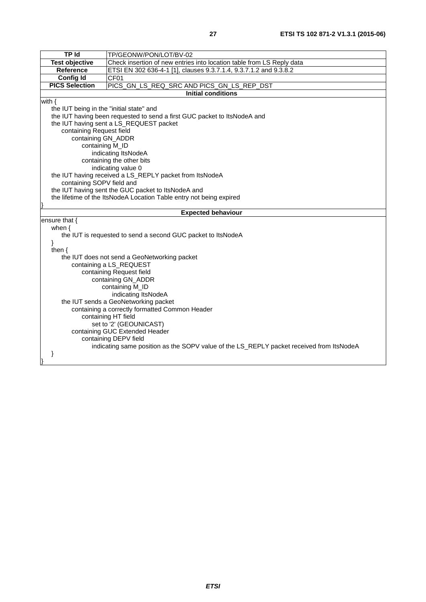| <b>TP Id</b>                             | TP/GEONW/PON/LOT/BV-02                                                                   |  |  |
|------------------------------------------|------------------------------------------------------------------------------------------|--|--|
| <b>Test objective</b>                    | Check insertion of new entries into location table from LS Reply data                    |  |  |
| Reference                                | ETSI EN 302 636-4-1 [1], clauses 9.3.7.1.4, 9.3.7.1.2 and 9.3.8.2                        |  |  |
| <b>Config Id</b>                         | CF01                                                                                     |  |  |
| <b>PICS Selection</b>                    | PICS_GN_LS_REQ_SRC AND PICS_GN_LS_REP_DST                                                |  |  |
|                                          | <b>Initial conditions</b>                                                                |  |  |
| with $\{$                                |                                                                                          |  |  |
| the IUT being in the "initial state" and |                                                                                          |  |  |
|                                          | the IUT having been requested to send a first GUC packet to ItsNodeA and                 |  |  |
|                                          | the IUT having sent a LS_REQUEST packet                                                  |  |  |
| containing Request field                 |                                                                                          |  |  |
| containing GN_ADDR                       |                                                                                          |  |  |
| containing M_ID                          |                                                                                          |  |  |
|                                          | indicating ItsNodeA                                                                      |  |  |
|                                          | containing the other bits                                                                |  |  |
|                                          | indicating value 0                                                                       |  |  |
|                                          | the IUT having received a LS_REPLY packet from ItsNodeA                                  |  |  |
|                                          | containing SOPV field and                                                                |  |  |
|                                          | the IUT having sent the GUC packet to ItsNodeA and                                       |  |  |
|                                          | the lifetime of the ItsNodeA Location Table entry not being expired                      |  |  |
|                                          |                                                                                          |  |  |
| <b>Expected behaviour</b>                |                                                                                          |  |  |
|                                          |                                                                                          |  |  |
| ensure that {                            |                                                                                          |  |  |
| when $\{$                                |                                                                                          |  |  |
|                                          | the IUT is requested to send a second GUC packet to ItsNodeA                             |  |  |
| }                                        |                                                                                          |  |  |
| then $\{$                                |                                                                                          |  |  |
|                                          | the IUT does not send a GeoNetworking packet                                             |  |  |
|                                          | containing a LS_REQUEST                                                                  |  |  |
|                                          | containing Request field<br>containing GN_ADDR                                           |  |  |
|                                          | containing M_ID                                                                          |  |  |
|                                          | indicating ItsNodeA                                                                      |  |  |
|                                          | the IUT sends a GeoNetworking packet                                                     |  |  |
|                                          | containing a correctly formatted Common Header                                           |  |  |
|                                          | containing HT field                                                                      |  |  |
|                                          | set to '2' (GEOUNICAST)                                                                  |  |  |
|                                          | containing GUC Extended Header                                                           |  |  |
|                                          | containing DEPV field                                                                    |  |  |
|                                          | indicating same position as the SOPV value of the LS_REPLY packet received from ItsNodeA |  |  |
|                                          |                                                                                          |  |  |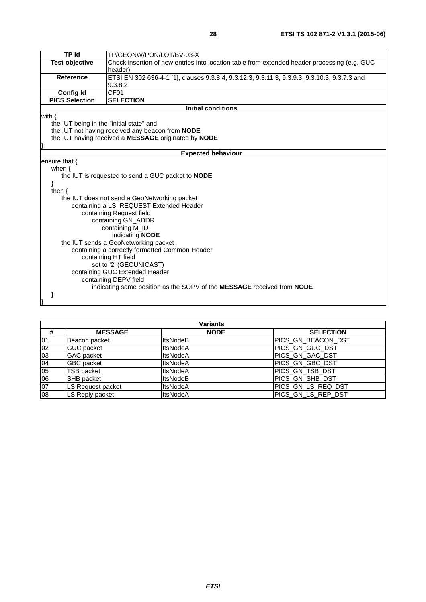| <b>TP Id</b>                                   | TP/GEONW/PON/LOT/BV-03-X                                                                     |  |
|------------------------------------------------|----------------------------------------------------------------------------------------------|--|
| <b>Test objective</b>                          | Check insertion of new entries into location table from extended header processing (e.g. GUC |  |
|                                                | header)                                                                                      |  |
| <b>Reference</b>                               | ETSI EN 302 636-4-1 [1], clauses 9.3.8.4, 9.3.12.3, 9.3.11.3, 9.3.9.3, 9.3.10.3, 9.3.7.3 and |  |
|                                                | 9.3.8.2                                                                                      |  |
| <b>Config Id</b>                               | CF01                                                                                         |  |
| <b>PICS Selection</b>                          | <b>SELECTION</b>                                                                             |  |
|                                                | <b>Initial conditions</b>                                                                    |  |
| with $\{$                                      |                                                                                              |  |
| the IUT being in the "initial state" and       |                                                                                              |  |
|                                                | the IUT not having received any beacon from NODE                                             |  |
|                                                | the IUT having received a MESSAGE originated by NODE                                         |  |
|                                                | <b>Expected behaviour</b>                                                                    |  |
| ensure that $\{$                               |                                                                                              |  |
|                                                |                                                                                              |  |
| when $\{$                                      | the IUT is requested to send a GUC packet to <b>NODE</b>                                     |  |
|                                                |                                                                                              |  |
| then $\{$                                      |                                                                                              |  |
|                                                | the IUT does not send a GeoNetworking packet                                                 |  |
|                                                | containing a LS_REQUEST Extended Header                                                      |  |
|                                                | containing Request field                                                                     |  |
| containing GN_ADDR                             |                                                                                              |  |
|                                                | containing M_ID                                                                              |  |
| indicating NODE                                |                                                                                              |  |
| the IUT sends a GeoNetworking packet           |                                                                                              |  |
| containing a correctly formatted Common Header |                                                                                              |  |
| containing HT field                            |                                                                                              |  |
| set to '2' (GEOUNICAST)                        |                                                                                              |  |
| containing GUC Extended Header                 |                                                                                              |  |
|                                                | containing DEPV field                                                                        |  |
|                                                | indicating same position as the SOPV of the MESSAGE received from NODE                       |  |
|                                                |                                                                                              |  |
|                                                |                                                                                              |  |

|                 | Variants          |                 |                     |
|-----------------|-------------------|-----------------|---------------------|
| #               | <b>MESSAGE</b>    | <b>NODE</b>     | <b>SELECTION</b>    |
| 01              | Beacon packet     | <b>ItsNodeB</b> | IPICS GN BEACON DST |
| 02              | <b>GUC</b> packet | <b>ItsNodeA</b> | PICS GN GUC DST     |
| $\overline{03}$ | <b>GAC</b> packet | <b>ItsNodeA</b> | PICS GN GAC DST     |
| 04              | <b>GBC</b> packet | <b>ItsNodeA</b> | PICS GN GBC DST     |
| 05              | <b>TSB packet</b> | <b>ItsNodeA</b> | PICS_GN_TSB_DST     |
| 06              | <b>SHB</b> packet | <b>ItsNodeB</b> | PICS_GN_SHB_DST     |
| 07              | LS Request packet | <b>ItsNodeA</b> | PICS_GN_LS_REQ_DST  |
| 08              | LS Reply packet   | <b>ItsNodeA</b> | PICS_GN_LS_REP_DST  |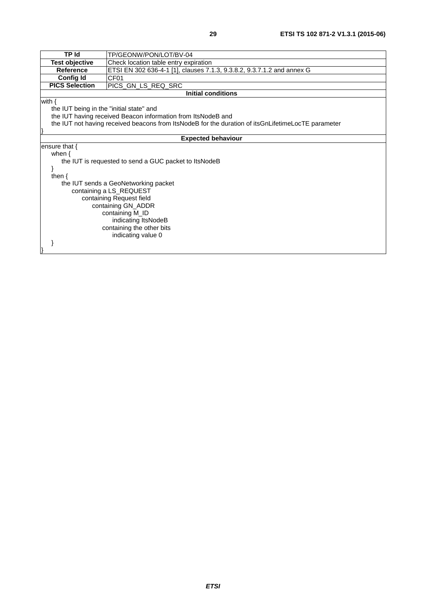| <b>TP Id</b>                                          | TP/GEONW/PON/LOT/BV-04                                                                             |  |  |
|-------------------------------------------------------|----------------------------------------------------------------------------------------------------|--|--|
| <b>Test objective</b>                                 | Check location table entry expiration                                                              |  |  |
| <b>Reference</b>                                      | ETSI EN 302 636-4-1 [1], clauses 7.1.3, 9.3.8.2, 9.3.7.1.2 and annex G                             |  |  |
| <b>Config Id</b>                                      | CF <sub>01</sub>                                                                                   |  |  |
| <b>PICS Selection</b>                                 | PICS_GN_LS_REQ_SRC                                                                                 |  |  |
|                                                       | <b>Initial conditions</b>                                                                          |  |  |
| with $\{$                                             |                                                                                                    |  |  |
| the IUT being in the "initial state" and              |                                                                                                    |  |  |
|                                                       | the IUT having received Beacon information from ItsNodeB and                                       |  |  |
|                                                       | the IUT not having received beacons from ItsNodeB for the duration of itsGnLifetimeLocTE parameter |  |  |
|                                                       |                                                                                                    |  |  |
|                                                       | <b>Expected behaviour</b>                                                                          |  |  |
| ensure that $\{$                                      |                                                                                                    |  |  |
|                                                       | when $\{$                                                                                          |  |  |
| the IUT is requested to send a GUC packet to ItsNodeB |                                                                                                    |  |  |
|                                                       |                                                                                                    |  |  |
|                                                       | then $\{$                                                                                          |  |  |
|                                                       | the IUT sends a GeoNetworking packet                                                               |  |  |
|                                                       | containing a LS_REQUEST                                                                            |  |  |
| containing Request field                              |                                                                                                    |  |  |
| containing GN_ADDR                                    |                                                                                                    |  |  |
| containing M_ID                                       |                                                                                                    |  |  |
| indicating ItsNodeB                                   |                                                                                                    |  |  |
| containing the other bits                             |                                                                                                    |  |  |
|                                                       | indicating value 0                                                                                 |  |  |
|                                                       |                                                                                                    |  |  |
|                                                       |                                                                                                    |  |  |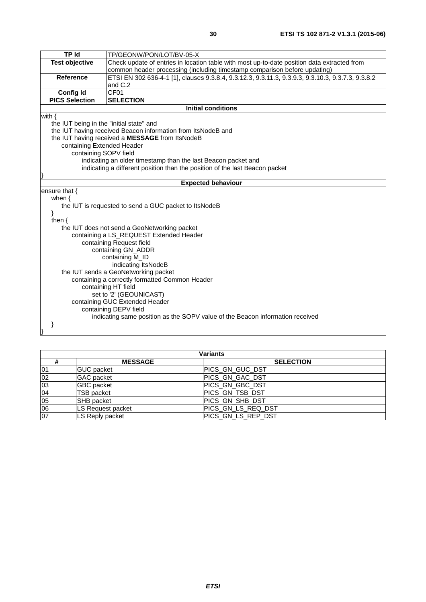| <b>TP Id</b>                                   | TP/GEONW/PON/LOT/BV-05-X                                                                          |  |  |
|------------------------------------------------|---------------------------------------------------------------------------------------------------|--|--|
| <b>Test objective</b>                          | Check update of entries in location table with most up-to-date position data extracted from       |  |  |
|                                                | common header processing (including timestamp comparison before updating)                         |  |  |
| <b>Reference</b>                               | ETSI EN 302 636-4-1 [1], clauses 9.3.8.4, 9.3.12.3, 9.3.11.3, 9.3.9.3, 9.3.10.3, 9.3.7.3, 9.3.8.2 |  |  |
|                                                | and C.2                                                                                           |  |  |
| <b>Config Id</b>                               | CF <sub>01</sub>                                                                                  |  |  |
| <b>PICS Selection</b>                          | <b>SELECTION</b>                                                                                  |  |  |
|                                                | <b>Initial conditions</b>                                                                         |  |  |
| with $\{$                                      |                                                                                                   |  |  |
| the IUT being in the "initial state" and       |                                                                                                   |  |  |
|                                                | the IUT having received Beacon information from ItsNodeB and                                      |  |  |
|                                                | the IUT having received a MESSAGE from ItsNodeB                                                   |  |  |
| containing Extended Header                     |                                                                                                   |  |  |
| containing SOPV field                          |                                                                                                   |  |  |
|                                                | indicating an older timestamp than the last Beacon packet and                                     |  |  |
|                                                | indicating a different position than the position of the last Beacon packet                       |  |  |
|                                                |                                                                                                   |  |  |
|                                                | <b>Expected behaviour</b>                                                                         |  |  |
| ensure that {                                  |                                                                                                   |  |  |
| when $\{$                                      |                                                                                                   |  |  |
|                                                | the IUT is requested to send a GUC packet to ItsNodeB                                             |  |  |
| then $\{$                                      |                                                                                                   |  |  |
|                                                | the IUT does not send a GeoNetworking packet                                                      |  |  |
|                                                | containing a LS_REQUEST Extended Header                                                           |  |  |
| containing Request field                       |                                                                                                   |  |  |
| containing GN_ADDR                             |                                                                                                   |  |  |
| containing M_ID                                |                                                                                                   |  |  |
| indicating ItsNodeB                            |                                                                                                   |  |  |
| the IUT sends a GeoNetworking packet           |                                                                                                   |  |  |
| containing a correctly formatted Common Header |                                                                                                   |  |  |
| containing HT field                            |                                                                                                   |  |  |
| set to '2' (GEOUNICAST)                        |                                                                                                   |  |  |
| containing GUC Extended Header                 |                                                                                                   |  |  |
| containing DEPV field                          |                                                                                                   |  |  |
|                                                | indicating same position as the SOPV value of the Beacon information received                     |  |  |
|                                                |                                                                                                   |  |  |
|                                                |                                                                                                   |  |  |

| Variants        |                   |                    |
|-----------------|-------------------|--------------------|
|                 | <b>MESSAGE</b>    | <b>SELECTION</b>   |
| 01              | <b>GUC</b> packet | PICS_GN_GUC_DST    |
| 02              | <b>GAC</b> packet | PICS_GN_GAC_DST    |
| $\overline{0}3$ | <b>GBC</b> packet | PICS_GN_GBC_DST    |
| 04              | <b>TSB packet</b> | PICS GN TSB DST    |
| 05              | <b>SHB</b> packet | PICS_GN_SHB_DST    |
| $\overline{06}$ | LS Request packet | PICS GN LS REQ DST |
| 07              | LS Reply packet   | PICS_GN_LS_REP_DST |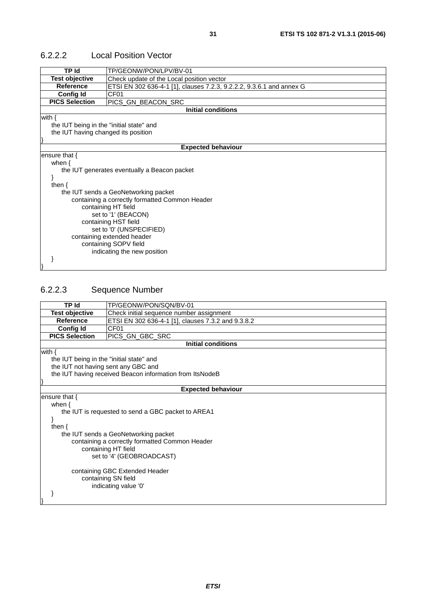| <b>TP Id</b>                             | TP/GEONW/PON/LPV/BV-01                                               |  |  |
|------------------------------------------|----------------------------------------------------------------------|--|--|
| <b>Test objective</b>                    | Check update of the Local position vector                            |  |  |
| <b>Reference</b>                         | ETSI EN 302 636-4-1 [1], clauses 7.2.3, 9.2.2.2, 9.3.6.1 and annex G |  |  |
| <b>Config Id</b>                         | CF <sub>01</sub>                                                     |  |  |
| <b>PICS Selection</b>                    | PICS_GN_BEACON_SRC                                                   |  |  |
|                                          | <b>Initial conditions</b>                                            |  |  |
| with $\{$                                |                                                                      |  |  |
| the IUT being in the "initial state" and |                                                                      |  |  |
| the IUT having changed its position      |                                                                      |  |  |
|                                          |                                                                      |  |  |
|                                          | <b>Expected behaviour</b>                                            |  |  |
| ensure that $\{$                         |                                                                      |  |  |
| when $\{$                                |                                                                      |  |  |
|                                          | the IUT generates eventually a Beacon packet                         |  |  |
|                                          |                                                                      |  |  |
| then $\{$                                |                                                                      |  |  |
|                                          | the IUT sends a GeoNetworking packet                                 |  |  |
|                                          | containing a correctly formatted Common Header                       |  |  |
|                                          | containing HT field                                                  |  |  |
| set to '1' (BEACON)                      |                                                                      |  |  |
| containing HST field                     |                                                                      |  |  |
| set to '0' (UNSPECIFIED)                 |                                                                      |  |  |
| containing extended header               |                                                                      |  |  |
| containing SOPV field                    |                                                                      |  |  |
|                                          | indicating the new position                                          |  |  |
|                                          |                                                                      |  |  |
|                                          |                                                                      |  |  |

#### <span id="page-30-0"></span>6.2.2.2 Local Position Vector

# 6.2.2.3 Sequence Number

|                                          | TP Id<br>TP/GEONW/PON/SQN/BV-01                          |  |  |
|------------------------------------------|----------------------------------------------------------|--|--|
| <b>Test objective</b>                    | Check initial sequence number assignment                 |  |  |
| <b>Reference</b>                         | ETSI EN 302 636-4-1 [1], clauses 7.3.2 and 9.3.8.2       |  |  |
| <b>Config Id</b>                         | CF <sub>01</sub>                                         |  |  |
| <b>PICS Selection</b>                    | PICS_GN_GBC_SRC                                          |  |  |
|                                          | <b>Initial conditions</b>                                |  |  |
| with $\{$                                |                                                          |  |  |
| the IUT being in the "initial state" and |                                                          |  |  |
| the IUT not having sent any GBC and      |                                                          |  |  |
|                                          | the IUT having received Beacon information from ItsNodeB |  |  |
|                                          |                                                          |  |  |
|                                          | <b>Expected behaviour</b>                                |  |  |
| ensure that {                            |                                                          |  |  |
| when $\{$                                |                                                          |  |  |
|                                          | the IUT is requested to send a GBC packet to AREA1       |  |  |
|                                          |                                                          |  |  |
| then $\{$                                |                                                          |  |  |
|                                          | the IUT sends a GeoNetworking packet                     |  |  |
|                                          | containing a correctly formatted Common Header           |  |  |
|                                          | containing HT field                                      |  |  |
| set to '4' (GEOBROADCAST)                |                                                          |  |  |
|                                          |                                                          |  |  |
| containing GBC Extended Header           |                                                          |  |  |
| containing SN field                      |                                                          |  |  |
| indicating value '0'                     |                                                          |  |  |
|                                          |                                                          |  |  |
|                                          |                                                          |  |  |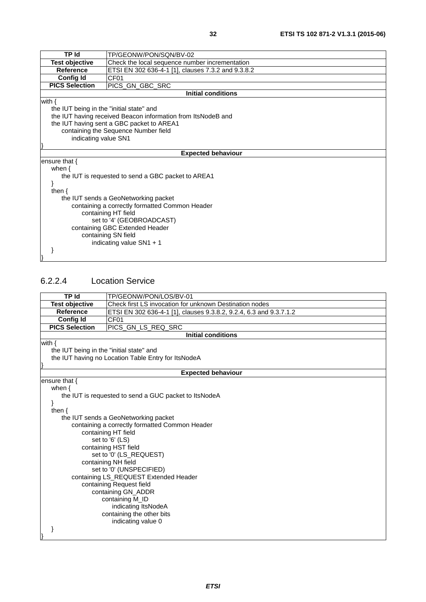<span id="page-31-0"></span>

|                                                             | <b>TP Id</b><br>TP/GEONW/PON/SQN/BV-02                       |  |  |
|-------------------------------------------------------------|--------------------------------------------------------------|--|--|
| <b>Test objective</b>                                       | Check the local sequence number incrementation               |  |  |
| <b>Reference</b>                                            | ETSI EN 302 636-4-1 [1], clauses 7.3.2 and 9.3.8.2           |  |  |
| <b>Config Id</b>                                            | CF01                                                         |  |  |
| <b>PICS Selection</b>                                       | PICS_GN_GBC_SRC                                              |  |  |
|                                                             | <b>Initial conditions</b>                                    |  |  |
| with $\{$                                                   |                                                              |  |  |
| the IUT being in the "initial state" and                    |                                                              |  |  |
|                                                             | the IUT having received Beacon information from ItsNodeB and |  |  |
|                                                             | the IUT having sent a GBC packet to AREA1                    |  |  |
|                                                             | containing the Sequence Number field                         |  |  |
|                                                             | indicating value SN1                                         |  |  |
|                                                             |                                                              |  |  |
|                                                             | <b>Expected behaviour</b>                                    |  |  |
| ensure that {                                               |                                                              |  |  |
| when $\{$                                                   |                                                              |  |  |
| the IUT is requested to send a GBC packet to AREA1          |                                                              |  |  |
|                                                             |                                                              |  |  |
| then $\{$                                                   |                                                              |  |  |
| the IUT sends a GeoNetworking packet                        |                                                              |  |  |
| containing a correctly formatted Common Header              |                                                              |  |  |
| containing HT field                                         |                                                              |  |  |
| set to '4' (GEOBROADCAST)<br>containing GBC Extended Header |                                                              |  |  |
| containing SN field                                         |                                                              |  |  |
|                                                             |                                                              |  |  |
| indicating value $SN1 + 1$                                  |                                                              |  |  |
|                                                             |                                                              |  |  |
|                                                             |                                                              |  |  |

#### 6.2.2.4 Location Service

| <b>TP Id</b>                             | TP/GEONW/PON/LOS/BV-01                                             |  |  |
|------------------------------------------|--------------------------------------------------------------------|--|--|
| <b>Test objective</b>                    | Check first LS invocation for unknown Destination nodes            |  |  |
| <b>Reference</b>                         | ETSI EN 302 636-4-1 [1], clauses 9.3.8.2, 9.2.4, 6.3 and 9.3.7.1.2 |  |  |
| <b>Config Id</b>                         | CF01                                                               |  |  |
| <b>PICS Selection</b>                    | PICS_GN_LS_REQ_SRC                                                 |  |  |
|                                          | <b>Initial conditions</b>                                          |  |  |
| with $\{$                                |                                                                    |  |  |
| the IUT being in the "initial state" and |                                                                    |  |  |
|                                          | the IUT having no Location Table Entry for ItsNodeA                |  |  |
|                                          |                                                                    |  |  |
|                                          | <b>Expected behaviour</b>                                          |  |  |
| ensure that $\{$                         |                                                                    |  |  |
| when $\{$                                |                                                                    |  |  |
|                                          | the IUT is requested to send a GUC packet to ItsNodeA              |  |  |
| then $\{$                                |                                                                    |  |  |
|                                          | the IUT sends a GeoNetworking packet                               |  |  |
|                                          | containing a correctly formatted Common Header                     |  |  |
|                                          | containing HT field                                                |  |  |
|                                          | set to '6' (LS)                                                    |  |  |
|                                          | containing HST field                                               |  |  |
|                                          | set to '0' (LS_REQUEST)                                            |  |  |
|                                          | containing NH field                                                |  |  |
|                                          | set to '0' (UNSPECIFIED)                                           |  |  |
|                                          | containing LS_REQUEST Extended Header                              |  |  |
| containing Request field                 |                                                                    |  |  |
| containing GN_ADDR                       |                                                                    |  |  |
| containing M_ID                          |                                                                    |  |  |
| indicating ItsNodeA                      |                                                                    |  |  |
|                                          | containing the other bits                                          |  |  |
|                                          | indicating value 0                                                 |  |  |
|                                          |                                                                    |  |  |
|                                          |                                                                    |  |  |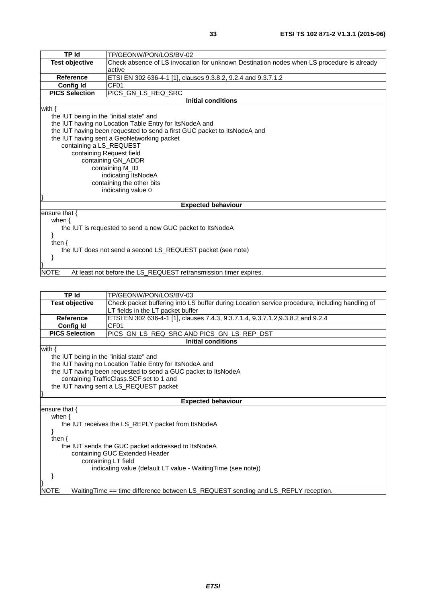| <b>TP Id</b>                                                | TP/GEONW/PON/LOS/BV-02                                                                    |  |  |
|-------------------------------------------------------------|-------------------------------------------------------------------------------------------|--|--|
| <b>Test objective</b>                                       | Check absence of LS invocation for unknown Destination nodes when LS procedure is already |  |  |
|                                                             | active                                                                                    |  |  |
| <b>Reference</b>                                            | ETSI EN 302 636-4-1 [1], clauses 9.3.8.2, 9.2.4 and 9.3.7.1.2                             |  |  |
| <b>Config Id</b>                                            | CF <sub>01</sub>                                                                          |  |  |
| <b>PICS Selection</b>                                       | PICS_GN_LS_REQ_SRC                                                                        |  |  |
|                                                             | <b>Initial conditions</b>                                                                 |  |  |
| with $\{$                                                   |                                                                                           |  |  |
| the IUT being in the "initial state" and                    |                                                                                           |  |  |
|                                                             | the IUT having no Location Table Entry for ItsNodeA and                                   |  |  |
|                                                             | the IUT having been requested to send a first GUC packet to ItsNodeA and                  |  |  |
|                                                             | the IUT having sent a GeoNetworking packet                                                |  |  |
| containing a LS_REQUEST                                     |                                                                                           |  |  |
|                                                             | containing Request field                                                                  |  |  |
|                                                             | containing GN_ADDR                                                                        |  |  |
|                                                             | containing M_ID                                                                           |  |  |
|                                                             | indicating ItsNodeA                                                                       |  |  |
|                                                             | containing the other bits                                                                 |  |  |
| indicating value 0                                          |                                                                                           |  |  |
|                                                             |                                                                                           |  |  |
|                                                             | <b>Expected behaviour</b>                                                                 |  |  |
| ensure that $\{$                                            |                                                                                           |  |  |
| when $\{$                                                   |                                                                                           |  |  |
| the IUT is requested to send a new GUC packet to ItsNodeA   |                                                                                           |  |  |
|                                                             |                                                                                           |  |  |
| then $\{$                                                   |                                                                                           |  |  |
| the IUT does not send a second LS_REQUEST packet (see note) |                                                                                           |  |  |
|                                                             |                                                                                           |  |  |
|                                                             |                                                                                           |  |  |
| NOTE:                                                       | At least not before the LS_REQUEST retransmission timer expires.                          |  |  |

| TP Id                                                         | TP/GEONW/PON/LOS/BV-03                                                                         |  |  |
|---------------------------------------------------------------|------------------------------------------------------------------------------------------------|--|--|
| <b>Test objective</b>                                         | Check packet buffering into LS buffer during Location service procedure, including handling of |  |  |
|                                                               | LT fields in the LT packet buffer                                                              |  |  |
| Reference                                                     | ETSI EN 302 636-4-1 [1], clauses 7.4.3, 9.3.7.1.4, 9.3.7.1.2,9.3.8.2 and 9.2.4                 |  |  |
| <b>Config Id</b>                                              | CF <sub>01</sub>                                                                               |  |  |
| <b>PICS Selection</b>                                         | PICS_GN_LS_REQ_SRC AND PICS_GN_LS_REP_DST                                                      |  |  |
|                                                               | Initial conditions                                                                             |  |  |
| with $\{$                                                     |                                                                                                |  |  |
| the IUT being in the "initial state" and                      |                                                                                                |  |  |
|                                                               | the IUT having no Location Table Entry for ItsNodeA and                                        |  |  |
|                                                               | the IUT having been requested to send a GUC packet to ItsNodeA                                 |  |  |
|                                                               | containing TrafficClass.SCF set to 1 and                                                       |  |  |
|                                                               | the IUT having sent a LS_REQUEST packet                                                        |  |  |
|                                                               |                                                                                                |  |  |
| <b>Expected behaviour</b>                                     |                                                                                                |  |  |
| ensure that $\{$                                              |                                                                                                |  |  |
| when $\{$                                                     |                                                                                                |  |  |
|                                                               | the IUT receives the LS_REPLY packet from ItsNodeA                                             |  |  |
|                                                               |                                                                                                |  |  |
| then $\{$                                                     |                                                                                                |  |  |
| the IUT sends the GUC packet addressed to ItsNodeA            |                                                                                                |  |  |
| containing GUC Extended Header                                |                                                                                                |  |  |
| containing LT field                                           |                                                                                                |  |  |
| indicating value (default LT value - Waiting Time (see note)) |                                                                                                |  |  |
|                                                               |                                                                                                |  |  |
|                                                               |                                                                                                |  |  |
| NOTE:                                                         | WaitingTime == time difference between LS_REQUEST sending and LS_REPLY reception.              |  |  |
|                                                               |                                                                                                |  |  |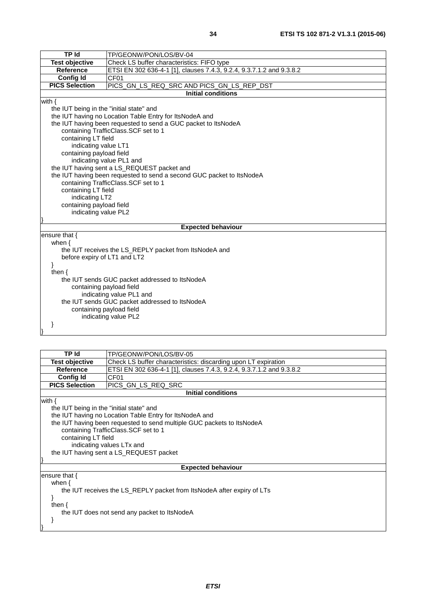| TP Id<br>TP/GEONW/PON/LOS/BV-04                |                                                                       |  |  |
|------------------------------------------------|-----------------------------------------------------------------------|--|--|
| <b>Test objective</b>                          | Check LS buffer characteristics: FIFO type                            |  |  |
| <b>Reference</b>                               | ETSI EN 302 636-4-1 [1], clauses 7.4.3, 9.2.4, 9.3.7.1.2 and 9.3.8.2  |  |  |
| <b>Config Id</b>                               | CF01                                                                  |  |  |
| <b>PICS Selection</b>                          | PICS_GN_LS_REQ_SRC AND PICS_GN_LS_REP_DST                             |  |  |
|                                                | <b>Initial conditions</b>                                             |  |  |
| with $\{$                                      |                                                                       |  |  |
| the IUT being in the "initial state" and       |                                                                       |  |  |
|                                                | the IUT having no Location Table Entry for ItsNodeA and               |  |  |
|                                                | the IUT having been requested to send a GUC packet to ItsNodeA        |  |  |
|                                                | containing TrafficClass.SCF set to 1                                  |  |  |
| containing LT field                            |                                                                       |  |  |
| indicating value LT1                           |                                                                       |  |  |
| containing payload field                       |                                                                       |  |  |
|                                                | indicating value PL1 and                                              |  |  |
|                                                | the IUT having sent a LS_REQUEST packet and                           |  |  |
|                                                | the IUT having been requested to send a second GUC packet to ItsNodeA |  |  |
|                                                | containing TrafficClass.SCF set to 1                                  |  |  |
|                                                | containing LT field                                                   |  |  |
| indicating LT2                                 |                                                                       |  |  |
| containing payload field                       |                                                                       |  |  |
|                                                | indicating value PL2                                                  |  |  |
|                                                |                                                                       |  |  |
|                                                | <b>Expected behaviour</b>                                             |  |  |
| ensure that {                                  |                                                                       |  |  |
| when $\{$                                      |                                                                       |  |  |
|                                                | the IUT receives the LS_REPLY packet from ItsNodeA and                |  |  |
| before expiry of LT1 and LT2                   |                                                                       |  |  |
| ł                                              |                                                                       |  |  |
| then $\{$                                      |                                                                       |  |  |
| the IUT sends GUC packet addressed to ItsNodeA |                                                                       |  |  |
| containing payload field                       |                                                                       |  |  |
| indicating value PL1 and                       |                                                                       |  |  |
| the IUT sends GUC packet addressed to ItsNodeA |                                                                       |  |  |
| containing payload field                       |                                                                       |  |  |
| indicating value PL2                           |                                                                       |  |  |
|                                                |                                                                       |  |  |
|                                                |                                                                       |  |  |

| <b>TP</b> Id                                                                                                                                                                                                                                                                                                                       | TP/GEONW/PON/LOS/BV-05                                               |  |
|------------------------------------------------------------------------------------------------------------------------------------------------------------------------------------------------------------------------------------------------------------------------------------------------------------------------------------|----------------------------------------------------------------------|--|
| <b>Test objective</b>                                                                                                                                                                                                                                                                                                              | Check LS buffer characteristics: discarding upon LT expiration       |  |
| <b>Reference</b>                                                                                                                                                                                                                                                                                                                   | ETSI EN 302 636-4-1 [1], clauses 7.4.3, 9.2.4, 9.3.7.1.2 and 9.3.8.2 |  |
| <b>Config Id</b>                                                                                                                                                                                                                                                                                                                   | CF <sub>01</sub>                                                     |  |
| <b>PICS Selection</b>                                                                                                                                                                                                                                                                                                              | PICS GN LS REQ SRC                                                   |  |
|                                                                                                                                                                                                                                                                                                                                    | <b>Initial conditions</b>                                            |  |
| with $\{$<br>the IUT being in the "initial state" and<br>the IUT having no Location Table Entry for ItsNodeA and<br>the IUT having been requested to send multiple GUC packets to ItsNodeA<br>containing TrafficClass. SCF set to 1<br>containing LT field<br>indicating values LTx and<br>the IUT having sent a LS_REQUEST packet |                                                                      |  |
|                                                                                                                                                                                                                                                                                                                                    | <b>Expected behaviour</b>                                            |  |
| ensure that $\{$<br>when $\{$<br>the IUT receives the LS_REPLY packet from ItsNodeA after expiry of LTs<br>then $\{$<br>the IUT does not send any packet to ItsNodeA                                                                                                                                                               |                                                                      |  |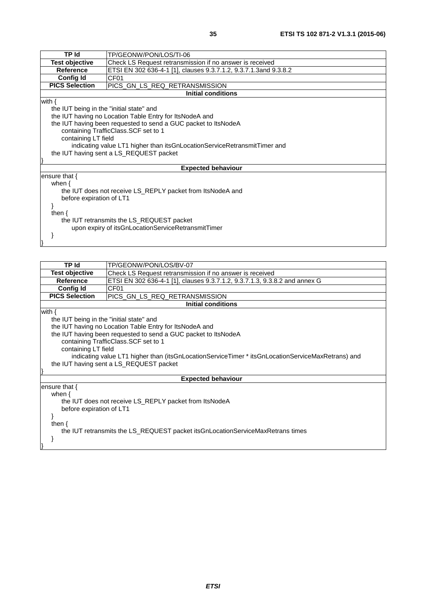| <b>TP Id</b>                                                   | TP/GEONW/PON/LOS/TI-06                                                       |  |  |
|----------------------------------------------------------------|------------------------------------------------------------------------------|--|--|
| <b>Test objective</b>                                          | Check LS Request retransmission if no answer is received                     |  |  |
| <b>Reference</b>                                               | ETSI EN 302 636-4-1 [1], clauses 9.3.7.1.2, 9.3.7.1.3and 9.3.8.2             |  |  |
| <b>Config Id</b>                                               | CF <sub>01</sub>                                                             |  |  |
| <b>PICS Selection</b>                                          | PICS_GN_LS_REQ_RETRANSMISSION                                                |  |  |
| <b>Initial conditions</b>                                      |                                                                              |  |  |
| with {                                                         |                                                                              |  |  |
| the IUT being in the "initial state" and                       |                                                                              |  |  |
| the IUT having no Location Table Entry for ItsNodeA and        |                                                                              |  |  |
| the IUT having been requested to send a GUC packet to ItsNodeA |                                                                              |  |  |
| containing TrafficClass. SCF set to 1                          |                                                                              |  |  |
| containing LT field                                            |                                                                              |  |  |
|                                                                | indicating value LT1 higher than its GnLocation Service Retransmit Timer and |  |  |
| the IUT having sent a LS_REQUEST packet                        |                                                                              |  |  |
|                                                                |                                                                              |  |  |
|                                                                | <b>Expected behaviour</b>                                                    |  |  |
| ensure that $\{$                                               |                                                                              |  |  |
| when $\{$                                                      |                                                                              |  |  |
| the IUT does not receive LS_REPLY packet from ItsNodeA and     |                                                                              |  |  |
| before expiration of LT1                                       |                                                                              |  |  |
|                                                                |                                                                              |  |  |
| then $\{$                                                      |                                                                              |  |  |
| the IUT retransmits the LS_REQUEST packet                      |                                                                              |  |  |
| upon expiry of itsGnLocationServiceRetransmitTimer             |                                                                              |  |  |
|                                                                |                                                                              |  |  |
|                                                                |                                                                              |  |  |

| <b>TP</b> Id                                                                                      | TP/GEONW/PON/LOS/BV-07                                                     |  |
|---------------------------------------------------------------------------------------------------|----------------------------------------------------------------------------|--|
| <b>Test objective</b>                                                                             | Check LS Request retransmission if no answer is received                   |  |
| <b>Reference</b>                                                                                  | ETSI EN 302 636-4-1 [1], clauses 9.3.7.1.2, 9.3.7.1.3, 9.3.8.2 and annex G |  |
| Config Id                                                                                         | CF <sub>01</sub>                                                           |  |
| <b>PICS Selection</b>                                                                             | PICS GN LS REQ RETRANSMISSION                                              |  |
|                                                                                                   | <b>Initial conditions</b>                                                  |  |
| with $\{$                                                                                         |                                                                            |  |
| the IUT being in the "initial state" and                                                          |                                                                            |  |
| the IUT having no Location Table Entry for ItsNodeA and                                           |                                                                            |  |
| the IUT having been requested to send a GUC packet to ItsNodeA                                    |                                                                            |  |
| containing TrafficClass.SCF set to 1                                                              |                                                                            |  |
| containing LT field                                                                               |                                                                            |  |
| indicating value LT1 higher than (itsGnLocationServiceTimer * itsGnLocationServiceMaxRetrans) and |                                                                            |  |
| the IUT having sent a LS_REQUEST packet                                                           |                                                                            |  |
|                                                                                                   |                                                                            |  |
| <b>Expected behaviour</b>                                                                         |                                                                            |  |
| ensure that $\{$                                                                                  |                                                                            |  |
| when $\{$                                                                                         |                                                                            |  |
| the IUT does not receive LS_REPLY packet from ItsNodeA                                            |                                                                            |  |
| before expiration of LT1                                                                          |                                                                            |  |
|                                                                                                   |                                                                            |  |
| then $\{$                                                                                         |                                                                            |  |
| the IUT retransmits the LS_REQUEST packet itsGnLocationServiceMaxRetrans times                    |                                                                            |  |
|                                                                                                   |                                                                            |  |
|                                                                                                   |                                                                            |  |
|                                                                                                   |                                                                            |  |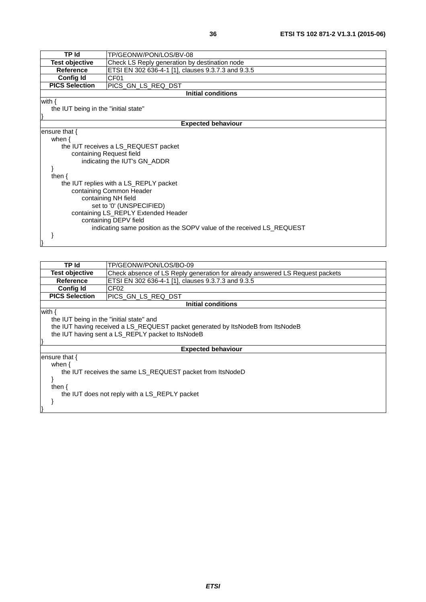| <b>TP Id</b>                                                          | TP/GEONW/PON/LOS/BV-08                             |  |  |
|-----------------------------------------------------------------------|----------------------------------------------------|--|--|
| <b>Test objective</b>                                                 | Check LS Reply generation by destination node      |  |  |
| <b>Reference</b>                                                      | ETSI EN 302 636-4-1 [1], clauses 9.3.7.3 and 9.3.5 |  |  |
| <b>Config Id</b>                                                      | CF <sub>01</sub>                                   |  |  |
| <b>PICS Selection</b>                                                 | PICS_GN_LS_REQ_DST                                 |  |  |
| <b>Initial conditions</b>                                             |                                                    |  |  |
| with $\{$                                                             |                                                    |  |  |
| the IUT being in the "initial state"                                  |                                                    |  |  |
|                                                                       |                                                    |  |  |
| <b>Expected behaviour</b>                                             |                                                    |  |  |
| ensure that $\{$                                                      |                                                    |  |  |
| when $\{$                                                             |                                                    |  |  |
|                                                                       | the IUT receives a LS_REQUEST packet               |  |  |
| containing Request field                                              |                                                    |  |  |
|                                                                       | indicating the IUT's GN_ADDR                       |  |  |
|                                                                       |                                                    |  |  |
| then $\{$                                                             |                                                    |  |  |
| the IUT replies with a LS_REPLY packet                                |                                                    |  |  |
| containing Common Header                                              |                                                    |  |  |
| containing NH field                                                   |                                                    |  |  |
| set to '0' (UNSPECIFIED)                                              |                                                    |  |  |
| containing LS_REPLY Extended Header                                   |                                                    |  |  |
| containing DEPV field                                                 |                                                    |  |  |
| indicating same position as the SOPV value of the received LS_REQUEST |                                                    |  |  |
|                                                                       |                                                    |  |  |
|                                                                       |                                                    |  |  |

| TP Id                                                                           | TP/GEONW/PON/LOS/BO-09                                                       |  |
|---------------------------------------------------------------------------------|------------------------------------------------------------------------------|--|
| <b>Test objective</b>                                                           | Check absence of LS Reply generation for already answered LS Request packets |  |
| Reference                                                                       | ETSI EN 302 636-4-1 [1], clauses 9.3.7.3 and 9.3.5                           |  |
| Config Id                                                                       | CF02                                                                         |  |
| <b>PICS Selection</b>                                                           | PICS GN LS REQ DST                                                           |  |
| Initial conditions                                                              |                                                                              |  |
| with $\{$                                                                       |                                                                              |  |
| the IUT being in the "initial state" and                                        |                                                                              |  |
| the IUT having received a LS_REQUEST packet generated by ItsNodeB from ItsNodeB |                                                                              |  |
| the IUT having sent a LS_REPLY packet to ItsNodeB                               |                                                                              |  |
|                                                                                 |                                                                              |  |
| <b>Expected behaviour</b>                                                       |                                                                              |  |
| ensure that {                                                                   |                                                                              |  |
| when {                                                                          |                                                                              |  |
| the IUT receives the same LS_REQUEST packet from ItsNodeD                       |                                                                              |  |
|                                                                                 |                                                                              |  |
| then $\{$                                                                       |                                                                              |  |
| the IUT does not reply with a LS_REPLY packet                                   |                                                                              |  |
|                                                                                 |                                                                              |  |
|                                                                                 |                                                                              |  |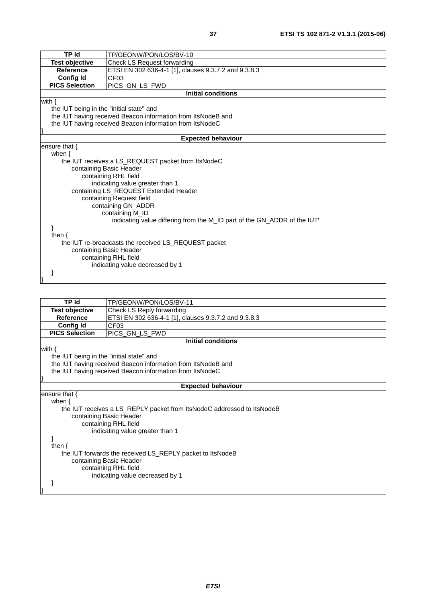| TP Id                                                | TP/GEONW/PON/LOS/BV-10                                                  |  |
|------------------------------------------------------|-------------------------------------------------------------------------|--|
| <b>Test objective</b>                                | Check LS Request forwarding                                             |  |
| <b>Reference</b>                                     | ETSI EN 302 636-4-1 [1], clauses 9.3.7.2 and 9.3.8.3                    |  |
| <b>Config Id</b>                                     | CF03                                                                    |  |
| <b>PICS Selection</b>                                | PICS_GN_LS_FWD                                                          |  |
|                                                      | <b>Initial conditions</b>                                               |  |
| with $\{$                                            |                                                                         |  |
| the IUT being in the "initial state" and             |                                                                         |  |
|                                                      | the IUT having received Beacon information from ItsNodeB and            |  |
|                                                      | the IUT having received Beacon information from ItsNodeC                |  |
|                                                      |                                                                         |  |
|                                                      | <b>Expected behaviour</b>                                               |  |
| ensure that $\{$                                     |                                                                         |  |
| when $\{$                                            |                                                                         |  |
|                                                      | the IUT receives a LS_REQUEST packet from ItsNodeC                      |  |
|                                                      | containing Basic Header                                                 |  |
|                                                      | containing RHL field                                                    |  |
|                                                      | indicating value greater than 1                                         |  |
|                                                      | containing LS_REQUEST Extended Header                                   |  |
|                                                      | containing Request field                                                |  |
| containing GN_ADDR                                   |                                                                         |  |
|                                                      | containing M_ID                                                         |  |
|                                                      | indicating value differing from the M_ID part of the GN_ADDR of the IUT |  |
|                                                      |                                                                         |  |
| then $\{$                                            |                                                                         |  |
| the IUT re-broadcasts the received LS_REQUEST packet |                                                                         |  |
| containing Basic Header                              |                                                                         |  |
| containing RHL field                                 |                                                                         |  |
|                                                      | indicating value decreased by 1                                         |  |
|                                                      |                                                                         |  |
|                                                      |                                                                         |  |

| TP Id                                    | TP/GEONW/PON/LOS/BV-11                                                                                                    |  |
|------------------------------------------|---------------------------------------------------------------------------------------------------------------------------|--|
| <b>Test objective</b>                    | Check LS Reply forwarding                                                                                                 |  |
| Reference                                | ETSI EN 302 636-4-1 [1], clauses 9.3.7.2 and 9.3.8.3                                                                      |  |
| <b>Config Id</b>                         | CF <sub>03</sub>                                                                                                          |  |
| <b>PICS Selection</b>                    | PICS GN_LS_FWD                                                                                                            |  |
|                                          | <b>Initial conditions</b>                                                                                                 |  |
| with $\{$                                |                                                                                                                           |  |
| the IUT being in the "initial state" and |                                                                                                                           |  |
|                                          | the IUT having received Beacon information from ItsNodeB and                                                              |  |
|                                          | the IUT having received Beacon information from ItsNodeC                                                                  |  |
|                                          |                                                                                                                           |  |
|                                          | <b>Expected behaviour</b>                                                                                                 |  |
| ensure that $\{$                         |                                                                                                                           |  |
| when $\{$                                |                                                                                                                           |  |
|                                          |                                                                                                                           |  |
|                                          |                                                                                                                           |  |
|                                          |                                                                                                                           |  |
| indicating value greater than 1          |                                                                                                                           |  |
|                                          |                                                                                                                           |  |
| then $\{$                                |                                                                                                                           |  |
|                                          | the IUT forwards the received LS_REPLY packet to ItsNodeB                                                                 |  |
| containing Basic Header                  |                                                                                                                           |  |
| containing RHL field                     |                                                                                                                           |  |
|                                          | indicating value decreased by 1                                                                                           |  |
|                                          |                                                                                                                           |  |
|                                          |                                                                                                                           |  |
|                                          | the IUT receives a LS_REPLY packet from ItsNodeC addressed to ItsNodeB<br>containing Basic Header<br>containing RHL field |  |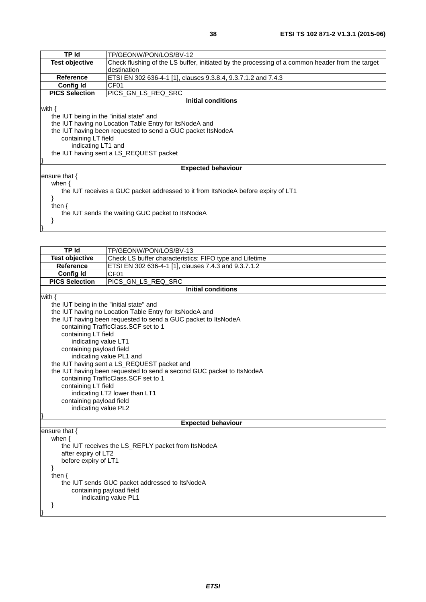| TP Id                                                                            | TP/GEONW/PON/LOS/BV-12                                                                          |  |
|----------------------------------------------------------------------------------|-------------------------------------------------------------------------------------------------|--|
| <b>Test objective</b>                                                            | Check flushing of the LS buffer, initiated by the processing of a common header from the target |  |
|                                                                                  | destination                                                                                     |  |
| <b>Reference</b>                                                                 | ETSI EN 302 636-4-1 [1], clauses 9.3.8.4, 9.3.7.1.2 and 7.4.3                                   |  |
| <b>Config Id</b>                                                                 | CF <sub>01</sub>                                                                                |  |
| <b>PICS Selection</b>                                                            | PICS_GN_LS_REQ_SRC                                                                              |  |
|                                                                                  | <b>Initial conditions</b>                                                                       |  |
| with $\{$                                                                        |                                                                                                 |  |
| the IUT being in the "initial state" and                                         |                                                                                                 |  |
|                                                                                  | the IUT having no Location Table Entry for ItsNodeA and                                         |  |
|                                                                                  | the IUT having been requested to send a GUC packet ItsNodeA                                     |  |
| containing LT field                                                              |                                                                                                 |  |
| indicating LT1 and                                                               |                                                                                                 |  |
| the IUT having sent a LS_REQUEST packet                                          |                                                                                                 |  |
|                                                                                  |                                                                                                 |  |
|                                                                                  | <b>Expected behaviour</b>                                                                       |  |
| ensure that $\{$                                                                 |                                                                                                 |  |
| when $\{$                                                                        |                                                                                                 |  |
| the IUT receives a GUC packet addressed to it from ItsNodeA before expiry of LT1 |                                                                                                 |  |
|                                                                                  |                                                                                                 |  |
| then $\{$                                                                        |                                                                                                 |  |
| the IUT sends the waiting GUC packet to ItsNodeA                                 |                                                                                                 |  |
|                                                                                  |                                                                                                 |  |
|                                                                                  |                                                                                                 |  |
|                                                                                  |                                                                                                 |  |

| <b>TP</b> Id                                       | TP/GEONW/PON/LOS/BV-13                                                |  |
|----------------------------------------------------|-----------------------------------------------------------------------|--|
| <b>Test objective</b>                              | Check LS buffer characteristics: FIFO type and Lifetime               |  |
| <b>Reference</b>                                   | ETSI EN 302 636-4-1 [1], clauses 7.4.3 and 9.3.7.1.2                  |  |
| <b>Config Id</b>                                   | CF <sub>01</sub>                                                      |  |
| <b>PICS Selection</b>                              | PICS_GN_LS_REQ_SRC                                                    |  |
|                                                    | <b>Initial conditions</b>                                             |  |
| with $\{$                                          |                                                                       |  |
| the IUT being in the "initial state" and           |                                                                       |  |
|                                                    | the IUT having no Location Table Entry for ItsNodeA and               |  |
|                                                    | the IUT having been requested to send a GUC packet to ItsNodeA        |  |
|                                                    | containing TrafficClass.SCF set to 1                                  |  |
| containing LT field                                |                                                                       |  |
| indicating value LT1                               |                                                                       |  |
| containing payload field                           |                                                                       |  |
| indicating value PL1 and                           |                                                                       |  |
|                                                    | the IUT having sent a LS_REQUEST packet and                           |  |
|                                                    | the IUT having been requested to send a second GUC packet to ItsNodeA |  |
|                                                    | containing TrafficClass. SCF set to 1                                 |  |
| containing LT field                                |                                                                       |  |
| indicating LT2 lower than LT1                      |                                                                       |  |
| containing payload field                           |                                                                       |  |
| indicating value PL2                               |                                                                       |  |
|                                                    |                                                                       |  |
| <b>Expected behaviour</b>                          |                                                                       |  |
| ensure that $\{$                                   |                                                                       |  |
| when $\{$                                          |                                                                       |  |
| the IUT receives the LS_REPLY packet from ItsNodeA |                                                                       |  |
| after expiry of LT2                                |                                                                       |  |
|                                                    | before expiry of LT1                                                  |  |
| ł                                                  |                                                                       |  |
| then $\{$                                          |                                                                       |  |
| the IUT sends GUC packet addressed to ItsNodeA     |                                                                       |  |
| containing payload field                           |                                                                       |  |
|                                                    | indicating value PL1                                                  |  |
|                                                    |                                                                       |  |
|                                                    |                                                                       |  |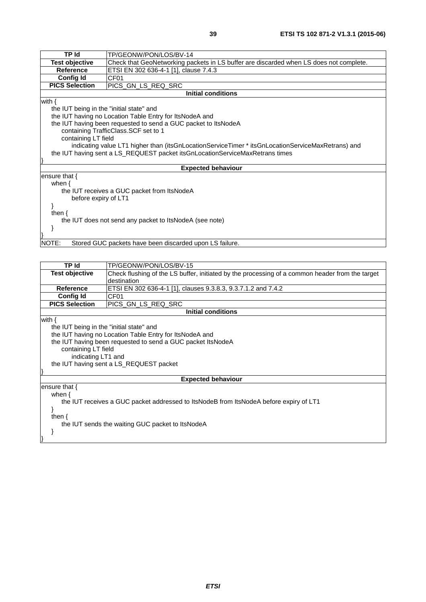| <b>TP Id</b>                                                     | TP/GEONW/PON/LOS/BV-14                                                                            |  |
|------------------------------------------------------------------|---------------------------------------------------------------------------------------------------|--|
| <b>Test objective</b>                                            | Check that GeoNetworking packets in LS buffer are discarded when LS does not complete.            |  |
| <b>Reference</b>                                                 | ETSI EN 302 636-4-1 [1], clause 7.4.3                                                             |  |
| Config Id                                                        | CF <sub>01</sub>                                                                                  |  |
| <b>PICS Selection</b>                                            | PICS_GN_LS_REQ_SRC                                                                                |  |
|                                                                  | <b>Initial conditions</b>                                                                         |  |
| with $\{$                                                        |                                                                                                   |  |
| the IUT being in the "initial state" and                         |                                                                                                   |  |
|                                                                  | the IUT having no Location Table Entry for ItsNodeA and                                           |  |
|                                                                  | the IUT having been requested to send a GUC packet to ItsNodeA                                    |  |
|                                                                  | containing TrafficClass.SCF set to 1                                                              |  |
| containing LT field                                              |                                                                                                   |  |
|                                                                  | indicating value LT1 higher than (itsGnLocationServiceTimer * itsGnLocationServiceMaxRetrans) and |  |
|                                                                  | the IUT having sent a LS_REQUEST packet itsGnLocationServiceMaxRetrans times                      |  |
|                                                                  |                                                                                                   |  |
|                                                                  | <b>Expected behaviour</b>                                                                         |  |
| ensure that $\{$                                                 |                                                                                                   |  |
| when $\{$                                                        |                                                                                                   |  |
| the IUT receives a GUC packet from ItsNodeA                      |                                                                                                   |  |
| before expiry of LT1                                             |                                                                                                   |  |
|                                                                  |                                                                                                   |  |
| then $\{$                                                        |                                                                                                   |  |
| the IUT does not send any packet to ItsNodeA (see note)          |                                                                                                   |  |
|                                                                  |                                                                                                   |  |
|                                                                  |                                                                                                   |  |
| NOTE:<br>Stored GUC packets have been discarded upon LS failure. |                                                                                                   |  |
|                                                                  |                                                                                                   |  |

| TP Id                                                                                  | TP/GEONW/PON/LOS/BV-15                                                                          |  |
|----------------------------------------------------------------------------------------|-------------------------------------------------------------------------------------------------|--|
| <b>Test objective</b>                                                                  | Check flushing of the LS buffer, initiated by the processing of a common header from the target |  |
|                                                                                        | destination                                                                                     |  |
| <b>Reference</b>                                                                       | ETSI EN 302 636-4-1 [1], clauses 9.3.8.3, 9.3.7.1.2 and 7.4.2                                   |  |
| <b>Config Id</b>                                                                       | CF01                                                                                            |  |
| <b>PICS Selection</b>                                                                  | PICS GN LS REQ SRC                                                                              |  |
|                                                                                        | <b>Initial conditions</b>                                                                       |  |
| with $\{$                                                                              |                                                                                                 |  |
|                                                                                        | the IUT being in the "initial state" and                                                        |  |
|                                                                                        | the IUT having no Location Table Entry for ItsNodeA and                                         |  |
|                                                                                        | the IUT having been requested to send a GUC packet ItsNodeA                                     |  |
| containing LT field                                                                    |                                                                                                 |  |
| indicating LT1 and                                                                     |                                                                                                 |  |
| the IUT having sent a LS_REQUEST packet                                                |                                                                                                 |  |
|                                                                                        |                                                                                                 |  |
| <b>Expected behaviour</b>                                                              |                                                                                                 |  |
| ensure that $\{$                                                                       |                                                                                                 |  |
| when $\{$                                                                              |                                                                                                 |  |
| the IUT receives a GUC packet addressed to ItsNodeB from ItsNodeA before expiry of LT1 |                                                                                                 |  |
|                                                                                        |                                                                                                 |  |
| then $\{$                                                                              |                                                                                                 |  |
| the IUT sends the waiting GUC packet to ItsNodeA                                       |                                                                                                 |  |
|                                                                                        |                                                                                                 |  |
|                                                                                        |                                                                                                 |  |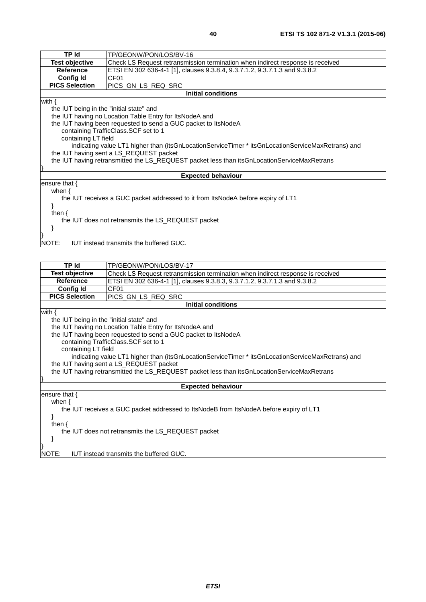| <b>TP Id</b>                                                                                | TP/GEONW/PON/LOS/BV-16                                                                            |  |
|---------------------------------------------------------------------------------------------|---------------------------------------------------------------------------------------------------|--|
| <b>Test objective</b>                                                                       | Check LS Request retransmission termination when indirect response is received                    |  |
| <b>Reference</b>                                                                            | ETSI EN 302 636-4-1 [1], clauses 9.3.8.4, 9.3.7.1.2, 9.3.7.1.3 and 9.3.8.2                        |  |
| <b>Config Id</b>                                                                            | CF <sub>01</sub>                                                                                  |  |
| <b>PICS Selection</b>                                                                       | PICS_GN_LS_REQ_SRC                                                                                |  |
|                                                                                             | <b>Initial conditions</b>                                                                         |  |
| with $\{$                                                                                   |                                                                                                   |  |
|                                                                                             | the IUT being in the "initial state" and                                                          |  |
|                                                                                             | the IUT having no Location Table Entry for ItsNodeA and                                           |  |
|                                                                                             | the IUT having been requested to send a GUC packet to ItsNodeA                                    |  |
|                                                                                             | containing TrafficClass. SCF set to 1                                                             |  |
|                                                                                             | containing LT field                                                                               |  |
|                                                                                             | indicating value LT1 higher than (itsGnLocationServiceTimer * itsGnLocationServiceMaxRetrans) and |  |
| the IUT having sent a LS_REQUEST packet                                                     |                                                                                                   |  |
| the IUT having retransmitted the LS_REQUEST packet less than itsGnLocationServiceMaxRetrans |                                                                                                   |  |
|                                                                                             |                                                                                                   |  |
| ensure that $\{$                                                                            | <b>Expected behaviour</b>                                                                         |  |
| when $\{$                                                                                   |                                                                                                   |  |
| the IUT receives a GUC packet addressed to it from ItsNodeA before expiry of LT1            |                                                                                                   |  |
|                                                                                             |                                                                                                   |  |
| then $\{$                                                                                   |                                                                                                   |  |
| the IUT does not retransmits the LS_REQUEST packet                                          |                                                                                                   |  |
|                                                                                             |                                                                                                   |  |
|                                                                                             |                                                                                                   |  |
| <b>IUT instead transmits the buffered GUC.</b><br>NOTE:                                     |                                                                                                   |  |

| <b>TP Id</b>                                                                                | TP/GEONW/PON/LOS/BV-17                                                                            |
|---------------------------------------------------------------------------------------------|---------------------------------------------------------------------------------------------------|
| Test objective                                                                              | Check LS Request retransmission termination when indirect response is received                    |
| <b>Reference</b>                                                                            | ETSI EN 302 636-4-1 [1], clauses 9.3.8.3, 9.3.7.1.2, 9.3.7.1.3 and 9.3.8.2                        |
| <b>Config Id</b>                                                                            | CF <sub>01</sub>                                                                                  |
| <b>PICS Selection</b>                                                                       | PICS_GN_LS_REQ_SRC                                                                                |
|                                                                                             | <b>Initial conditions</b>                                                                         |
| with $\{$                                                                                   |                                                                                                   |
| the IUT being in the "initial state" and                                                    |                                                                                                   |
|                                                                                             | the IUT having no Location Table Entry for ItsNodeA and                                           |
|                                                                                             | the IUT having been requested to send a GUC packet to ItsNodeA                                    |
|                                                                                             | containing TrafficClass. SCF set to 1                                                             |
| containing LT field                                                                         |                                                                                                   |
|                                                                                             | indicating value LT1 higher than (itsGnLocationServiceTimer * itsGnLocationServiceMaxRetrans) and |
| the IUT having sent a LS_REQUEST packet                                                     |                                                                                                   |
| the IUT having retransmitted the LS_REQUEST packet less than itsGnLocationServiceMaxRetrans |                                                                                                   |
|                                                                                             |                                                                                                   |
|                                                                                             | <b>Expected behaviour</b>                                                                         |
| ensure that $\{$                                                                            |                                                                                                   |
| when $\{$                                                                                   |                                                                                                   |
| the IUT receives a GUC packet addressed to ItsNodeB from ItsNodeA before expiry of LT1      |                                                                                                   |
|                                                                                             |                                                                                                   |
| then $\{$                                                                                   |                                                                                                   |
| the IUT does not retransmits the LS_REQUEST packet                                          |                                                                                                   |
|                                                                                             |                                                                                                   |
|                                                                                             |                                                                                                   |
| <b>IUT</b> instead transmits the buffered GUC.<br>NOTE:                                     |                                                                                                   |
|                                                                                             |                                                                                                   |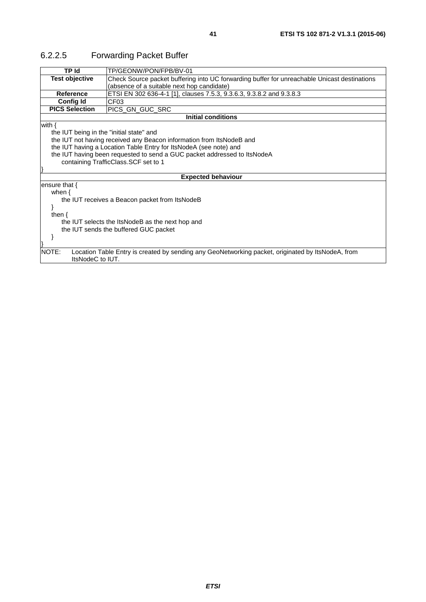| TP Id                                            | TP/GEONW/PON/FPB/BV-01                                                                            |  |
|--------------------------------------------------|---------------------------------------------------------------------------------------------------|--|
| <b>Test objective</b>                            | Check Source packet buffering into UC forwarding buffer for unreachable Unicast destinations      |  |
|                                                  | (absence of a suitable next hop candidate)                                                        |  |
| Reference                                        | ETSI EN 302 636-4-1 [1], clauses 7.5.3, 9.3.6.3, 9.3.8.2 and 9.3.8.3                              |  |
| <b>Config Id</b>                                 | CF <sub>03</sub>                                                                                  |  |
| <b>PICS Selection</b>                            | PICS GN GUC SRC                                                                                   |  |
|                                                  | <b>Initial conditions</b>                                                                         |  |
| with $\{$                                        |                                                                                                   |  |
| the IUT being in the "initial state" and         |                                                                                                   |  |
|                                                  | the IUT not having received any Beacon information from ItsNodeB and                              |  |
|                                                  | the IUT having a Location Table Entry for ItsNodeA (see note) and                                 |  |
|                                                  | the IUT having been requested to send a GUC packet addressed to ItsNodeA                          |  |
|                                                  | containing TrafficClass.SCF set to 1                                                              |  |
|                                                  |                                                                                                   |  |
|                                                  | <b>Expected behaviour</b>                                                                         |  |
| ensure that $\{$                                 |                                                                                                   |  |
| when $\{$                                        |                                                                                                   |  |
|                                                  | the IUT receives a Beacon packet from ItsNodeB                                                    |  |
|                                                  |                                                                                                   |  |
| then $\{$                                        |                                                                                                   |  |
| the IUT selects the ItsNodeB as the next hop and |                                                                                                   |  |
| the IUT sends the buffered GUC packet            |                                                                                                   |  |
|                                                  |                                                                                                   |  |
|                                                  |                                                                                                   |  |
| NOTE:<br>ItsNodeC to IUT.                        | Location Table Entry is created by sending any GeoNetworking packet, originated by ItsNodeA, from |  |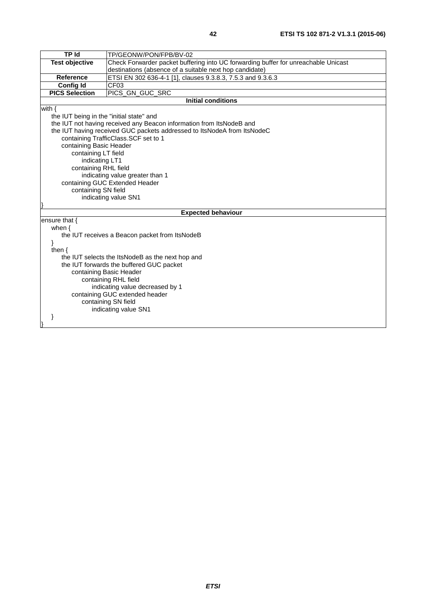| <b>TP Id</b>                                                  | TP/GEONW/PON/FPB/BV-02                                                             |
|---------------------------------------------------------------|------------------------------------------------------------------------------------|
| <b>Test objective</b>                                         | Check Forwarder packet buffering into UC forwarding buffer for unreachable Unicast |
|                                                               | destinations (absence of a suitable next hop candidate)                            |
| Reference                                                     | ETSI EN 302 636-4-1 [1], clauses 9.3.8.3, 7.5.3 and 9.3.6.3                        |
| <b>Config Id</b>                                              | CF03                                                                               |
| <b>PICS Selection</b>                                         | PICS_GN_GUC_SRC                                                                    |
|                                                               | <b>Initial conditions</b>                                                          |
| with $\{$                                                     |                                                                                    |
| the IUT being in the "initial state" and                      |                                                                                    |
|                                                               | the IUT not having received any Beacon information from ItsNodeB and               |
|                                                               | the IUT having received GUC packets addressed to ItsNodeA from ItsNodeC            |
|                                                               | containing TrafficClass. SCF set to 1                                              |
| containing Basic Header                                       |                                                                                    |
| containing LT field                                           |                                                                                    |
| indicating LT1                                                |                                                                                    |
| containing RHL field                                          |                                                                                    |
|                                                               | indicating value greater than 1                                                    |
|                                                               | containing GUC Extended Header                                                     |
| containing SN field                                           |                                                                                    |
|                                                               | indicating value SN1                                                               |
|                                                               |                                                                                    |
|                                                               | <b>Expected behaviour</b>                                                          |
| ensure that {                                                 |                                                                                    |
| when $\{$                                                     |                                                                                    |
| the IUT receives a Beacon packet from ItsNodeB                |                                                                                    |
|                                                               |                                                                                    |
| then $\{$<br>the IUT selects the ItsNodeB as the next hop and |                                                                                    |
| the IUT forwards the buffered GUC packet                      |                                                                                    |
| containing Basic Header                                       |                                                                                    |
| containing RHL field                                          |                                                                                    |
| indicating value decreased by 1                               |                                                                                    |
| containing GUC extended header                                |                                                                                    |
| containing SN field                                           |                                                                                    |
|                                                               | indicating value SN1                                                               |
|                                                               |                                                                                    |
|                                                               |                                                                                    |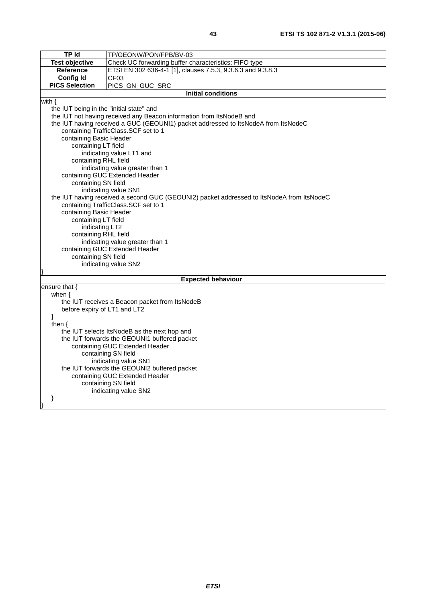| <b>TP Id</b>                                          |                                                                                           |  |
|-------------------------------------------------------|-------------------------------------------------------------------------------------------|--|
|                                                       | TP/GEONW/PON/FPB/BV-03                                                                    |  |
| <b>Test objective</b>                                 | Check UC forwarding buffer characteristics: FIFO type                                     |  |
| Reference                                             | ETSI EN 302 636-4-1 [1], clauses 7.5.3, 9.3.6.3 and 9.3.8.3                               |  |
| <b>Config Id</b>                                      | CFO3                                                                                      |  |
| <b>PICS Selection</b>                                 | PICS_GN_GUC_SRC                                                                           |  |
|                                                       | <b>Initial conditions</b>                                                                 |  |
| with $\{$                                             |                                                                                           |  |
| the IUT being in the "initial state" and              |                                                                                           |  |
|                                                       | the IUT not having received any Beacon information from ItsNodeB and                      |  |
|                                                       | the IUT having received a GUC (GEOUNI1) packet addressed to ItsNodeA from ItsNodeC        |  |
|                                                       | containing TrafficClass.SCF set to 1                                                      |  |
| containing Basic Header                               |                                                                                           |  |
| containing LT field                                   |                                                                                           |  |
|                                                       | indicating value LT1 and                                                                  |  |
| containing RHL field                                  |                                                                                           |  |
|                                                       | indicating value greater than 1                                                           |  |
|                                                       | containing GUC Extended Header                                                            |  |
| containing SN field                                   |                                                                                           |  |
|                                                       | indicating value SN1                                                                      |  |
|                                                       | the IUT having received a second GUC (GEOUNI2) packet addressed to ItsNodeA from ItsNodeC |  |
| containing Basic Header                               | containing TrafficClass.SCF set to 1                                                      |  |
|                                                       |                                                                                           |  |
| containing LT field<br>indicating LT2                 |                                                                                           |  |
| containing RHL field                                  |                                                                                           |  |
|                                                       |                                                                                           |  |
|                                                       | indicating value greater than 1                                                           |  |
| containing GUC Extended Header<br>containing SN field |                                                                                           |  |
|                                                       | indicating value SN2                                                                      |  |
|                                                       |                                                                                           |  |
| <b>Expected behaviour</b>                             |                                                                                           |  |
| ensure that {                                         |                                                                                           |  |
| when $\{$                                             |                                                                                           |  |
| the IUT receives a Beacon packet from ItsNodeB        |                                                                                           |  |
|                                                       | before expiry of LT1 and LT2                                                              |  |
| }                                                     |                                                                                           |  |
| then $\{$                                             |                                                                                           |  |
| the IUT selects ItsNodeB as the next hop and          |                                                                                           |  |
| the IUT forwards the GEOUNI1 buffered packet          |                                                                                           |  |
| containing GUC Extended Header                        |                                                                                           |  |
| containing SN field                                   |                                                                                           |  |
| indicating value SN1                                  |                                                                                           |  |
| the IUT forwards the GEOUNI2 buffered packet          |                                                                                           |  |
| containing GUC Extended Header                        |                                                                                           |  |
| containing SN field                                   |                                                                                           |  |
| indicating value SN2                                  |                                                                                           |  |
| ł                                                     |                                                                                           |  |
|                                                       |                                                                                           |  |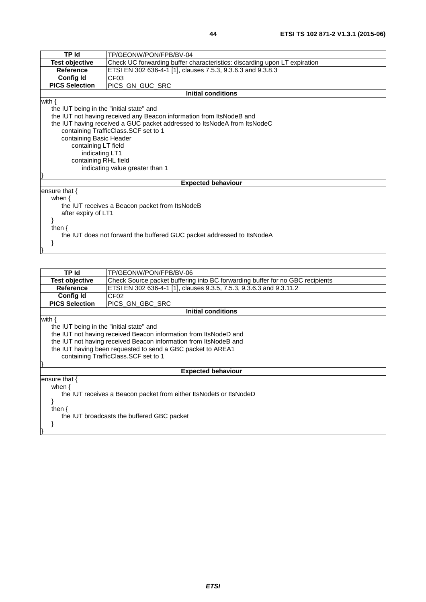|                                                                                                    | <b>TP</b> Id<br>TP/GEONW/PON/FPB/BV-04                                   |  |  |
|----------------------------------------------------------------------------------------------------|--------------------------------------------------------------------------|--|--|
| <b>Test objective</b><br>Check UC forwarding buffer characteristics: discarding upon LT expiration |                                                                          |  |  |
| <b>Reference</b>                                                                                   | ETSI EN 302 636-4-1 [1], clauses 7.5.3, 9.3.6.3 and 9.3.8.3              |  |  |
| <b>Config Id</b>                                                                                   | CF <sub>03</sub>                                                         |  |  |
| <b>PICS Selection</b>                                                                              | PICS_GN_GUC_SRC                                                          |  |  |
|                                                                                                    | <b>Initial conditions</b>                                                |  |  |
| with $\{$                                                                                          |                                                                          |  |  |
| the IUT being in the "initial state" and                                                           |                                                                          |  |  |
|                                                                                                    | the IUT not having received any Beacon information from ItsNodeB and     |  |  |
|                                                                                                    | the IUT having received a GUC packet addressed to ItsNodeA from ItsNodeC |  |  |
|                                                                                                    | containing TrafficClass.SCF set to 1                                     |  |  |
| containing Basic Header                                                                            |                                                                          |  |  |
|                                                                                                    | containing LT field                                                      |  |  |
|                                                                                                    | indicating LT1                                                           |  |  |
| containing RHL field                                                                               |                                                                          |  |  |
| indicating value greater than 1                                                                    |                                                                          |  |  |
|                                                                                                    |                                                                          |  |  |
|                                                                                                    | <b>Expected behaviour</b>                                                |  |  |
| ensure that $\{$                                                                                   |                                                                          |  |  |
| when $\{$                                                                                          |                                                                          |  |  |
| the IUT receives a Beacon packet from ItsNodeB                                                     |                                                                          |  |  |
| after expiry of LT1                                                                                |                                                                          |  |  |
|                                                                                                    |                                                                          |  |  |
| then $\{$                                                                                          |                                                                          |  |  |
| the IUT does not forward the buffered GUC packet addressed to ItsNodeA                             |                                                                          |  |  |
|                                                                                                    |                                                                          |  |  |
|                                                                                                    |                                                                          |  |  |

| TP Id                                                             | TP/GEONW/PON/FPB/BV-06                                                        |  |
|-------------------------------------------------------------------|-------------------------------------------------------------------------------|--|
| <b>Test objective</b>                                             | Check Source packet buffering into BC forwarding buffer for no GBC recipients |  |
| <b>Reference</b>                                                  | ETSI EN 302 636-4-1 [1], clauses 9.3.5, 7.5.3, 9.3.6.3 and 9.3.11.2           |  |
| <b>Config Id</b>                                                  | CF <sub>02</sub>                                                              |  |
| <b>PICS Selection</b>                                             | PICS GN GBC SRC                                                               |  |
|                                                                   | <b>Initial conditions</b>                                                     |  |
| with {                                                            |                                                                               |  |
| the IUT being in the "initial state" and                          |                                                                               |  |
|                                                                   | the IUT not having received Beacon information from ItsNodeD and              |  |
|                                                                   | the IUT not having received Beacon information from ItsNodeB and              |  |
|                                                                   | the IUT having been requested to send a GBC packet to AREA1                   |  |
| containing TrafficClass. SCF set to 1                             |                                                                               |  |
|                                                                   |                                                                               |  |
|                                                                   | <b>Expected behaviour</b>                                                     |  |
| ensure that $\{$                                                  |                                                                               |  |
| when $\{$                                                         |                                                                               |  |
| the IUT receives a Beacon packet from either ItsNodeB or ItsNodeD |                                                                               |  |
|                                                                   |                                                                               |  |
| then $\{$                                                         |                                                                               |  |
|                                                                   | the IUT broadcasts the buffered GBC packet                                    |  |
|                                                                   |                                                                               |  |
|                                                                   |                                                                               |  |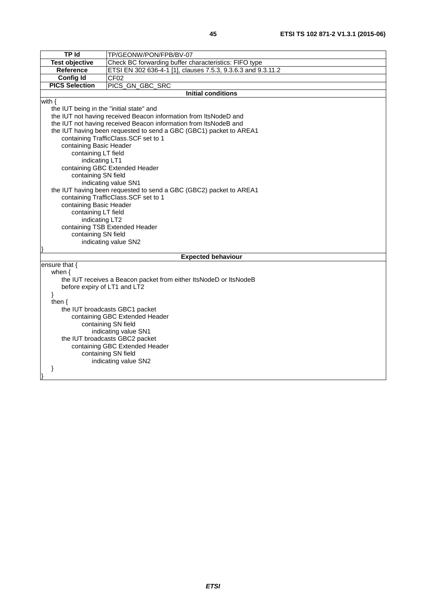| <b>TP Id</b>                                                                   | TP/GEONW/PON/FPB/BV-07                                             |  |
|--------------------------------------------------------------------------------|--------------------------------------------------------------------|--|
| <b>Test objective</b><br>Check BC forwarding buffer characteristics: FIFO type |                                                                    |  |
| Reference                                                                      | ETSI EN 302 636-4-1 [1], clauses 7.5.3, 9.3.6.3 and 9.3.11.2       |  |
| <b>Config Id</b>                                                               | CF02                                                               |  |
| <b>PICS Selection</b>                                                          | PICS_GN_GBC_SRC                                                    |  |
|                                                                                | <b>Initial conditions</b>                                          |  |
| with $\{$                                                                      |                                                                    |  |
| the IUT being in the "initial state" and                                       |                                                                    |  |
|                                                                                | the IUT not having received Beacon information from ItsNodeD and   |  |
|                                                                                | the IUT not having received Beacon information from ItsNodeB and   |  |
|                                                                                | the IUT having been requested to send a GBC (GBC1) packet to AREA1 |  |
|                                                                                | containing TrafficClass.SCF set to 1                               |  |
| containing Basic Header                                                        |                                                                    |  |
| containing LT field                                                            |                                                                    |  |
| indicating LT1                                                                 |                                                                    |  |
|                                                                                | containing GBC Extended Header                                     |  |
| containing SN field                                                            |                                                                    |  |
|                                                                                | indicating value SN1                                               |  |
|                                                                                | the IUT having been requested to send a GBC (GBC2) packet to AREA1 |  |
|                                                                                | containing TrafficClass.SCF set to 1                               |  |
| containing Basic Header                                                        |                                                                    |  |
| containing LT field                                                            |                                                                    |  |
| indicating LT2                                                                 |                                                                    |  |
|                                                                                | containing TSB Extended Header                                     |  |
| containing SN field                                                            |                                                                    |  |
|                                                                                | indicating value SN2                                               |  |
|                                                                                | <b>Expected behaviour</b>                                          |  |
| ensure that {                                                                  |                                                                    |  |
| when $\{$                                                                      |                                                                    |  |
|                                                                                | the IUT receives a Beacon packet from either ItsNodeD or ItsNodeB  |  |
| before expiry of LT1 and LT2                                                   |                                                                    |  |
| }                                                                              |                                                                    |  |
| then $\{$                                                                      |                                                                    |  |
| the IUT broadcasts GBC1 packet                                                 |                                                                    |  |
| containing GBC Extended Header                                                 |                                                                    |  |
| containing SN field                                                            |                                                                    |  |
| indicating value SN1                                                           |                                                                    |  |
| the IUT broadcasts GBC2 packet                                                 |                                                                    |  |
| containing GBC Extended Header                                                 |                                                                    |  |
| containing SN field                                                            |                                                                    |  |
| indicating value SN2                                                           |                                                                    |  |
| ł                                                                              |                                                                    |  |
|                                                                                |                                                                    |  |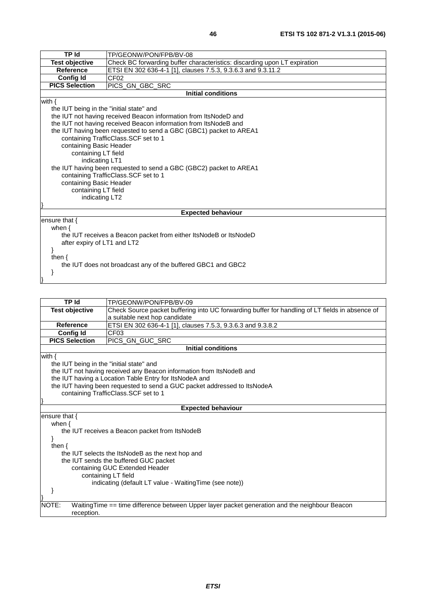| <b>TP Id</b>                             | TP/GEONW/PON/FPB/BV-08                                                    |  |  |
|------------------------------------------|---------------------------------------------------------------------------|--|--|
| <b>Test objective</b>                    | Check BC forwarding buffer characteristics: discarding upon LT expiration |  |  |
| <b>Reference</b>                         | ETSI EN 302 636-4-1 [1], clauses 7.5.3, 9.3.6.3 and 9.3.11.2              |  |  |
| <b>Config Id</b>                         | CF <sub>02</sub>                                                          |  |  |
| <b>PICS Selection</b>                    | PICS_GN_GBC_SRC                                                           |  |  |
|                                          | <b>Initial conditions</b>                                                 |  |  |
| with $\{$                                |                                                                           |  |  |
| the IUT being in the "initial state" and |                                                                           |  |  |
|                                          | the IUT not having received Beacon information from ItsNodeD and          |  |  |
|                                          | the IUT not having received Beacon information from ItsNodeB and          |  |  |
|                                          | the IUT having been requested to send a GBC (GBC1) packet to AREA1        |  |  |
|                                          | containing TrafficClass.SCF set to 1                                      |  |  |
| containing Basic Header                  |                                                                           |  |  |
| containing LT field                      |                                                                           |  |  |
|                                          | indicating LT1                                                            |  |  |
|                                          | the IUT having been requested to send a GBC (GBC2) packet to AREA1        |  |  |
|                                          | containing TrafficClass.SCF set to 1                                      |  |  |
|                                          | containing Basic Header                                                   |  |  |
| containing LT field                      |                                                                           |  |  |
|                                          | indicating LT2                                                            |  |  |
|                                          |                                                                           |  |  |
|                                          | <b>Expected behaviour</b>                                                 |  |  |
| ensure that $\{$                         |                                                                           |  |  |
| when $\{$                                |                                                                           |  |  |
|                                          | the IUT receives a Beacon packet from either ItsNodeB or ItsNodeD         |  |  |
| after expiry of LT1 and LT2              |                                                                           |  |  |
|                                          |                                                                           |  |  |
| then $\{$                                |                                                                           |  |  |
|                                          | the IUT does not broadcast any of the buffered GBC1 and GBC2              |  |  |
|                                          |                                                                           |  |  |
|                                          |                                                                           |  |  |

| <b>TP Id</b>                                            | TP/GEONW/PON/FPB/BV-09                                                                          |  |
|---------------------------------------------------------|-------------------------------------------------------------------------------------------------|--|
| <b>Test objective</b>                                   | Check Source packet buffering into UC forwarding buffer for handling of LT fields in absence of |  |
|                                                         | a suitable next hop candidate                                                                   |  |
| Reference                                               | ETSI EN 302 636-4-1 [1], clauses 7.5.3, 9.3.6.3 and 9.3.8.2                                     |  |
| <b>Config Id</b>                                        | CF <sub>03</sub>                                                                                |  |
| <b>PICS Selection</b>                                   | PICS_GN_GUC_SRC                                                                                 |  |
|                                                         | <b>Initial conditions</b>                                                                       |  |
| with $\{$                                               |                                                                                                 |  |
| the IUT being in the "initial state" and                |                                                                                                 |  |
|                                                         | the IUT not having received any Beacon information from ItsNodeB and                            |  |
|                                                         | the IUT having a Location Table Entry for ItsNodeA and                                          |  |
|                                                         | the IUT having been requested to send a GUC packet addressed to ItsNodeA                        |  |
|                                                         | containing TrafficClass.SCF set to 1                                                            |  |
|                                                         |                                                                                                 |  |
| <b>Expected behaviour</b>                               |                                                                                                 |  |
| ensure that {                                           |                                                                                                 |  |
| when $\{$                                               |                                                                                                 |  |
| the IUT receives a Beacon packet from ItsNodeB          |                                                                                                 |  |
|                                                         |                                                                                                 |  |
| then $\{$                                               |                                                                                                 |  |
| the IUT selects the ItsNodeB as the next hop and        |                                                                                                 |  |
| the IUT sends the buffered GUC packet                   |                                                                                                 |  |
| containing GUC Extended Header                          |                                                                                                 |  |
| containing LT field                                     |                                                                                                 |  |
| indicating (default LT value - Waiting Time (see note)) |                                                                                                 |  |
|                                                         |                                                                                                 |  |
|                                                         |                                                                                                 |  |
| NOTE:                                                   | WaitingTime == time difference between Upper layer packet generation and the neighbour Beacon   |  |
| reception.                                              |                                                                                                 |  |
|                                                         |                                                                                                 |  |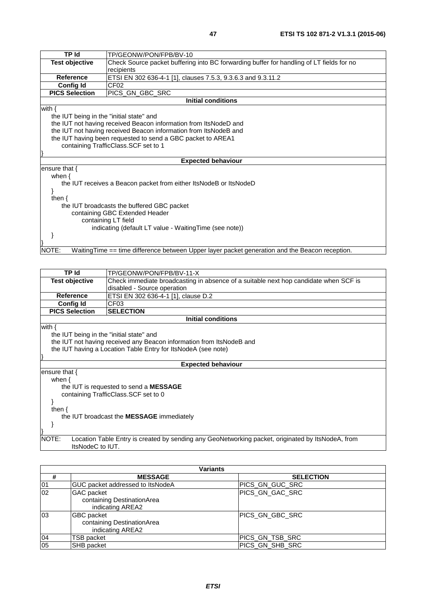| <b>TPId</b>                                             | TP/GEONW/PON/FPB/BV-10                                                                         |  |
|---------------------------------------------------------|------------------------------------------------------------------------------------------------|--|
| <b>Test objective</b>                                   | Check Source packet buffering into BC forwarding buffer for handling of LT fields for no       |  |
|                                                         | recipients                                                                                     |  |
| <b>Reference</b>                                        | ETSI EN 302 636-4-1 [1], clauses 7.5.3, 9.3.6.3 and 9.3.11.2                                   |  |
| <b>Config Id</b>                                        | CF <sub>02</sub>                                                                               |  |
| <b>PICS Selection</b>                                   | PICS_GN_GBC_SRC                                                                                |  |
|                                                         | <b>Initial conditions</b>                                                                      |  |
| with $\{$                                               |                                                                                                |  |
| the IUT being in the "initial state" and                |                                                                                                |  |
|                                                         | the IUT not having received Beacon information from ItsNodeD and                               |  |
|                                                         | the IUT not having received Beacon information from ItsNodeB and                               |  |
|                                                         | the IUT having been requested to send a GBC packet to AREA1                                    |  |
| containing TrafficClass.SCF set to 1                    |                                                                                                |  |
|                                                         |                                                                                                |  |
|                                                         | <b>Expected behaviour</b>                                                                      |  |
| ensure that $\{$                                        |                                                                                                |  |
| when $\{$                                               |                                                                                                |  |
|                                                         | the IUT receives a Beacon packet from either ItsNodeB or ItsNodeD                              |  |
|                                                         |                                                                                                |  |
| then $\{$                                               |                                                                                                |  |
|                                                         | the IUT broadcasts the buffered GBC packet                                                     |  |
| containing GBC Extended Header                          |                                                                                                |  |
| containing LT field                                     |                                                                                                |  |
| indicating (default LT value - Waiting Time (see note)) |                                                                                                |  |
|                                                         |                                                                                                |  |
|                                                         |                                                                                                |  |
| NOTE:                                                   | WaitingTime == time difference between Upper layer packet generation and the Beacon reception. |  |
|                                                         |                                                                                                |  |
|                                                         |                                                                                                |  |

| TP Id                                                                                                                          | TP/GEONW/PON/FPB/BV-11-X                                                             |  |
|--------------------------------------------------------------------------------------------------------------------------------|--------------------------------------------------------------------------------------|--|
| Test objective                                                                                                                 | Check immediate broadcasting in absence of a suitable next hop candidate when SCF is |  |
|                                                                                                                                | disabled - Source operation                                                          |  |
| <b>Reference</b>                                                                                                               | ETSI EN 302 636-4-1 [1], clause D.2                                                  |  |
| <b>Config Id</b>                                                                                                               | CF <sub>03</sub>                                                                     |  |
| <b>PICS Selection</b>                                                                                                          | <b>SELECTION</b>                                                                     |  |
|                                                                                                                                | <b>Initial conditions</b>                                                            |  |
| with $\{$                                                                                                                      |                                                                                      |  |
| the IUT being in the "initial state" and                                                                                       |                                                                                      |  |
|                                                                                                                                | the IUT not having received any Beacon information from ItsNodeB and                 |  |
| the IUT having a Location Table Entry for ItsNodeA (see note)                                                                  |                                                                                      |  |
|                                                                                                                                |                                                                                      |  |
| <b>Expected behaviour</b>                                                                                                      |                                                                                      |  |
| ensure that $\{$                                                                                                               |                                                                                      |  |
| when $\{$                                                                                                                      |                                                                                      |  |
| the IUT is requested to send a <b>MESSAGE</b>                                                                                  |                                                                                      |  |
| containing TrafficClass.SCF set to 0                                                                                           |                                                                                      |  |
|                                                                                                                                |                                                                                      |  |
| then $\{$                                                                                                                      |                                                                                      |  |
| the IUT broadcast the <b>MESSAGE</b> immediately                                                                               |                                                                                      |  |
|                                                                                                                                |                                                                                      |  |
|                                                                                                                                |                                                                                      |  |
| NOTE:<br>Location Table Entry is created by sending any GeoNetworking packet, originated by ItsNodeA, from<br>ItsNodeC to IUT. |                                                                                      |  |

| Variants |                                                                     |                  |
|----------|---------------------------------------------------------------------|------------------|
| #        | <b>MESSAGE</b>                                                      | <b>SELECTION</b> |
| 01       | GUC packet addressed to ItsNodeA                                    | IPICS GN GUC SRC |
| 02       | <b>GAC</b> packet<br>containing DestinationArea<br>indicating AREA2 | PICS GN GAC SRC  |
| 03       | <b>GBC</b> packet<br>containing DestinationArea<br>indicating AREA2 | PICS GN GBC SRC  |
| 04       | <b>TSB packet</b>                                                   | PICS_GN_TSB_SRC  |
| 05       | <b>SHB</b> packet                                                   | PICS GN_SHB_SRC  |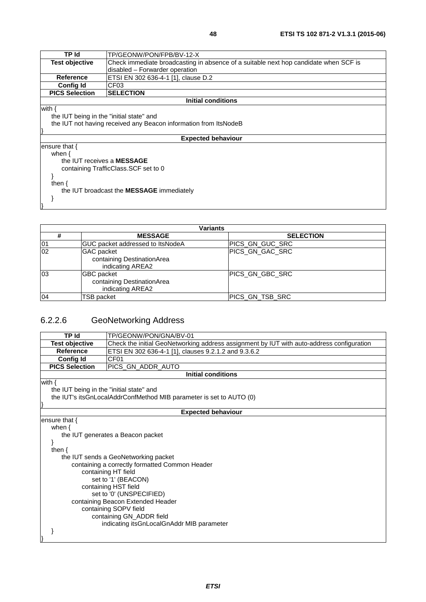| TP/GEONW/PON/FPB/BV-12-X                                                             |  |
|--------------------------------------------------------------------------------------|--|
| Check immediate broadcasting in absence of a suitable next hop candidate when SCF is |  |
| disabled - Forwarder operation                                                       |  |
| ETSI EN 302 636-4-1 [1], clause D.2                                                  |  |
| CF <sub>03</sub>                                                                     |  |
| <b>SELECTION</b>                                                                     |  |
| Initial conditions                                                                   |  |
|                                                                                      |  |
| the IUT being in the "initial state" and                                             |  |
| the IUT not having received any Beacon information from ItsNodeB                     |  |
|                                                                                      |  |
| <b>Expected behaviour</b>                                                            |  |
|                                                                                      |  |
|                                                                                      |  |
| the IUT receives a <b>MESSAGE</b>                                                    |  |
| containing TrafficClass. SCF set to 0                                                |  |
|                                                                                      |  |
|                                                                                      |  |
| the IUT broadcast the <b>MESSAGE</b> immediately                                     |  |
|                                                                                      |  |
|                                                                                      |  |

| <b>Variants</b> |                                                                     |                  |  |
|-----------------|---------------------------------------------------------------------|------------------|--|
| #               | <b>MESSAGE</b>                                                      | <b>SELECTION</b> |  |
| 01              | GUC packet addressed to ItsNodeA                                    | IPICS GN GUC SRC |  |
| 02              | <b>GAC</b> packet<br>containing DestinationArea<br>indicating AREA2 | PICS GN GAC SRC  |  |
| 03              | <b>GBC</b> packet<br>containing DestinationArea<br>indicating AREA2 | PICS GN GBC SRC  |  |
| 04              | TSB packet                                                          | PICS_GN_TSB_SRC  |  |

# 6.2.2.6 GeoNetworking Address

}

| <b>TP Id</b>                                                            | TP/GEONW/PON/GNA/BV-01                                                                    |  |  |
|-------------------------------------------------------------------------|-------------------------------------------------------------------------------------------|--|--|
| <b>Test objective</b>                                                   | Check the initial GeoNetworking address assignment by IUT with auto-address configuration |  |  |
| <b>Reference</b>                                                        | ETSI EN 302 636-4-1 [1], clauses 9.2.1.2 and 9.3.6.2                                      |  |  |
| <b>Config Id</b>                                                        | CF <sub>01</sub>                                                                          |  |  |
| <b>PICS Selection</b>                                                   | PICS_GN_ADDR_AUTO                                                                         |  |  |
|                                                                         | <b>Initial conditions</b>                                                                 |  |  |
| with $\{$                                                               |                                                                                           |  |  |
| the IUT being in the "initial state" and                                |                                                                                           |  |  |
|                                                                         | the IUT's its GnLocal Addr Confl Method MIB parameter is set to AUTO (0)                  |  |  |
|                                                                         |                                                                                           |  |  |
|                                                                         | <b>Expected behaviour</b>                                                                 |  |  |
| ensure that $\{$                                                        |                                                                                           |  |  |
| when $\{$                                                               |                                                                                           |  |  |
|                                                                         | the IUT generates a Beacon packet                                                         |  |  |
|                                                                         |                                                                                           |  |  |
| then $\{$                                                               |                                                                                           |  |  |
|                                                                         | the IUT sends a GeoNetworking packet                                                      |  |  |
|                                                                         | containing a correctly formatted Common Header                                            |  |  |
|                                                                         | containing HT field                                                                       |  |  |
|                                                                         | set to '1' (BEACON)                                                                       |  |  |
| containing HST field                                                    |                                                                                           |  |  |
| set to '0' (UNSPECIFIED)                                                |                                                                                           |  |  |
| containing Beacon Extended Header                                       |                                                                                           |  |  |
| containing SOPV field                                                   |                                                                                           |  |  |
| containing GN_ADDR field<br>indicating its GnLocal GnAddr MIB parameter |                                                                                           |  |  |
|                                                                         |                                                                                           |  |  |
|                                                                         |                                                                                           |  |  |
|                                                                         |                                                                                           |  |  |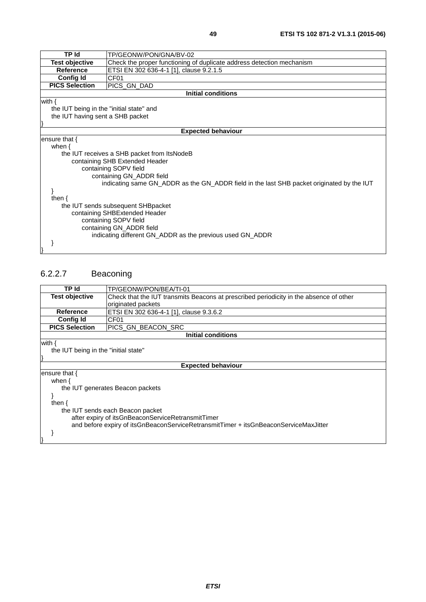| n                  |
|--------------------|
| ×<br>۰.<br>×<br>۰. |

| TP Id                                                                                     | TP/GEONW/PON/GNA/BV-02                                                |  |
|-------------------------------------------------------------------------------------------|-----------------------------------------------------------------------|--|
| <b>Test objective</b>                                                                     | Check the proper functioning of duplicate address detection mechanism |  |
| <b>Reference</b>                                                                          | ETSI EN 302 636-4-1 [1], clause 9.2.1.5                               |  |
| <b>Config Id</b>                                                                          | CF01                                                                  |  |
| <b>PICS Selection</b>                                                                     | PICS_GN_DAD                                                           |  |
|                                                                                           | <b>Initial conditions</b>                                             |  |
| with $\{$                                                                                 |                                                                       |  |
| the IUT being in the "initial state" and                                                  |                                                                       |  |
| the IUT having sent a SHB packet                                                          |                                                                       |  |
|                                                                                           |                                                                       |  |
|                                                                                           | <b>Expected behaviour</b>                                             |  |
| ensure that $\{$                                                                          |                                                                       |  |
| when $\{$                                                                                 |                                                                       |  |
|                                                                                           | the IUT receives a SHB packet from ItsNodeB                           |  |
|                                                                                           | containing SHB Extended Header                                        |  |
|                                                                                           | containing SOPV field                                                 |  |
|                                                                                           | containing GN_ADDR field                                              |  |
| indicating same GN_ADDR as the GN_ADDR field in the last SHB packet originated by the IUT |                                                                       |  |
|                                                                                           |                                                                       |  |
| then $\{$                                                                                 |                                                                       |  |
| the IUT sends subsequent SHBpacket                                                        |                                                                       |  |
| containing SHBExtended Header                                                             |                                                                       |  |
| containing SOPV field<br>containing GN_ADDR field                                         |                                                                       |  |
|                                                                                           | indicating different GN_ADDR as the previous used GN_ADDR             |  |
|                                                                                           |                                                                       |  |
|                                                                                           |                                                                       |  |
|                                                                                           |                                                                       |  |

### 6.2.2.7 Beaconing

| TP Id                                                                                | TP/GEONW/PON/BEA/TI-01                                                                 |  |
|--------------------------------------------------------------------------------------|----------------------------------------------------------------------------------------|--|
| <b>Test objective</b>                                                                | Check that the IUT transmits Beacons at prescribed periodicity in the absence of other |  |
|                                                                                      |                                                                                        |  |
|                                                                                      | originated packets                                                                     |  |
| <b>Reference</b>                                                                     | ETSI EN 302 636-4-1 [1], clause 9.3.6.2                                                |  |
| <b>Config Id</b>                                                                     | CF <sub>01</sub>                                                                       |  |
| <b>PICS Selection</b>                                                                | PICS GN BEACON SRC                                                                     |  |
|                                                                                      | <b>Initial conditions</b>                                                              |  |
| with $\{$                                                                            |                                                                                        |  |
| the IUT being in the "initial state"                                                 |                                                                                        |  |
|                                                                                      |                                                                                        |  |
| <b>Expected behaviour</b>                                                            |                                                                                        |  |
| ensure that $\{$                                                                     |                                                                                        |  |
| when $\{$                                                                            |                                                                                        |  |
|                                                                                      | the IUT generates Beacon packets                                                       |  |
|                                                                                      |                                                                                        |  |
| then $\{$                                                                            |                                                                                        |  |
| the IUT sends each Beacon packet                                                     |                                                                                        |  |
| after expiry of itsGnBeaconServiceRetransmitTimer                                    |                                                                                        |  |
| and before expiry of itsGnBeaconServiceRetransmitTimer + itsGnBeaconServiceMaxJitter |                                                                                        |  |
|                                                                                      |                                                                                        |  |
|                                                                                      |                                                                                        |  |
|                                                                                      |                                                                                        |  |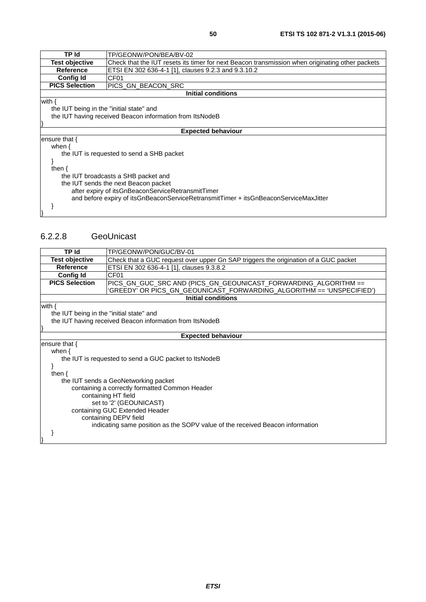| TP Id                                    | TP/GEONW/PON/BEA/BV-02                                                                          |
|------------------------------------------|-------------------------------------------------------------------------------------------------|
| <b>Test objective</b>                    | Check that the IUT resets its timer for next Beacon transmission when originating other packets |
| Reference                                | ETSI EN 302 636-4-1 [1], clauses 9.2.3 and 9.3.10.2                                             |
| <b>Config Id</b>                         | CF <sub>01</sub>                                                                                |
| <b>PICS Selection</b>                    | IPICS GN BEACON SRC                                                                             |
|                                          | Initial conditions                                                                              |
| with {                                   |                                                                                                 |
| the IUT being in the "initial state" and |                                                                                                 |
|                                          | the IUT having received Beacon information from ItsNodeB                                        |
|                                          |                                                                                                 |
|                                          | <b>Expected behaviour</b>                                                                       |
| ensure that $\{$                         |                                                                                                 |
| when $\{$                                |                                                                                                 |
|                                          | the IUT is requested to send a SHB packet                                                       |
|                                          |                                                                                                 |
| then $\{$                                |                                                                                                 |
|                                          | the IUT broadcasts a SHB packet and                                                             |

 and before expiry of itsGnBeaconServiceRetransmitTimer + itsGnBeaconServiceMaxJitter }

}

#### 6.2.2.8 GeoUnicast

the IUT sends the next Beacon packet

after expiry of itsGnBeaconServiceRetransmitTimer

| <b>TP Id</b>                                            | TP/GEONW/PON/GUC/BV-01                                                              |  |
|---------------------------------------------------------|-------------------------------------------------------------------------------------|--|
|                                                         |                                                                                     |  |
| <b>Test objective</b>                                   | Check that a GUC request over upper Gn SAP triggers the origination of a GUC packet |  |
| <b>Reference</b>                                        | ETSI EN 302 636-4-1 [1], clauses 9.3.8.2                                            |  |
| <b>Config Id</b>                                        | CF <sub>01</sub>                                                                    |  |
| <b>PICS Selection</b>                                   | PICS GN GUC SRC AND (PICS GN GEOUNICAST FORWARDING ALGORITHM ==                     |  |
|                                                         | 'GREEDY' OR PICS_GN_GEOUNICAST_FORWARDING_ALGORITHM == 'UNSPECIFIED')               |  |
|                                                         | <b>Initial conditions</b>                                                           |  |
| with $\{$                                               |                                                                                     |  |
| the IUT being in the "initial state" and                |                                                                                     |  |
|                                                         | the IUT having received Beacon information from ItsNodeB                            |  |
|                                                         |                                                                                     |  |
|                                                         | <b>Expected behaviour</b>                                                           |  |
| ensure that {                                           |                                                                                     |  |
| when $\{$                                               |                                                                                     |  |
|                                                         | the IUT is requested to send a GUC packet to ItsNodeB                               |  |
|                                                         |                                                                                     |  |
| then $\{$                                               |                                                                                     |  |
|                                                         | the IUT sends a GeoNetworking packet                                                |  |
|                                                         | containing a correctly formatted Common Header                                      |  |
|                                                         | containing HT field                                                                 |  |
| set to '2' (GEOUNICAST)                                 |                                                                                     |  |
|                                                         |                                                                                     |  |
| containing GUC Extended Header<br>containing DEPV field |                                                                                     |  |
|                                                         |                                                                                     |  |
|                                                         | indicating same position as the SOPV value of the received Beacon information       |  |
|                                                         |                                                                                     |  |
|                                                         |                                                                                     |  |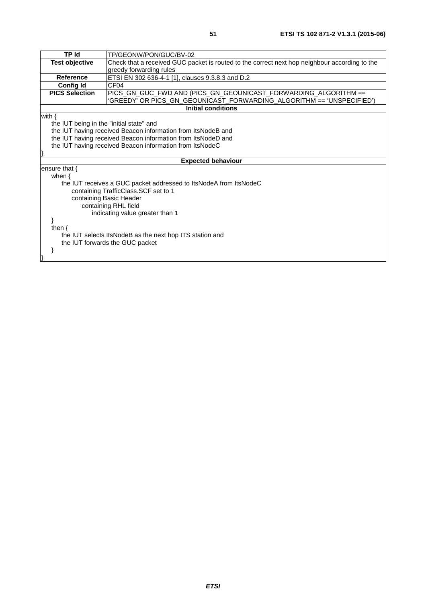| <b>TP Id</b>                                             | TP/GEONW/PON/GUC/BV-02                                                                        |  |
|----------------------------------------------------------|-----------------------------------------------------------------------------------------------|--|
| Test objective                                           | Check that a received GUC packet is routed to the correct next hop neighbour according to the |  |
|                                                          | greedy forwarding rules                                                                       |  |
| <b>Reference</b>                                         | ETSI EN 302 636-4-1 [1], clauses 9.3.8.3 and D.2                                              |  |
| <b>Config Id</b>                                         | CF <sub>04</sub>                                                                              |  |
| <b>PICS Selection</b>                                    | PICS_GN_GUC_FWD AND (PICS_GN_GEOUNICAST_FORWARDING_ALGORITHM ==                               |  |
|                                                          | 'GREEDY' OR PICS_GN_GEOUNICAST_FORWARDING_ALGORITHM == 'UNSPECIFIED')                         |  |
|                                                          | <b>Initial conditions</b>                                                                     |  |
| with $\{$                                                |                                                                                               |  |
| the IUT being in the "initial state" and                 |                                                                                               |  |
|                                                          | the IUT having received Beacon information from ItsNodeB and                                  |  |
|                                                          | the IUT having received Beacon information from ItsNodeD and                                  |  |
| the IUT having received Beacon information from ItsNodeC |                                                                                               |  |
|                                                          |                                                                                               |  |
|                                                          | <b>Expected behaviour</b>                                                                     |  |
| ensure that $\{$                                         |                                                                                               |  |
| when $\{$                                                |                                                                                               |  |
|                                                          | the IUT receives a GUC packet addressed to ItsNodeA from ItsNodeC                             |  |
| containing TrafficClass.SCF set to 1                     |                                                                                               |  |
|                                                          | containing Basic Header                                                                       |  |
| containing RHL field                                     |                                                                                               |  |
| indicating value greater than 1                          |                                                                                               |  |
|                                                          |                                                                                               |  |
| then $\{$                                                |                                                                                               |  |
|                                                          | the IUT selects ItsNodeB as the next hop ITS station and                                      |  |
|                                                          | the IUT forwards the GUC packet                                                               |  |
|                                                          |                                                                                               |  |
|                                                          |                                                                                               |  |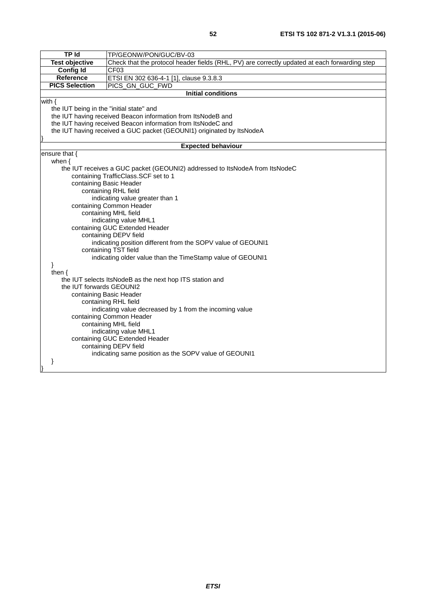|               | ×<br>I |  |
|---------------|--------|--|
| I<br>۰.<br>۰. |        |  |

| <b>TP Id</b>                                                    | TP/GEONW/PON/GUC/BV-03                                                                        |  |
|-----------------------------------------------------------------|-----------------------------------------------------------------------------------------------|--|
| <b>Test objective</b>                                           | Check that the protocol header fields (RHL, PV) are correctly updated at each forwarding step |  |
| <b>Config Id</b>                                                | CF <sub>03</sub>                                                                              |  |
| Reference                                                       | ETSI EN 302 636-4-1 [1], clause 9.3.8.3                                                       |  |
| <b>PICS Selection</b>                                           | PICS_GN_GUC_FWD                                                                               |  |
|                                                                 | <b>Initial conditions</b>                                                                     |  |
| with $\{$                                                       |                                                                                               |  |
| the IUT being in the "initial state" and                        |                                                                                               |  |
|                                                                 | the IUT having received Beacon information from ItsNodeB and                                  |  |
|                                                                 | the IUT having received Beacon information from ItsNodeC and                                  |  |
|                                                                 | the IUT having received a GUC packet (GEOUNI1) originated by ItsNodeA                         |  |
|                                                                 | <b>Expected behaviour</b>                                                                     |  |
| ensure that {                                                   |                                                                                               |  |
| when $\{$                                                       |                                                                                               |  |
|                                                                 | the IUT receives a GUC packet (GEOUNI2) addressed to ItsNodeA from ItsNodeC                   |  |
|                                                                 | containing TrafficClass.SCF set to 1                                                          |  |
|                                                                 | containing Basic Header                                                                       |  |
|                                                                 | containing RHL field                                                                          |  |
|                                                                 | indicating value greater than 1                                                               |  |
|                                                                 | containing Common Header                                                                      |  |
| containing MHL field                                            |                                                                                               |  |
| indicating value MHL1                                           |                                                                                               |  |
| containing GUC Extended Header                                  |                                                                                               |  |
| containing DEPV field                                           |                                                                                               |  |
|                                                                 | indicating position different from the SOPV value of GEOUNI1                                  |  |
| containing TST field                                            |                                                                                               |  |
| indicating older value than the TimeStamp value of GEOUNI1<br>} |                                                                                               |  |
| then $\{$                                                       |                                                                                               |  |
|                                                                 | the IUT selects ItsNodeB as the next hop ITS station and                                      |  |
| the IUT forwards GEOUNI2                                        |                                                                                               |  |
| containing Basic Header                                         |                                                                                               |  |
| containing RHL field                                            |                                                                                               |  |
| indicating value decreased by 1 from the incoming value         |                                                                                               |  |
| containing Common Header                                        |                                                                                               |  |
| containing MHL field                                            |                                                                                               |  |
| indicating value MHL1                                           |                                                                                               |  |
|                                                                 | containing GUC Extended Header                                                                |  |
|                                                                 | containing DEPV field                                                                         |  |
|                                                                 | indicating same position as the SOPV value of GEOUNI1                                         |  |
| ł                                                               |                                                                                               |  |
|                                                                 |                                                                                               |  |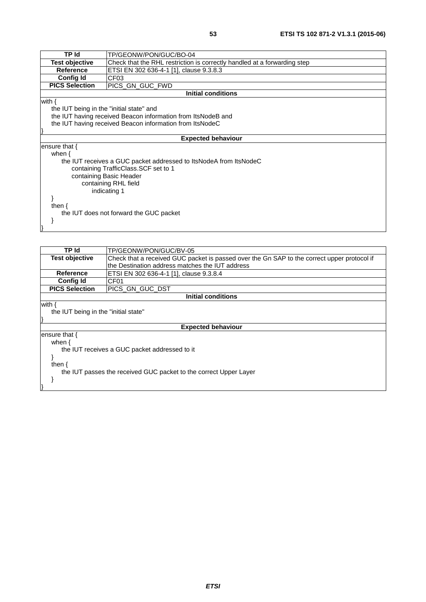| <b>TP Id</b>                             | TP/GEONW/PON/GUC/BO-04                                                   |  |
|------------------------------------------|--------------------------------------------------------------------------|--|
| <b>Test objective</b>                    | Check that the RHL restriction is correctly handled at a forwarding step |  |
| <b>Reference</b>                         | ETSI EN 302 636-4-1 [1], clause 9.3.8.3                                  |  |
| <b>Config Id</b>                         | CF <sub>03</sub>                                                         |  |
| <b>PICS Selection</b>                    | PICS_GN_GUC_FWD                                                          |  |
|                                          | <b>Initial conditions</b>                                                |  |
| with {                                   |                                                                          |  |
| the IUT being in the "initial state" and |                                                                          |  |
|                                          | the IUT having received Beacon information from ItsNodeB and             |  |
|                                          | the IUT having received Beacon information from ItsNodeC                 |  |
|                                          |                                                                          |  |
|                                          | <b>Expected behaviour</b>                                                |  |
| ensure that $\{$                         |                                                                          |  |
| when $\{$                                |                                                                          |  |
|                                          | the IUT receives a GUC packet addressed to ItsNodeA from ItsNodeC        |  |
| containing TrafficClass. SCF set to 1    |                                                                          |  |
|                                          | containing Basic Header                                                  |  |
| containing RHL field                     |                                                                          |  |
|                                          | indicating 1                                                             |  |
|                                          |                                                                          |  |
| then $\{$                                |                                                                          |  |
|                                          | the IUT does not forward the GUC packet                                  |  |
|                                          |                                                                          |  |
|                                          |                                                                          |  |

| TP Id                                                             | TP/GEONW/PON/GUC/BV-05                                                                      |  |
|-------------------------------------------------------------------|---------------------------------------------------------------------------------------------|--|
| <b>Test objective</b>                                             | Check that a received GUC packet is passed over the Gn SAP to the correct upper protocol if |  |
|                                                                   | the Destination address matches the IUT address                                             |  |
| Reference                                                         | ETSI EN 302 636-4-1 [1], clause 9.3.8.4                                                     |  |
| <b>Config Id</b>                                                  | CF01                                                                                        |  |
| <b>PICS Selection</b>                                             | PICS_GN_GUC_DST                                                                             |  |
|                                                                   | Initial conditions                                                                          |  |
| with {                                                            |                                                                                             |  |
| the IUT being in the "initial state"                              |                                                                                             |  |
|                                                                   |                                                                                             |  |
| <b>Expected behaviour</b>                                         |                                                                                             |  |
| ensure that {                                                     |                                                                                             |  |
| when {                                                            |                                                                                             |  |
|                                                                   | the IUT receives a GUC packet addressed to it                                               |  |
|                                                                   |                                                                                             |  |
| then $\{$                                                         |                                                                                             |  |
| the IUT passes the received GUC packet to the correct Upper Layer |                                                                                             |  |
|                                                                   |                                                                                             |  |
|                                                                   |                                                                                             |  |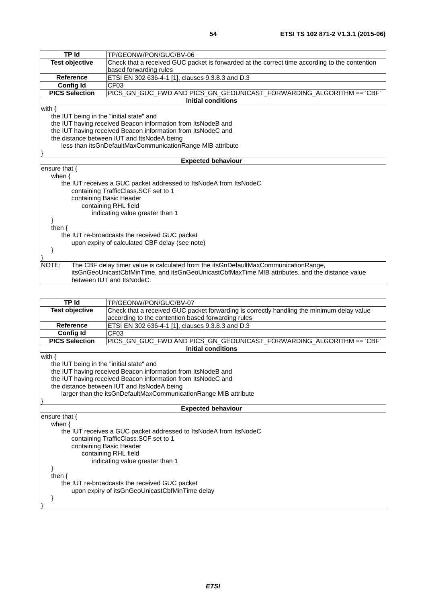| <b>TP Id</b>                                   | TP/GEONW/PON/GUC/BV-06                                                                          |  |
|------------------------------------------------|-------------------------------------------------------------------------------------------------|--|
| <b>Test objective</b>                          | Check that a received GUC packet is forwarded at the correct time according to the contention   |  |
|                                                | based forwarding rules                                                                          |  |
| <b>Reference</b>                               | ETSI EN 302 636-4-1 [1], clauses 9.3.8.3 and D.3                                                |  |
| <b>Config Id</b>                               | CF <sub>03</sub>                                                                                |  |
| <b>PICS Selection</b>                          | PICS_GN_GUC_FWD AND PICS_GN_GEOUNICAST_FORWARDING_ALGORITHM == 'CBF'                            |  |
|                                                | <b>Initial conditions</b>                                                                       |  |
| with $\{$                                      |                                                                                                 |  |
| the IUT being in the "initial state" and       |                                                                                                 |  |
|                                                | the IUT having received Beacon information from ItsNodeB and                                    |  |
|                                                | the IUT having received Beacon information from ItsNodeC and                                    |  |
|                                                | the distance between IUT and ItsNodeA being                                                     |  |
|                                                | less than itsGnDefaultMaxCommunicationRange MIB attribute                                       |  |
|                                                |                                                                                                 |  |
|                                                | <b>Expected behaviour</b>                                                                       |  |
| ensure that {                                  |                                                                                                 |  |
| when $\{$                                      |                                                                                                 |  |
|                                                | the IUT receives a GUC packet addressed to ItsNodeA from ItsNodeC                               |  |
|                                                | containing TrafficClass.SCF set to 1                                                            |  |
|                                                | containing Basic Header                                                                         |  |
|                                                | containing RHL field                                                                            |  |
| indicating value greater than 1                |                                                                                                 |  |
|                                                |                                                                                                 |  |
| then $\{$                                      |                                                                                                 |  |
|                                                | the IUT re-broadcasts the received GUC packet                                                   |  |
| upon expiry of calculated CBF delay (see note) |                                                                                                 |  |
|                                                |                                                                                                 |  |
|                                                |                                                                                                 |  |
| NOTE:                                          | The CBF delay timer value is calculated from the itsGnDefaultMaxCommunicationRange,             |  |
|                                                | itsGnGeoUnicastCbfMinTime, and itsGnGeoUnicastCbfMaxTime MIB attributes, and the distance value |  |
|                                                | between IUT and ItsNodeC.                                                                       |  |
|                                                |                                                                                                 |  |
|                                                |                                                                                                 |  |

|                                                                 | TP Id<br>TP/GEONW/PON/GUC/BV-07                                                           |  |
|-----------------------------------------------------------------|-------------------------------------------------------------------------------------------|--|
| <b>Test objective</b>                                           | Check that a received GUC packet forwarding is correctly handling the minimum delay value |  |
|                                                                 | according to the contention based forwarding rules                                        |  |
| <b>Reference</b>                                                | ETSI EN 302 636-4-1 [1], clauses 9.3.8.3 and D.3                                          |  |
| <b>Config Id</b>                                                | CF <sub>03</sub>                                                                          |  |
| <b>PICS Selection</b>                                           | PICS_GN_GUC_FWD AND PICS_GN_GEOUNICAST_FORWARDING_ALGORITHM == 'CBF'                      |  |
|                                                                 | <b>Initial conditions</b>                                                                 |  |
| with $\{$                                                       |                                                                                           |  |
| the IUT being in the "initial state" and                        |                                                                                           |  |
|                                                                 | the IUT having received Beacon information from ItsNodeB and                              |  |
|                                                                 | the IUT having received Beacon information from ItsNodeC and                              |  |
| the distance between IUT and ItsNodeA being                     |                                                                                           |  |
| larger than the itsGnDefaultMaxCommunicationRange MIB attribute |                                                                                           |  |
|                                                                 |                                                                                           |  |
|                                                                 | <b>Expected behaviour</b>                                                                 |  |
| ensure that $\{$                                                |                                                                                           |  |
| when $\{$                                                       |                                                                                           |  |
|                                                                 | the IUT receives a GUC packet addressed to ItsNodeA from ItsNodeC                         |  |
|                                                                 | containing TrafficClass.SCF set to 1                                                      |  |
| containing Basic Header                                         |                                                                                           |  |
|                                                                 | containing RHL field                                                                      |  |
| indicating value greater than 1                                 |                                                                                           |  |
|                                                                 |                                                                                           |  |
| then $\{$                                                       |                                                                                           |  |
| the IUT re-broadcasts the received GUC packet                   |                                                                                           |  |
|                                                                 | upon expiry of itsGnGeoUnicastCbfMinTime delay                                            |  |
|                                                                 |                                                                                           |  |
|                                                                 |                                                                                           |  |
|                                                                 |                                                                                           |  |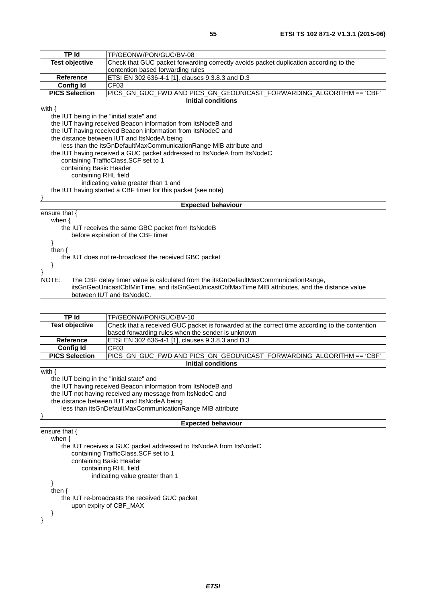| <b>TP Id</b>                                          | TP/GEONW/PON/GUC/BV-08                                                                          |  |
|-------------------------------------------------------|-------------------------------------------------------------------------------------------------|--|
| <b>Test objective</b>                                 | Check that GUC packet forwarding correctly avoids packet duplication according to the           |  |
|                                                       | contention based forwarding rules                                                               |  |
| <b>Reference</b>                                      | ETSI EN 302 636-4-1 [1], clauses 9.3.8.3 and D.3                                                |  |
| <b>Config Id</b>                                      | CF <sub>03</sub>                                                                                |  |
| <b>PICS Selection</b>                                 | PICS_GN_GUC_FWD AND PICS_GN_GEOUNICAST_FORWARDING_ALGORITHM == 'CBF'                            |  |
|                                                       | Initial conditions                                                                              |  |
| with $\{$                                             |                                                                                                 |  |
| the IUT being in the "initial state" and              |                                                                                                 |  |
|                                                       | the IUT having received Beacon information from ItsNodeB and                                    |  |
|                                                       | the IUT having received Beacon information from ItsNodeC and                                    |  |
|                                                       | the distance between IUT and ItsNodeA being                                                     |  |
|                                                       | less than the itsGnDefaultMaxCommunicationRange MIB attribute and                               |  |
|                                                       | the IUT having received a GUC packet addressed to ItsNodeA from ItsNodeC                        |  |
| containing TrafficClass.SCF set to 1                  |                                                                                                 |  |
|                                                       | containing Basic Header                                                                         |  |
|                                                       | containing RHL field                                                                            |  |
| indicating value greater than 1 and                   |                                                                                                 |  |
|                                                       | the IUT having started a CBF timer for this packet (see note)                                   |  |
|                                                       |                                                                                                 |  |
|                                                       | <b>Expected behaviour</b>                                                                       |  |
| ensure that $\{$                                      |                                                                                                 |  |
| when $\{$                                             |                                                                                                 |  |
| the IUT receives the same GBC packet from ItsNodeB    |                                                                                                 |  |
| before expiration of the CBF timer                    |                                                                                                 |  |
|                                                       |                                                                                                 |  |
| then $\{$                                             |                                                                                                 |  |
| the IUT does not re-broadcast the received GBC packet |                                                                                                 |  |
|                                                       |                                                                                                 |  |
|                                                       |                                                                                                 |  |
| NOTE:                                                 | The CBF delay timer value is calculated from the itsGnDefaultMaxCommunicationRange,             |  |
|                                                       | itsGnGeoUnicastCbfMinTime, and itsGnGeoUnicastCbfMaxTime MIB attributes, and the distance value |  |
|                                                       | between IUT and ItsNodeC.                                                                       |  |

| TP Id                                    | TP/GEONW/PON/GUC/BV-10                                                                        |
|------------------------------------------|-----------------------------------------------------------------------------------------------|
| <b>Test objective</b>                    | Check that a received GUC packet is forwarded at the correct time according to the contention |
|                                          | based forwarding rules when the sender is unknown                                             |
| <b>Reference</b>                         | ETSI EN 302 636-4-1 [1], clauses 9.3.8.3 and D.3                                              |
| <b>Config Id</b>                         | CF03                                                                                          |
| <b>PICS Selection</b>                    | PICS_GN_GUC_FWD AND PICS_GN_GEOUNICAST_FORWARDING_ALGORITHM == 'CBF'                          |
|                                          | <b>Initial conditions</b>                                                                     |
| with $\{$                                |                                                                                               |
| the IUT being in the "initial state" and |                                                                                               |
|                                          | the IUT having received Beacon information from ItsNodeB and                                  |
|                                          | the IUT not having received any message from ItsNodeC and                                     |
|                                          | the distance between IUT and ItsNodeA being                                                   |
|                                          | less than itsGnDefaultMaxCommunicationRange MIB attribute                                     |
|                                          |                                                                                               |
|                                          | <b>Expected behaviour</b>                                                                     |
| ensure that $\{$                         |                                                                                               |
| when $\{$                                |                                                                                               |
|                                          | the IUT receives a GUC packet addressed to ItsNodeA from ItsNodeC                             |
|                                          | containing TrafficClass. SCF set to 1                                                         |
|                                          | containing Basic Header                                                                       |
|                                          | containing RHL field                                                                          |
|                                          | indicating value greater than 1                                                               |
|                                          |                                                                                               |
| then $\{$                                | the IUT re-broadcasts the received GUC packet                                                 |
|                                          | upon expiry of CBF_MAX                                                                        |
|                                          |                                                                                               |
|                                          |                                                                                               |
|                                          |                                                                                               |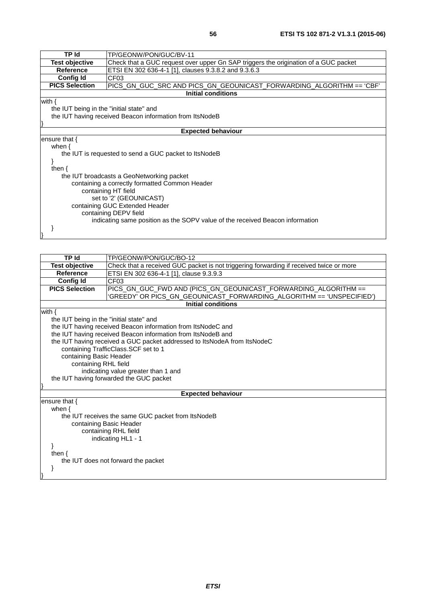| <b>TP Id</b>                             | TP/GEONW/PON/GUC/BV-11                                                              |
|------------------------------------------|-------------------------------------------------------------------------------------|
| <b>Test objective</b>                    | Check that a GUC request over upper Gn SAP triggers the origination of a GUC packet |
| <b>Reference</b>                         | ETSI EN 302 636-4-1 [1], clauses 9.3.8.2 and 9.3.6.3                                |
| <b>Config Id</b>                         | CF <sub>03</sub>                                                                    |
| <b>PICS Selection</b>                    | PICS_GN_GUC_SRC AND PICS_GN_GEOUNICAST_FORWARDING_ALGORITHM == 'CBF'                |
|                                          | <b>Initial conditions</b>                                                           |
| with $\{$                                |                                                                                     |
| the IUT being in the "initial state" and |                                                                                     |
|                                          | the IUT having received Beacon information from ItsNodeB                            |
|                                          |                                                                                     |
|                                          | <b>Expected behaviour</b>                                                           |
| ensure that $\{$                         |                                                                                     |
| when $\{$                                |                                                                                     |
|                                          | the IUT is requested to send a GUC packet to ItsNodeB                               |
|                                          |                                                                                     |
| then $\{$                                |                                                                                     |
|                                          | the IUT broadcasts a GeoNetworking packet                                           |
|                                          | containing a correctly formatted Common Header                                      |
|                                          | containing HT field                                                                 |
|                                          | set to '2' (GEOUNICAST)                                                             |
|                                          | containing GUC Extended Header                                                      |
|                                          | containing DEPV field                                                               |
|                                          | indicating same position as the SOPV value of the received Beacon information       |
|                                          |                                                                                     |
|                                          |                                                                                     |
|                                          |                                                                                     |
|                                          |                                                                                     |

| TP Id                                    | TP/GEONW/PON/GUC/BO-12                                                                  |
|------------------------------------------|-----------------------------------------------------------------------------------------|
| <b>Test objective</b>                    | Check that a received GUC packet is not triggering forwarding if received twice or more |
| Reference                                | ETSI EN 302 636-4-1 [1], clause 9.3.9.3                                                 |
| <b>Config Id</b>                         | CF <sub>03</sub>                                                                        |
| <b>PICS Selection</b>                    | IPICS GN GUC FWD AND (PICS GN GEOUNICAST FORWARDING ALGORITHM ==                        |
|                                          | 'GREEDY' OR PICS_GN_GEOUNICAST_FORWARDING_ALGORITHM == 'UNSPECIFIED')                   |
|                                          | <b>Initial conditions</b>                                                               |
| with {                                   |                                                                                         |
| the IUT being in the "initial state" and |                                                                                         |
|                                          | the IUT having received Beacon information from ItsNodeC and                            |
|                                          | the IUT having received Beacon information from ItsNodeB and                            |
|                                          | the IUT having received a GUC packet addressed to ItsNodeA from ItsNodeC                |
|                                          | $\cdots$ $\cdots$ $\cdots$ $\cdots$ $\cdots$ $\cdots$                                   |

 containing TrafficClass.SCF set to 1 containing Basic Header

containing RHL field

}

}

indicating value greater than 1 and

the IUT having forwarded the GUC packet

**Expected behaviour**

ensure that { when { the IUT receives the same GUC packet from ItsNodeB containing Basic Header containing RHL field indicating HL1 - 1 } then { the IUT does not forward the packet }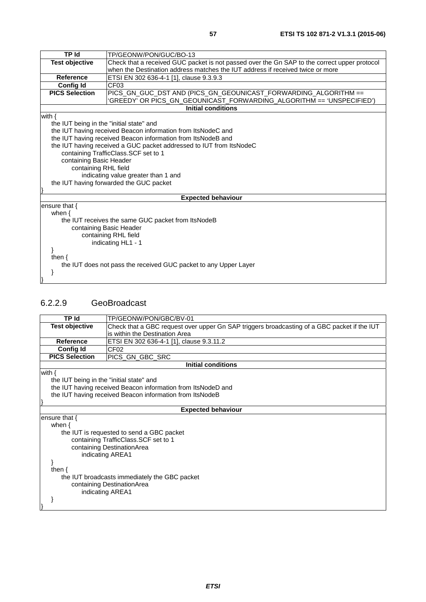| <b>TP Id</b>                             | TP/GEONW/PON/GUC/BO-13                                                                       |
|------------------------------------------|----------------------------------------------------------------------------------------------|
| <b>Test objective</b>                    | Check that a received GUC packet is not passed over the Gn SAP to the correct upper protocol |
|                                          | when the Destination address matches the IUT address if received twice or more               |
| <b>Reference</b>                         | ETSI EN 302 636-4-1 [1], clause 9.3.9.3                                                      |
| <b>Config Id</b>                         | CF <sub>03</sub>                                                                             |
| <b>PICS Selection</b>                    | PICS_GN_GUC_DST AND (PICS_GN_GEOUNICAST_FORWARDING_ALGORITHM ==                              |
|                                          | 'GREEDY' OR PICS_GN_GEOUNICAST_FORWARDING_ALGORITHM == 'UNSPECIFIED')                        |
|                                          | <b>Initial conditions</b>                                                                    |
| with $\{$                                |                                                                                              |
| the IUT being in the "initial state" and |                                                                                              |
|                                          | the IUT having received Beacon information from ItsNodeC and                                 |
|                                          | the IUT having received Beacon information from ItsNodeB and                                 |
|                                          | the IUT having received a GUC packet addressed to IUT from ItsNodeC                          |
|                                          | containing TrafficClass.SCF set to 1                                                         |
| containing Basic Header                  |                                                                                              |
| containing RHL field                     |                                                                                              |
|                                          | indicating value greater than 1 and                                                          |
|                                          | the IUT having forwarded the GUC packet                                                      |
|                                          |                                                                                              |
|                                          | <b>Expected behaviour</b>                                                                    |
| ensure that $\{$                         |                                                                                              |
| when $\{$                                |                                                                                              |
|                                          | the IUT receives the same GUC packet from ItsNodeB                                           |
|                                          | containing Basic Header                                                                      |
|                                          | containing RHL field                                                                         |
|                                          | indicating HL1 - 1                                                                           |
|                                          |                                                                                              |
| then $\{$                                |                                                                                              |
|                                          | the IUT does not pass the received GUC packet to any Upper Layer                             |
|                                          |                                                                                              |
|                                          |                                                                                              |

### 6.2.2.9 GeoBroadcast

| <b>TP Id</b>                             | TP/GEONW/PON/GBC/BV-01                                                                      |
|------------------------------------------|---------------------------------------------------------------------------------------------|
| <b>Test objective</b>                    | Check that a GBC request over upper Gn SAP triggers broadcasting of a GBC packet if the IUT |
|                                          | is within the Destination Area                                                              |
| <b>Reference</b>                         | ETSI EN 302 636-4-1 [1], clause 9.3.11.2                                                    |
| <b>Config Id</b>                         | CF <sub>02</sub>                                                                            |
| <b>PICS Selection</b>                    | PICS_GN_GBC_SRC                                                                             |
|                                          | <b>Initial conditions</b>                                                                   |
| with $\{$                                |                                                                                             |
| the IUT being in the "initial state" and |                                                                                             |
|                                          | the IUT having received Beacon information from ItsNodeD and                                |
|                                          | the IUT having received Beacon information from ItsNodeB                                    |
|                                          |                                                                                             |
|                                          | <b>Expected behaviour</b>                                                                   |
| ensure that $\{$                         |                                                                                             |
| when $\{$                                |                                                                                             |
|                                          | the IUT is requested to send a GBC packet                                                   |
|                                          | containing TrafficClass.SCF set to 1                                                        |
|                                          | containing DestinationArea                                                                  |
| indicating AREA1                         |                                                                                             |
|                                          |                                                                                             |
| then $\{$                                |                                                                                             |
|                                          | the IUT broadcasts immediately the GBC packet                                               |
|                                          | containing DestinationArea                                                                  |
| indicating AREA1                         |                                                                                             |
|                                          |                                                                                             |
|                                          |                                                                                             |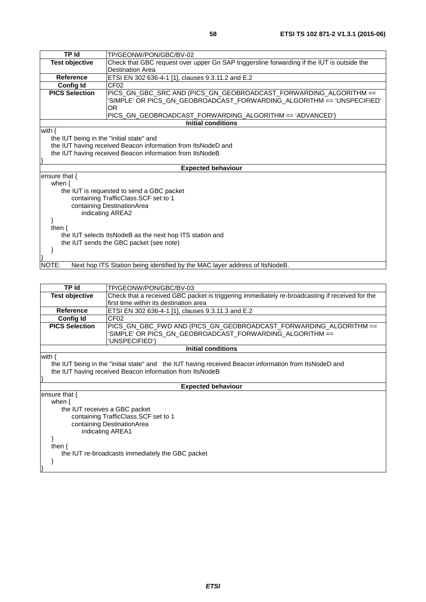| TP Id                                    | TP/GEONW/PON/GBC/BV-02                                                                     |
|------------------------------------------|--------------------------------------------------------------------------------------------|
| <b>Test objective</b>                    | Check that GBC request over upper Gn SAP triggersline forwarding if the IUT is outside the |
|                                          | <b>Destination Area</b>                                                                    |
| Reference                                | ETSI EN 302 636-4-1 [1], clauses 9.3.11.2 and E.2                                          |
| <b>Config Id</b>                         | CF <sub>02</sub>                                                                           |
| <b>PICS Selection</b>                    | SIMPLE' OR PICS_GN_GEOBROADCAST_FORWARDING_ALGORITHM == 'UNSPECIFIED'<br>OR.               |
|                                          | PICS_GN_GEOBROADCAST_FORWARDING_ALGORITHM == 'ADVANCED')                                   |
|                                          | <b>Initial conditions</b>                                                                  |
| with $\{$                                |                                                                                            |
| the IUT being in the "initial state" and |                                                                                            |
|                                          | the IUT having received Beacon information from ItsNodeD and                               |
|                                          | the IUT having received Beacon information from ItsNodeB                                   |
|                                          |                                                                                            |
|                                          | <b>Expected behaviour</b>                                                                  |
| ensure that $\{$                         |                                                                                            |
| when $\{$                                |                                                                                            |
|                                          | the IUT is requested to send a GBC packet                                                  |
|                                          | containing TrafficClass.SCF set to 1                                                       |
|                                          | containing DestinationArea                                                                 |
|                                          | indicating AREA2                                                                           |
|                                          |                                                                                            |
| then $\{$                                |                                                                                            |
|                                          | the IUT selects ItsNodeB as the next hop ITS station and                                   |
|                                          | the IUT sends the GBC packet (see note)                                                    |
|                                          |                                                                                            |
|                                          |                                                                                            |
| NOTE:                                    | Next hop ITS Station being identified by the MAC layer address of ItsNodeB.                |

NOTE: Next hop ITS Station being identified by the MAC layer address of ItsNodeB.

| TP Id                         | TP/GEONW/PON/GBC/BV-03                                                                                |
|-------------------------------|-------------------------------------------------------------------------------------------------------|
| <b>Test objective</b>         | Check that a received GBC packet is triggering immediately re-broadcasting if received for the        |
|                               | first time within its destination area                                                                |
| <b>Reference</b>              | ETSI EN 302 636-4-1 [1], clauses 9.3.11.3 and E.2                                                     |
| <b>Config Id</b>              | CF <sub>02</sub>                                                                                      |
| <b>PICS Selection</b>         | PICS_GN_GBC_FWD AND (PICS_GN_GEOBROADCAST_FORWARDING_ALGORITHM ==                                     |
|                               | SIMPLE' OR PICS_GN_GEOBROADCAST_FORWARDING_ALGORITHM ==                                               |
|                               | UNSPECIFIED')                                                                                         |
|                               | Initial conditions                                                                                    |
| with $\{$                     |                                                                                                       |
|                               | the IUT being in the "initial state" and the IUT having received Beacon information from ItsNodeD and |
|                               | the IUT having received Beacon information from ItsNodeB                                              |
|                               |                                                                                                       |
|                               | <b>Expected behaviour</b>                                                                             |
| ensure that $\{$              |                                                                                                       |
| when $\{$                     |                                                                                                       |
| the IUT receives a GBC packet |                                                                                                       |
|                               | containing TrafficClass. SCF set to 1                                                                 |
|                               | containing DestinationArea                                                                            |
|                               | indicating AREA1                                                                                      |
|                               |                                                                                                       |
| then $\{$                     |                                                                                                       |
|                               | the IUT re-broadcasts immediately the GBC packet                                                      |
|                               |                                                                                                       |
|                               |                                                                                                       |
|                               |                                                                                                       |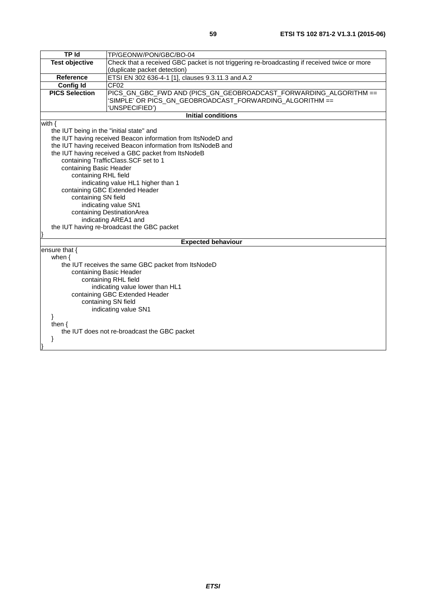| <b>TPId</b>                                     | TP/GEONW/PON/GBC/BO-04                                                                       |
|-------------------------------------------------|----------------------------------------------------------------------------------------------|
| <b>Test objective</b>                           | Check that a received GBC packet is not triggering re-broadcasting if received twice or more |
|                                                 | (duplicate packet detection)                                                                 |
| Reference                                       | ETSI EN 302 636-4-1 [1], clauses 9.3.11.3 and A.2                                            |
| <b>Config Id</b>                                | CF <sub>02</sub>                                                                             |
| <b>PICS Selection</b>                           | PICS_GN_GBC_FWD AND (PICS_GN_GEOBROADCAST_FORWARDING_ALGORITHM ==                            |
|                                                 | SIMPLE' OR PICS_GN_GEOBROADCAST_FORWARDING_ALGORITHM ==                                      |
|                                                 | 'UNSPECIFIED')                                                                               |
|                                                 | <b>Initial conditions</b>                                                                    |
| with $\{$                                       |                                                                                              |
| the IUT being in the "initial state" and        |                                                                                              |
|                                                 | the IUT having received Beacon information from ItsNodeD and                                 |
|                                                 | the IUT having received Beacon information from ItsNodeB and                                 |
|                                                 | the IUT having received a GBC packet from ItsNodeB                                           |
|                                                 | containing TrafficClass.SCF set to 1                                                         |
| containing Basic Header<br>containing RHL field |                                                                                              |
|                                                 | indicating value HL1 higher than 1                                                           |
|                                                 | containing GBC Extended Header                                                               |
| containing SN field                             |                                                                                              |
|                                                 | indicating value SN1                                                                         |
|                                                 | containing DestinationArea                                                                   |
|                                                 | indicating AREA1 and                                                                         |
|                                                 | the IUT having re-broadcast the GBC packet                                                   |
|                                                 |                                                                                              |
|                                                 | <b>Expected behaviour</b>                                                                    |
| ensure that {                                   |                                                                                              |
| when $\{$                                       |                                                                                              |
|                                                 | the IUT receives the same GBC packet from ItsNodeD                                           |
|                                                 | containing Basic Header                                                                      |
|                                                 | containing RHL field                                                                         |
|                                                 | indicating value lower than HL1                                                              |
|                                                 | containing GBC Extended Header                                                               |
|                                                 | containing SN field                                                                          |
|                                                 | indicating value SN1                                                                         |
|                                                 |                                                                                              |
| then $\{$                                       |                                                                                              |
|                                                 | the IUT does not re-broadcast the GBC packet                                                 |
| ł                                               |                                                                                              |
|                                                 |                                                                                              |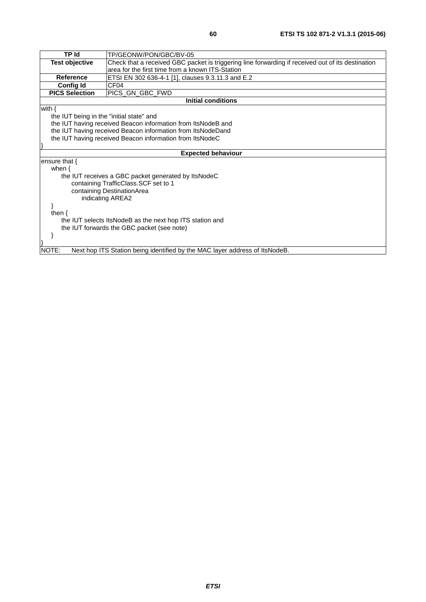| <b>TP Id</b><br>TP/GEONW/PON/GBC/BV-05<br><b>Test objective</b><br>Check that a received GBC packet is triggering line forwarding if received out of its destination<br>area for the first time from a known ITS-Station<br>ETSI EN 302 636-4-1 [1], clauses 9.3.11.3 and E.2<br><b>Reference</b><br>CF <sub>04</sub><br><b>Config Id</b><br><b>PICS Selection</b><br>PICS GN GBC FWD<br><b>Initial conditions</b><br>with $\{$ |
|---------------------------------------------------------------------------------------------------------------------------------------------------------------------------------------------------------------------------------------------------------------------------------------------------------------------------------------------------------------------------------------------------------------------------------|
|                                                                                                                                                                                                                                                                                                                                                                                                                                 |
|                                                                                                                                                                                                                                                                                                                                                                                                                                 |
|                                                                                                                                                                                                                                                                                                                                                                                                                                 |
|                                                                                                                                                                                                                                                                                                                                                                                                                                 |
|                                                                                                                                                                                                                                                                                                                                                                                                                                 |
|                                                                                                                                                                                                                                                                                                                                                                                                                                 |
|                                                                                                                                                                                                                                                                                                                                                                                                                                 |
| the IUT being in the "initial state" and                                                                                                                                                                                                                                                                                                                                                                                        |
| the IUT having received Beacon information from ItsNodeB and                                                                                                                                                                                                                                                                                                                                                                    |
| the IUT having received Beacon information from ItsNodeDand                                                                                                                                                                                                                                                                                                                                                                     |
| the IUT having received Beacon information from ItsNodeC                                                                                                                                                                                                                                                                                                                                                                        |
|                                                                                                                                                                                                                                                                                                                                                                                                                                 |
| <b>Expected behaviour</b>                                                                                                                                                                                                                                                                                                                                                                                                       |
| ensure that $\{$                                                                                                                                                                                                                                                                                                                                                                                                                |
| when $\{$                                                                                                                                                                                                                                                                                                                                                                                                                       |
| the IUT receives a GBC packet generated by ItsNodeC                                                                                                                                                                                                                                                                                                                                                                             |
| containing TrafficClass.SCF set to 1                                                                                                                                                                                                                                                                                                                                                                                            |
| containing DestinationArea                                                                                                                                                                                                                                                                                                                                                                                                      |
| indicating AREA2                                                                                                                                                                                                                                                                                                                                                                                                                |
|                                                                                                                                                                                                                                                                                                                                                                                                                                 |
| then $\{$                                                                                                                                                                                                                                                                                                                                                                                                                       |
| the IUT selects ItsNodeB as the next hop ITS station and                                                                                                                                                                                                                                                                                                                                                                        |
| the IUT forwards the GBC packet (see note)                                                                                                                                                                                                                                                                                                                                                                                      |
|                                                                                                                                                                                                                                                                                                                                                                                                                                 |
|                                                                                                                                                                                                                                                                                                                                                                                                                                 |
| NOTE:<br>Next hop ITS Station being identified by the MAC layer address of ItsNodeB.                                                                                                                                                                                                                                                                                                                                            |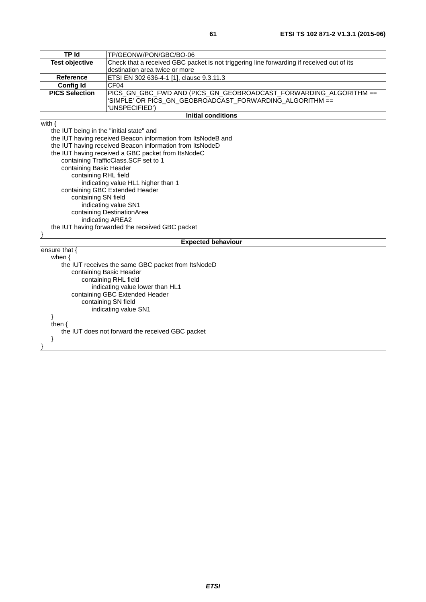| <b>TP Id</b>                             | TP/GEONW/PON/GBC/BO-06                                                                    |
|------------------------------------------|-------------------------------------------------------------------------------------------|
| <b>Test objective</b>                    | Check that a received GBC packet is not triggering line forwarding if received out of its |
|                                          | destination area twice or more                                                            |
| <b>Reference</b>                         | ETSI EN 302 636-4-1 [1], clause 9.3.11.3                                                  |
| <b>Config Id</b>                         | CF04                                                                                      |
| <b>PICS Selection</b>                    | PICS_GN_GBC_FWD AND (PICS_GN_GEOBROADCAST_FORWARDING_ALGORITHM ==                         |
|                                          | 'SIMPLE' OR PICS_GN_GEOBROADCAST_FORWARDING_ALGORITHM ==                                  |
|                                          | 'UNSPECIFIED')                                                                            |
|                                          | <b>Initial conditions</b>                                                                 |
| with $\{$                                |                                                                                           |
| the IUT being in the "initial state" and |                                                                                           |
|                                          | the IUT having received Beacon information from ItsNodeB and                              |
|                                          | the IUT having received Beacon information from ItsNodeD                                  |
|                                          | the IUT having received a GBC packet from ItsNodeC                                        |
|                                          | containing TrafficClass.SCF set to 1                                                      |
| containing Basic Header                  |                                                                                           |
| containing RHL field                     |                                                                                           |
|                                          | indicating value HL1 higher than 1                                                        |
|                                          | containing GBC Extended Header                                                            |
| containing SN field                      |                                                                                           |
|                                          | indicating value SN1                                                                      |
|                                          | containing DestinationArea                                                                |
|                                          | indicating AREA2                                                                          |
|                                          | the IUT having forwarded the received GBC packet                                          |
|                                          |                                                                                           |
|                                          | <b>Expected behaviour</b>                                                                 |
| ensure that $\{$                         |                                                                                           |
| when $\{$                                |                                                                                           |
|                                          | the IUT receives the same GBC packet from ItsNodeD                                        |
|                                          | containing Basic Header                                                                   |
|                                          | containing RHL field                                                                      |
|                                          | indicating value lower than HL1                                                           |
|                                          | containing GBC Extended Header                                                            |
|                                          | containing SN field                                                                       |
|                                          | indicating value SN1                                                                      |
| ł                                        |                                                                                           |
| then $\{$                                |                                                                                           |
|                                          | the IUT does not forward the received GBC packet                                          |
|                                          |                                                                                           |
| ł                                        |                                                                                           |
|                                          |                                                                                           |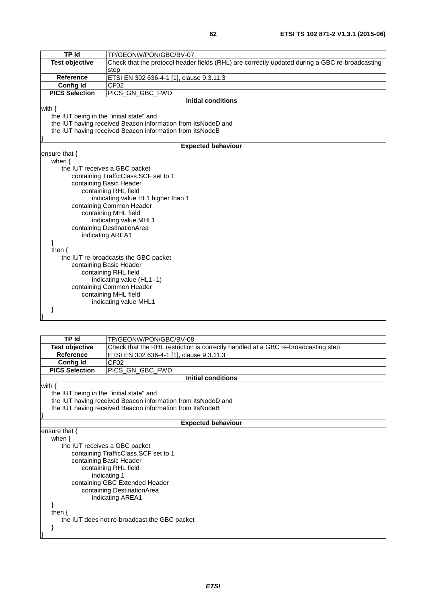| <b>TP Id</b>                             | TP/GEONW/PON/GBC/BV-07                                                                         |
|------------------------------------------|------------------------------------------------------------------------------------------------|
| <b>Test objective</b>                    | Check that the protocol header fields (RHL) are correctly updated during a GBC re-broadcasting |
|                                          | step                                                                                           |
| Reference                                | ETSI EN 302 636-4-1 [1], clause 9.3.11.3                                                       |
| <b>Config Id</b>                         | CF <sub>02</sub>                                                                               |
| <b>PICS Selection</b>                    | PICS_GN_GBC_FWD                                                                                |
|                                          | <b>Initial conditions</b>                                                                      |
| with $\{$                                |                                                                                                |
| the IUT being in the "initial state" and |                                                                                                |
|                                          | the IUT having received Beacon information from ItsNodeD and                                   |
|                                          | the IUT having received Beacon information from ItsNodeB                                       |
|                                          |                                                                                                |
|                                          | <b>Expected behaviour</b>                                                                      |
| ensure that $\{$                         |                                                                                                |
| when $\{$                                |                                                                                                |
|                                          | the IUT receives a GBC packet                                                                  |
|                                          | containing TrafficClass.SCF set to 1                                                           |
|                                          | containing Basic Header                                                                        |
|                                          | containing RHL field                                                                           |
|                                          | indicating value HL1 higher than 1                                                             |
|                                          | containing Common Header                                                                       |
|                                          | containing MHL field                                                                           |
|                                          | indicating value MHL1                                                                          |
|                                          | containing DestinationArea                                                                     |
|                                          | indicating AREA1                                                                               |
|                                          |                                                                                                |
| then $\{$                                |                                                                                                |
|                                          | the IUT re-broadcasts the GBC packet                                                           |
|                                          | containing Basic Header                                                                        |
|                                          | containing RHL field                                                                           |
|                                          | indicating value (HL1-1)                                                                       |
|                                          | containing Common Header                                                                       |
|                                          | containing MHL field                                                                           |
|                                          | indicating value MHL1                                                                          |
|                                          |                                                                                                |
|                                          |                                                                                                |

| <b>Test objective</b><br>Check that the RHL restriction is correctly handled at a GBC re-broadcasting step<br><b>Reference</b><br>ETSI EN 302 636-4-1 [1], clause 9.3.11.3<br>CF <sub>02</sub><br><b>Config Id</b><br><b>PICS Selection</b><br>PICS_GN_GBC_FWD<br><b>Initial conditions</b><br>with $\{$<br>the IUT being in the "initial state" and<br>the IUT having received Beacon information from ItsNodeD and<br>the IUT having received Beacon information from ItsNodeB |
|----------------------------------------------------------------------------------------------------------------------------------------------------------------------------------------------------------------------------------------------------------------------------------------------------------------------------------------------------------------------------------------------------------------------------------------------------------------------------------|
|                                                                                                                                                                                                                                                                                                                                                                                                                                                                                  |
|                                                                                                                                                                                                                                                                                                                                                                                                                                                                                  |
|                                                                                                                                                                                                                                                                                                                                                                                                                                                                                  |
|                                                                                                                                                                                                                                                                                                                                                                                                                                                                                  |
|                                                                                                                                                                                                                                                                                                                                                                                                                                                                                  |
|                                                                                                                                                                                                                                                                                                                                                                                                                                                                                  |
|                                                                                                                                                                                                                                                                                                                                                                                                                                                                                  |
|                                                                                                                                                                                                                                                                                                                                                                                                                                                                                  |
|                                                                                                                                                                                                                                                                                                                                                                                                                                                                                  |
|                                                                                                                                                                                                                                                                                                                                                                                                                                                                                  |
| <b>Expected behaviour</b>                                                                                                                                                                                                                                                                                                                                                                                                                                                        |
| ensure that $\{$                                                                                                                                                                                                                                                                                                                                                                                                                                                                 |
| when $\{$                                                                                                                                                                                                                                                                                                                                                                                                                                                                        |
| the IUT receives a GBC packet                                                                                                                                                                                                                                                                                                                                                                                                                                                    |
| containing TrafficClass. SCF set to 1                                                                                                                                                                                                                                                                                                                                                                                                                                            |
| containing Basic Header                                                                                                                                                                                                                                                                                                                                                                                                                                                          |
| containing RHL field                                                                                                                                                                                                                                                                                                                                                                                                                                                             |
| indicating 1                                                                                                                                                                                                                                                                                                                                                                                                                                                                     |
| containing GBC Extended Header                                                                                                                                                                                                                                                                                                                                                                                                                                                   |
| containing DestinationArea                                                                                                                                                                                                                                                                                                                                                                                                                                                       |
| indicating AREA1                                                                                                                                                                                                                                                                                                                                                                                                                                                                 |
|                                                                                                                                                                                                                                                                                                                                                                                                                                                                                  |
| then $\{$                                                                                                                                                                                                                                                                                                                                                                                                                                                                        |
| the IUT does not re-broadcast the GBC packet                                                                                                                                                                                                                                                                                                                                                                                                                                     |
| }                                                                                                                                                                                                                                                                                                                                                                                                                                                                                |
|                                                                                                                                                                                                                                                                                                                                                                                                                                                                                  |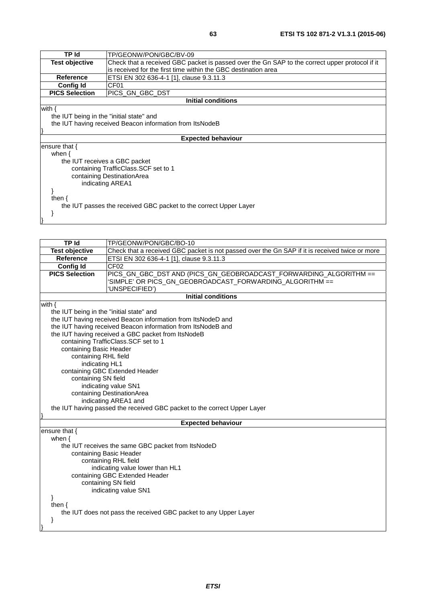| TP Id                                                             | TP/GEONW/PON/GBC/BV-09                                                                         |  |
|-------------------------------------------------------------------|------------------------------------------------------------------------------------------------|--|
| <b>Test objective</b>                                             | Check that a received GBC packet is passed over the Gn SAP to the correct upper protocol if it |  |
|                                                                   | is received for the first time within the GBC destination area                                 |  |
| <b>Reference</b>                                                  | ETSI EN 302 636-4-1 [1], clause 9.3.11.3                                                       |  |
| <b>Config Id</b>                                                  | CF <sub>01</sub>                                                                               |  |
| <b>PICS Selection</b>                                             | PICS GN GBC DST                                                                                |  |
|                                                                   | Initial conditions                                                                             |  |
| with $\{$                                                         |                                                                                                |  |
| the IUT being in the "initial state" and                          |                                                                                                |  |
|                                                                   | the IUT having received Beacon information from ItsNodeB                                       |  |
|                                                                   |                                                                                                |  |
|                                                                   | <b>Expected behaviour</b>                                                                      |  |
| ensure that $\{$                                                  |                                                                                                |  |
| when $\{$                                                         |                                                                                                |  |
|                                                                   | the IUT receives a GBC packet                                                                  |  |
|                                                                   | containing TrafficClass. SCF set to 1                                                          |  |
|                                                                   | containing DestinationArea                                                                     |  |
| indicating AREA1                                                  |                                                                                                |  |
|                                                                   |                                                                                                |  |
| then $\{$                                                         |                                                                                                |  |
| the IUT passes the received GBC packet to the correct Upper Layer |                                                                                                |  |
|                                                                   |                                                                                                |  |
|                                                                   |                                                                                                |  |
|                                                                   |                                                                                                |  |

| <b>TP Id</b>                                                             | TP/GEONW/PON/GBC/BO-10                                                                         |  |  |
|--------------------------------------------------------------------------|------------------------------------------------------------------------------------------------|--|--|
| <b>Test objective</b>                                                    | Check that a received GBC packet is not passed over the Gn SAP if it is received twice or more |  |  |
| <b>Reference</b>                                                         | ETSI EN 302 636-4-1 [1], clause 9.3.11.3                                                       |  |  |
| <b>Config Id</b>                                                         | CF <sub>02</sub>                                                                               |  |  |
| <b>PICS Selection</b>                                                    | PICS GN GBC DST AND (PICS GN GEOBROADCAST FORWARDING ALGORITHM ==                              |  |  |
|                                                                          | SIMPLE' OR PICS_GN_GEOBROADCAST_FORWARDING_ALGORITHM ==                                        |  |  |
|                                                                          | UNSPECIFIED')                                                                                  |  |  |
|                                                                          | <b>Initial conditions</b>                                                                      |  |  |
| with $\{$                                                                |                                                                                                |  |  |
| the IUT being in the "initial state" and                                 |                                                                                                |  |  |
|                                                                          | the IUT having received Beacon information from ItsNodeD and                                   |  |  |
|                                                                          | the IUT having received Beacon information from ItsNodeB and                                   |  |  |
|                                                                          | the IUT having received a GBC packet from ItsNodeB                                             |  |  |
|                                                                          | containing TrafficClass.SCF set to 1                                                           |  |  |
| containing Basic Header                                                  |                                                                                                |  |  |
| containing RHL field                                                     |                                                                                                |  |  |
| indicating HL1                                                           |                                                                                                |  |  |
|                                                                          | containing GBC Extended Header                                                                 |  |  |
| containing SN field                                                      |                                                                                                |  |  |
| indicating value SN1                                                     |                                                                                                |  |  |
| containing DestinationArea                                               |                                                                                                |  |  |
|                                                                          | indicating AREA1 and                                                                           |  |  |
| the IUT having passed the received GBC packet to the correct Upper Layer |                                                                                                |  |  |
|                                                                          |                                                                                                |  |  |
| <b>Expected behaviour</b>                                                |                                                                                                |  |  |
| ensure that {                                                            |                                                                                                |  |  |
| when $\{$                                                                |                                                                                                |  |  |
| the IUT receives the same GBC packet from ItsNodeD                       |                                                                                                |  |  |
| containing Basic Header                                                  |                                                                                                |  |  |
| containing RHL field                                                     |                                                                                                |  |  |
| indicating value lower than HL1                                          |                                                                                                |  |  |
|                                                                          | containing GBC Extended Header                                                                 |  |  |
| containing SN field                                                      |                                                                                                |  |  |

indicating value SN1

 } then {

}

 the IUT does not pass the received GBC packet to any Upper Layer }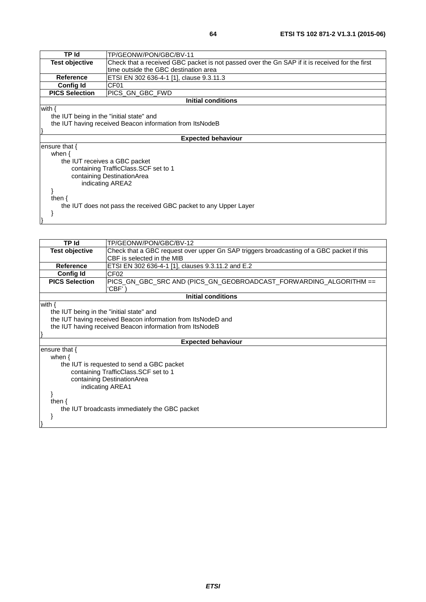| TP Id                                                            | TP/GEONW/PON/GBC/BV-11                                                                         |  |
|------------------------------------------------------------------|------------------------------------------------------------------------------------------------|--|
| <b>Test objective</b>                                            | Check that a received GBC packet is not passed over the Gn SAP if it is received for the first |  |
|                                                                  | time outside the GBC destination area                                                          |  |
| Reference                                                        | ETSI EN 302 636-4-1 [1], clause 9.3.11.3                                                       |  |
| Config Id                                                        | CF <sub>01</sub>                                                                               |  |
| <b>PICS Selection</b>                                            | PICS GN GBC FWD                                                                                |  |
|                                                                  | <b>Initial conditions</b>                                                                      |  |
| with $\{$                                                        |                                                                                                |  |
| the IUT being in the "initial state" and                         |                                                                                                |  |
|                                                                  | the IUT having received Beacon information from ItsNodeB                                       |  |
|                                                                  |                                                                                                |  |
|                                                                  | <b>Expected behaviour</b>                                                                      |  |
| ensure that {                                                    |                                                                                                |  |
| when $\{$                                                        |                                                                                                |  |
| the IUT receives a GBC packet                                    |                                                                                                |  |
| containing TrafficClass. SCF set to 1                            |                                                                                                |  |
| containing DestinationArea                                       |                                                                                                |  |
| indicating AREA2                                                 |                                                                                                |  |
|                                                                  |                                                                                                |  |
| then $\{$                                                        |                                                                                                |  |
| the IUT does not pass the received GBC packet to any Upper Layer |                                                                                                |  |
|                                                                  |                                                                                                |  |

 } }

| TP Id                                                                                                                                                                             | TP/GEONW/PON/GBC/BV-12                                                                                                 |  |
|-----------------------------------------------------------------------------------------------------------------------------------------------------------------------------------|------------------------------------------------------------------------------------------------------------------------|--|
| <b>Test objective</b>                                                                                                                                                             | Check that a GBC request over upper Gn SAP triggers broadcasting of a GBC packet if this<br>CBF is selected in the MIB |  |
| <b>Reference</b>                                                                                                                                                                  | ETSI EN 302 636-4-1 [1], clauses 9.3.11.2 and E.2                                                                      |  |
| <b>Config Id</b>                                                                                                                                                                  | CF <sub>02</sub>                                                                                                       |  |
| <b>PICS Selection</b>                                                                                                                                                             | 'CBF'                                                                                                                  |  |
|                                                                                                                                                                                   | <b>Initial conditions</b>                                                                                              |  |
| with $\{$<br>the IUT being in the "initial state" and<br>the IUT having received Beacon information from ItsNodeD and<br>the IUT having received Beacon information from ItsNodeB |                                                                                                                        |  |
|                                                                                                                                                                                   | <b>Expected behaviour</b>                                                                                              |  |
|                                                                                                                                                                                   |                                                                                                                        |  |
| ensure that {<br>when $\{$<br>the IUT is requested to send a GBC packet<br>containing TrafficClass. SCF set to 1<br>containing DestinationArea<br>indicating AREA1                |                                                                                                                        |  |
| then $\{$                                                                                                                                                                         | the IUT broadcasts immediately the GBC packet                                                                          |  |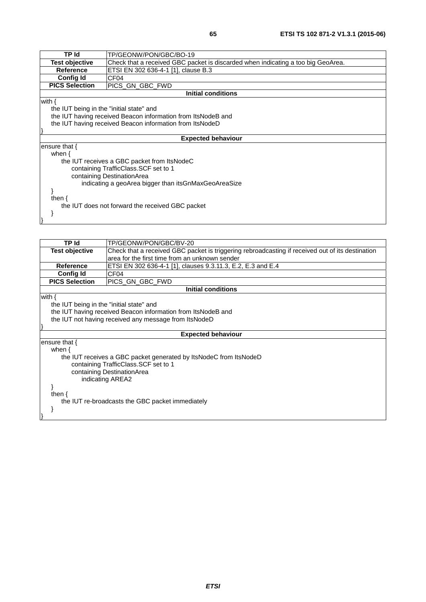| TP Id                                                | TP/GEONW/PON/GBC/BO-19                                                           |  |
|------------------------------------------------------|----------------------------------------------------------------------------------|--|
| <b>Test objective</b>                                | Check that a received GBC packet is discarded when indicating a too big GeoArea. |  |
| <b>Reference</b>                                     | ETSI EN 302 636-4-1 [1], clause B.3                                              |  |
| <b>Config Id</b>                                     | CF <sub>04</sub>                                                                 |  |
| <b>PICS Selection</b>                                | PICS GN GBC FWD                                                                  |  |
|                                                      | <b>Initial conditions</b>                                                        |  |
| with $\{$                                            |                                                                                  |  |
| the IUT being in the "initial state" and             |                                                                                  |  |
|                                                      | the IUT having received Beacon information from ItsNodeB and                     |  |
|                                                      | the IUT having received Beacon information from ItsNodeD                         |  |
|                                                      |                                                                                  |  |
|                                                      | <b>Expected behaviour</b>                                                        |  |
| ensure that {                                        |                                                                                  |  |
| when $\{$                                            |                                                                                  |  |
| the IUT receives a GBC packet from ItsNodeC          |                                                                                  |  |
| containing TrafficClass. SCF set to 1                |                                                                                  |  |
| containing DestinationArea                           |                                                                                  |  |
| indicating a geoArea bigger than itsGnMaxGeoAreaSize |                                                                                  |  |
|                                                      |                                                                                  |  |
| then $\{$                                            |                                                                                  |  |
|                                                      | the IUT does not forward the received GBC packet                                 |  |
|                                                      |                                                                                  |  |
|                                                      |                                                                                  |  |

| TP Id                                            | TP/GEONW/PON/GBC/BV-20                                                                           |  |
|--------------------------------------------------|--------------------------------------------------------------------------------------------------|--|
| <b>Test objective</b>                            | Check that a received GBC packet is triggering rebroadcasting if received out of its destination |  |
|                                                  | area for the first time from an unknown sender                                                   |  |
| <b>Reference</b>                                 | ETSI EN 302 636-4-1 [1], clauses 9.3.11.3, E.2, E.3 and E.4                                      |  |
| <b>Config Id</b>                                 | CF <sub>04</sub>                                                                                 |  |
| <b>PICS Selection</b>                            | PICS GN GBC FWD                                                                                  |  |
|                                                  | <b>Initial conditions</b>                                                                        |  |
| with $\{$                                        |                                                                                                  |  |
| the IUT being in the "initial state" and         |                                                                                                  |  |
|                                                  | the IUT having received Beacon information from ItsNodeB and                                     |  |
|                                                  | the IUT not having received any message from ItsNodeD                                            |  |
|                                                  |                                                                                                  |  |
| <b>Expected behaviour</b>                        |                                                                                                  |  |
| ensure that {                                    |                                                                                                  |  |
| when $\{$                                        |                                                                                                  |  |
|                                                  | the IUT receives a GBC packet generated by ItsNodeC from ItsNodeD                                |  |
| containing TrafficClass. SCF set to 1            |                                                                                                  |  |
| containing DestinationArea                       |                                                                                                  |  |
| indicating AREA2                                 |                                                                                                  |  |
|                                                  |                                                                                                  |  |
| then $\{$                                        |                                                                                                  |  |
| the IUT re-broadcasts the GBC packet immediately |                                                                                                  |  |
|                                                  |                                                                                                  |  |
|                                                  |                                                                                                  |  |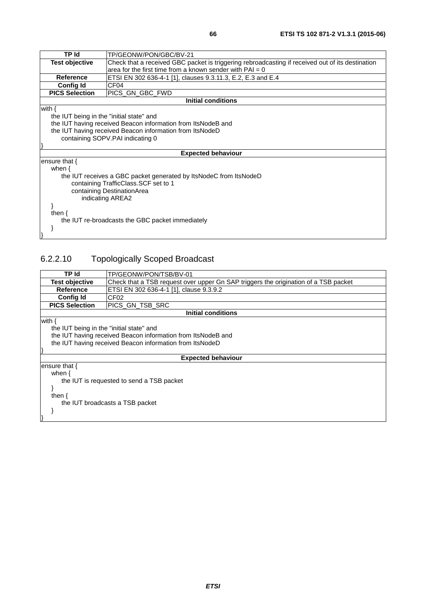| <b>TP</b> Id                             | TP/GEONW/PON/GBC/BV-21                                                                           |  |  |
|------------------------------------------|--------------------------------------------------------------------------------------------------|--|--|
| <b>Test objective</b>                    | Check that a received GBC packet is triggering rebroadcasting if received out of its destination |  |  |
|                                          | area for the first time from a known sender with $PAI = 0$                                       |  |  |
| <b>Reference</b>                         | ETSI EN 302 636-4-1 [1], clauses 9.3.11.3, E.2, E.3 and E.4                                      |  |  |
| <b>Config Id</b>                         | CF <sub>04</sub>                                                                                 |  |  |
| <b>PICS Selection</b>                    | PICS GN GBC FWD                                                                                  |  |  |
|                                          | <b>Initial conditions</b>                                                                        |  |  |
| with $\{$                                |                                                                                                  |  |  |
| the IUT being in the "initial state" and |                                                                                                  |  |  |
|                                          | the IUT having received Beacon information from ItsNodeB and                                     |  |  |
|                                          | the IUT having received Beacon information from ItsNodeD                                         |  |  |
|                                          | containing SOPV.PAI indicating 0                                                                 |  |  |
|                                          |                                                                                                  |  |  |
|                                          | <b>Expected behaviour</b>                                                                        |  |  |
| ensure that $\{$                         |                                                                                                  |  |  |
| when $\{$                                |                                                                                                  |  |  |
|                                          | the IUT receives a GBC packet generated by ItsNodeC from ItsNodeD                                |  |  |
|                                          | containing TrafficClass.SCF set to 1                                                             |  |  |
|                                          | containing DestinationArea                                                                       |  |  |
| indicating AREA2                         |                                                                                                  |  |  |
|                                          |                                                                                                  |  |  |
| then $\{$                                |                                                                                                  |  |  |
|                                          | the IUT re-broadcasts the GBC packet immediately                                                 |  |  |
|                                          |                                                                                                  |  |  |
|                                          |                                                                                                  |  |  |
|                                          |                                                                                                  |  |  |

# 6.2.2.10 Topologically Scoped Broadcast

| TP Id                                                    | TP/GEONW/PON/TSB/BV-01                                                              |  |
|----------------------------------------------------------|-------------------------------------------------------------------------------------|--|
| <b>Test objective</b>                                    | Check that a TSB request over upper Gn SAP triggers the origination of a TSB packet |  |
| <b>Reference</b>                                         | ETSI EN 302 636-4-1 [1], clause 9.3.9.2                                             |  |
| <b>Config Id</b>                                         | CF <sub>02</sub>                                                                    |  |
| <b>PICS Selection</b>                                    | PICS_GN_TSB_SRC                                                                     |  |
| <b>Initial conditions</b>                                |                                                                                     |  |
| with {                                                   |                                                                                     |  |
| the IUT being in the "initial state" and                 |                                                                                     |  |
|                                                          | the IUT having received Beacon information from ItsNodeB and                        |  |
| the IUT having received Beacon information from ItsNodeD |                                                                                     |  |
|                                                          |                                                                                     |  |
| <b>Expected behaviour</b>                                |                                                                                     |  |
| ensure that {                                            |                                                                                     |  |
| when $\{$                                                |                                                                                     |  |
| the IUT is requested to send a TSB packet                |                                                                                     |  |
|                                                          |                                                                                     |  |
| then $\{$                                                |                                                                                     |  |
| the IUT broadcasts a TSB packet                          |                                                                                     |  |
|                                                          |                                                                                     |  |
|                                                          |                                                                                     |  |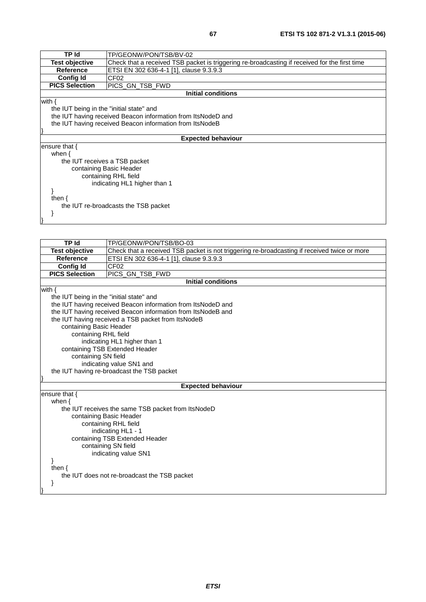| TP Id                                    | TP/GEONW/PON/TSB/BV-02                                                                        |  |  |
|------------------------------------------|-----------------------------------------------------------------------------------------------|--|--|
| <b>Test objective</b>                    | Check that a received TSB packet is triggering re-broadcasting if received for the first time |  |  |
| <b>Reference</b>                         | ETSI EN 302 636-4-1 [1], clause 9.3.9.3                                                       |  |  |
| <b>Config Id</b>                         | CF <sub>02</sub>                                                                              |  |  |
| <b>PICS Selection</b>                    | PICS_GN_TSB_FWD                                                                               |  |  |
|                                          | <b>Initial conditions</b>                                                                     |  |  |
| with $\{$                                |                                                                                               |  |  |
| the IUT being in the "initial state" and |                                                                                               |  |  |
|                                          | the IUT having received Beacon information from ItsNodeD and                                  |  |  |
|                                          | the IUT having received Beacon information from ItsNodeB                                      |  |  |
|                                          |                                                                                               |  |  |
|                                          | <b>Expected behaviour</b>                                                                     |  |  |
| ensure that $\{$                         |                                                                                               |  |  |
| when $\{$                                |                                                                                               |  |  |
|                                          | the IUT receives a TSB packet                                                                 |  |  |
|                                          | containing Basic Header                                                                       |  |  |
| containing RHL field                     |                                                                                               |  |  |
| indicating HL1 higher than 1             |                                                                                               |  |  |
|                                          |                                                                                               |  |  |
| then $\{$                                |                                                                                               |  |  |
| the IUT re-broadcasts the TSB packet     |                                                                                               |  |  |
|                                          |                                                                                               |  |  |
|                                          |                                                                                               |  |  |

| <b>TPId</b>                              | TP/GEONW/PON/TSB/BO-03                                                                       |  |
|------------------------------------------|----------------------------------------------------------------------------------------------|--|
| <b>Test objective</b>                    | Check that a received TSB packet is not triggering re-broadcasting if received twice or more |  |
| <b>Reference</b>                         | ETSI EN 302 636-4-1 [1], clause 9.3.9.3                                                      |  |
| <b>Config Id</b>                         | CF <sub>02</sub>                                                                             |  |
| <b>PICS Selection</b>                    | PICS_GN_TSB_FWD                                                                              |  |
|                                          | <b>Initial conditions</b>                                                                    |  |
| with $\{$                                |                                                                                              |  |
| the IUT being in the "initial state" and |                                                                                              |  |
|                                          | the IUT having received Beacon information from ItsNodeD and                                 |  |
|                                          | the IUT having received Beacon information from ItsNodeB and                                 |  |
|                                          | the IUT having received a TSB packet from ItsNodeB                                           |  |
| containing Basic Header                  |                                                                                              |  |
| containing RHL field                     |                                                                                              |  |
|                                          | indicating HL1 higher than 1                                                                 |  |
|                                          | containing TSB Extended Header                                                               |  |
| containing SN field                      |                                                                                              |  |
|                                          | indicating value SN1 and                                                                     |  |
|                                          | the IUT having re-broadcast the TSB packet                                                   |  |
|                                          | <b>Expected behaviour</b>                                                                    |  |
| ensure that $\{$                         |                                                                                              |  |
| when $\{$                                |                                                                                              |  |
|                                          | the IUT receives the same TSB packet from ItsNodeD                                           |  |
|                                          | containing Basic Header                                                                      |  |
|                                          | containing RHL field                                                                         |  |
| indicating HL1 - 1                       |                                                                                              |  |
| containing TSB Extended Header           |                                                                                              |  |
| containing SN field                      |                                                                                              |  |
| indicating value SN1                     |                                                                                              |  |
|                                          |                                                                                              |  |
| then $\{$                                |                                                                                              |  |
|                                          | the IUT does not re-broadcast the TSB packet                                                 |  |
|                                          |                                                                                              |  |
|                                          |                                                                                              |  |
|                                          |                                                                                              |  |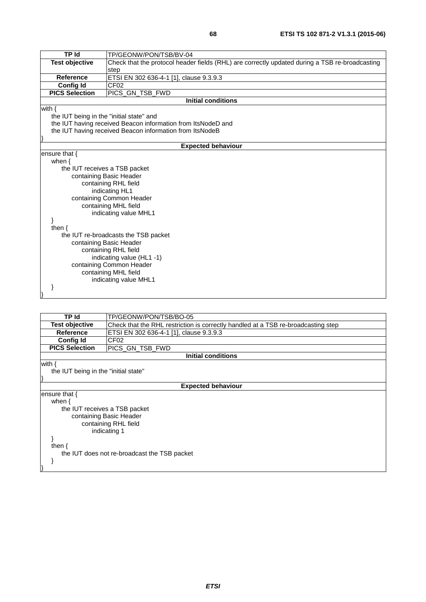| <b>TP Id</b>                             | TP/GEONW/PON/TSB/BV-04                                                                         |  |
|------------------------------------------|------------------------------------------------------------------------------------------------|--|
| <b>Test objective</b>                    | Check that the protocol header fields (RHL) are correctly updated during a TSB re-broadcasting |  |
|                                          | step                                                                                           |  |
| <b>Reference</b>                         | ETSI EN 302 636-4-1 [1], clause 9.3.9.3                                                        |  |
| <b>Config Id</b>                         | CF <sub>02</sub>                                                                               |  |
| <b>PICS Selection</b>                    | PICS_GN_TSB_FWD                                                                                |  |
|                                          | <b>Initial conditions</b>                                                                      |  |
| with $\{$                                |                                                                                                |  |
| the IUT being in the "initial state" and |                                                                                                |  |
|                                          | the IUT having received Beacon information from ItsNodeD and                                   |  |
|                                          | the IUT having received Beacon information from ItsNodeB                                       |  |
|                                          |                                                                                                |  |
|                                          | <b>Expected behaviour</b>                                                                      |  |
| ensure that $\{$                         |                                                                                                |  |
| when $\{$                                |                                                                                                |  |
| the IUT receives a TSB packet            |                                                                                                |  |
|                                          | containing Basic Header                                                                        |  |
| containing RHL field                     |                                                                                                |  |
| indicating HL1                           |                                                                                                |  |
|                                          | containing Common Header                                                                       |  |
|                                          | containing MHL field                                                                           |  |
|                                          | indicating value MHL1                                                                          |  |
|                                          |                                                                                                |  |
| then $\{$                                |                                                                                                |  |
| the IUT re-broadcasts the TSB packet     |                                                                                                |  |
| containing Basic Header                  |                                                                                                |  |
| containing RHL field                     |                                                                                                |  |
| indicating value (HL1 -1)                |                                                                                                |  |
| containing Common Header                 |                                                                                                |  |
| containing MHL field                     |                                                                                                |  |
| indicating value MHL1                    |                                                                                                |  |
|                                          |                                                                                                |  |
|                                          |                                                                                                |  |
|                                          |                                                                                                |  |
|                                          |                                                                                                |  |
| <b>TP Id</b>                             | TP/GEONW/PON/TSB/BO-05                                                                         |  |

| TP Id                                        | TP/GEONW/PON/TSB/BO-05                                                            |  |  |
|----------------------------------------------|-----------------------------------------------------------------------------------|--|--|
| <b>Test objective</b>                        | Check that the RHL restriction is correctly handled at a TSB re-broadcasting step |  |  |
| <b>Reference</b>                             | ETSI EN 302 636-4-1 [1], clause 9.3.9.3                                           |  |  |
| <b>Config Id</b>                             | CF <sub>02</sub>                                                                  |  |  |
| <b>PICS Selection</b>                        | PICS_GN_TSB_FWD                                                                   |  |  |
|                                              | Initial conditions                                                                |  |  |
| with $\{$                                    |                                                                                   |  |  |
|                                              | the IUT being in the "initial state"                                              |  |  |
|                                              |                                                                                   |  |  |
| <b>Expected behaviour</b>                    |                                                                                   |  |  |
| ensure that $\{$                             |                                                                                   |  |  |
|                                              | when $\{$                                                                         |  |  |
|                                              | the IUT receives a TSB packet<br>containing Basic Header                          |  |  |
|                                              | containing RHL field                                                              |  |  |
| indicating 1                                 |                                                                                   |  |  |
|                                              |                                                                                   |  |  |
| then $\{$                                    |                                                                                   |  |  |
| the IUT does not re-broadcast the TSB packet |                                                                                   |  |  |
|                                              |                                                                                   |  |  |
|                                              |                                                                                   |  |  |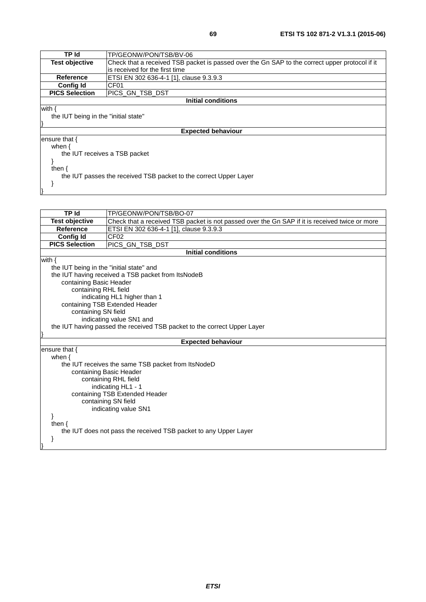| TP Id                                                             | TP/GEONW/PON/TSB/BV-06                                                                         |
|-------------------------------------------------------------------|------------------------------------------------------------------------------------------------|
| <b>Test objective</b>                                             | Check that a received TSB packet is passed over the Gn SAP to the correct upper protocol if it |
|                                                                   | is received for the first time                                                                 |
| <b>Reference</b>                                                  | ETSI EN 302 636-4-1 [1], clause 9.3.9.3                                                        |
| <b>Config Id</b>                                                  | CF <sub>01</sub>                                                                               |
| <b>PICS Selection</b>                                             | IPICS GN TSB DST                                                                               |
| Initial conditions                                                |                                                                                                |
| with {                                                            |                                                                                                |
| the IUT being in the "initial state"                              |                                                                                                |
|                                                                   |                                                                                                |
|                                                                   | <b>Expected behaviour</b>                                                                      |
| ensure that {                                                     |                                                                                                |
| when $\{$                                                         |                                                                                                |
| the IUT receives a TSB packet                                     |                                                                                                |
|                                                                   |                                                                                                |
| then $\{$                                                         |                                                                                                |
| the IUT passes the received TSB packet to the correct Upper Layer |                                                                                                |
|                                                                   |                                                                                                |
|                                                                   |                                                                                                |

| <b>TP Id</b>                             | TP/GEONW/PON/TSB/BO-07                                                                         |  |
|------------------------------------------|------------------------------------------------------------------------------------------------|--|
| <b>Test objective</b>                    | Check that a received TSB packet is not passed over the Gn SAP if it is received twice or more |  |
| <b>Reference</b>                         | ETSI EN 302 636-4-1 [1], clause 9.3.9.3                                                        |  |
| <b>Config Id</b>                         | CF <sub>02</sub>                                                                               |  |
| <b>PICS Selection</b>                    | PICS_GN_TSB_DST                                                                                |  |
|                                          | <b>Initial conditions</b>                                                                      |  |
| with $\{$                                |                                                                                                |  |
| the IUT being in the "initial state" and |                                                                                                |  |
|                                          | the IUT having received a TSB packet from ItsNodeB                                             |  |
| containing Basic Header                  |                                                                                                |  |
| containing RHL field                     |                                                                                                |  |
|                                          | indicating HL1 higher than 1                                                                   |  |
|                                          | containing TSB Extended Header                                                                 |  |
| containing SN field                      |                                                                                                |  |
|                                          | indicating value SN1 and                                                                       |  |
|                                          | the IUT having passed the received TSB packet to the correct Upper Layer                       |  |
|                                          |                                                                                                |  |
|                                          | <b>Expected behaviour</b>                                                                      |  |
| ensure that $\{$                         |                                                                                                |  |
| when $\{$                                |                                                                                                |  |
|                                          | the IUT receives the same TSB packet from ItsNodeD                                             |  |
|                                          | containing Basic Header                                                                        |  |
|                                          | containing RHL field                                                                           |  |
|                                          | indicating HL1 - 1                                                                             |  |
| containing TSB Extended Header           |                                                                                                |  |
|                                          | containing SN field                                                                            |  |
|                                          | indicating value SN1                                                                           |  |
|                                          |                                                                                                |  |
| then $\{$                                |                                                                                                |  |
|                                          | the IUT does not pass the received TSB packet to any Upper Layer                               |  |
|                                          |                                                                                                |  |
|                                          |                                                                                                |  |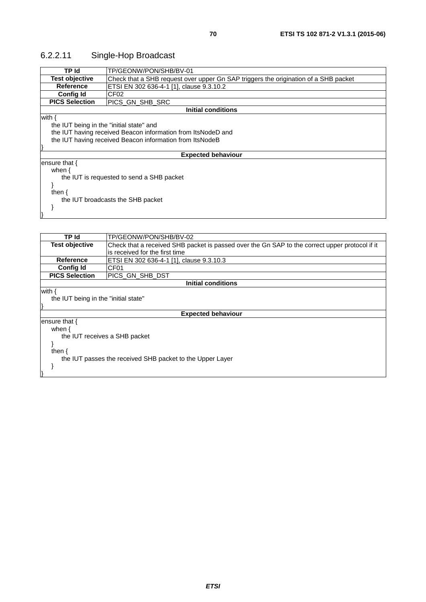# 6.2.2.11 Single-Hop Broadcast

| TP Id                                     | TP/GEONW/PON/SHB/BV-01                                                              |  |
|-------------------------------------------|-------------------------------------------------------------------------------------|--|
| <b>Test objective</b>                     | Check that a SHB request over upper Gn SAP triggers the origination of a SHB packet |  |
| Reference                                 | ETSI EN 302 636-4-1 [1], clause 9.3.10.2                                            |  |
| <b>Config Id</b>                          | CF02                                                                                |  |
| <b>PICS Selection</b>                     | PICS GN SHB SRC                                                                     |  |
| Initial conditions                        |                                                                                     |  |
| with $\{$                                 |                                                                                     |  |
| the IUT being in the "initial state" and  |                                                                                     |  |
|                                           | the IUT having received Beacon information from ItsNodeD and                        |  |
|                                           | the IUT having received Beacon information from ItsNodeB                            |  |
|                                           |                                                                                     |  |
|                                           | <b>Expected behaviour</b>                                                           |  |
| ensure that $\{$                          |                                                                                     |  |
| when $\{$                                 |                                                                                     |  |
| the IUT is requested to send a SHB packet |                                                                                     |  |
|                                           |                                                                                     |  |
| then $\{$                                 |                                                                                     |  |
| the IUT broadcasts the SHB packet         |                                                                                     |  |
|                                           |                                                                                     |  |
|                                           |                                                                                     |  |
|                                           |                                                                                     |  |

| TP Id                                                     | TP/GEONW/PON/SHB/BV-02                                                                         |
|-----------------------------------------------------------|------------------------------------------------------------------------------------------------|
| <b>Test objective</b>                                     | Check that a received SHB packet is passed over the Gn SAP to the correct upper protocol if it |
|                                                           | is received for the first time                                                                 |
| Reference                                                 | ETSI EN 302 636-4-1 [1], clause 9.3.10.3                                                       |
| <b>Config Id</b>                                          | CF <sub>01</sub>                                                                               |
| <b>PICS Selection</b>                                     | IPICS GN SHB DST                                                                               |
| Initial conditions                                        |                                                                                                |
| with {                                                    |                                                                                                |
| the IUT being in the "initial state"                      |                                                                                                |
|                                                           |                                                                                                |
| <b>Expected behaviour</b>                                 |                                                                                                |
| ensure that $\{$                                          |                                                                                                |
| when {                                                    |                                                                                                |
| the IUT receives a SHB packet                             |                                                                                                |
|                                                           |                                                                                                |
| then                                                      |                                                                                                |
| the IUT passes the received SHB packet to the Upper Layer |                                                                                                |
|                                                           |                                                                                                |
|                                                           |                                                                                                |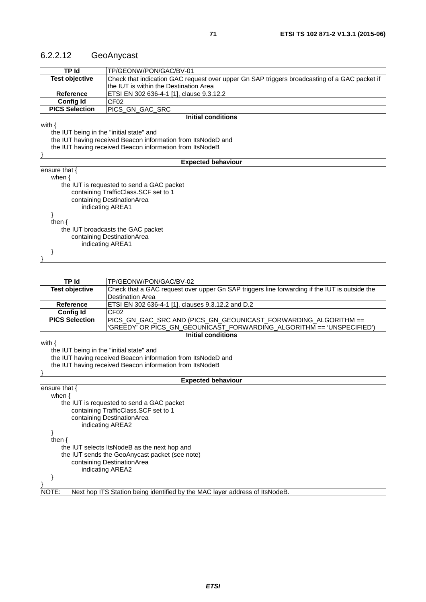### 6.2.2.12 GeoAnycast

| <b>TP Id</b>                                                 | TP/GEONW/PON/GAC/BV-01                                                                       |  |
|--------------------------------------------------------------|----------------------------------------------------------------------------------------------|--|
| <b>Test objective</b>                                        | Check that indication GAC request over upper Gn SAP triggers broadcasting of a GAC packet if |  |
|                                                              | the IUT is within the Destination Area                                                       |  |
| Reference                                                    | ETSI EN 302 636-4-1 [1], clause 9.3.12.2                                                     |  |
| <b>Config Id</b>                                             | CF <sub>02</sub>                                                                             |  |
| <b>PICS Selection</b>                                        | PICS_GN_GAC_SRC                                                                              |  |
| <b>Initial conditions</b>                                    |                                                                                              |  |
| with $\{$                                                    |                                                                                              |  |
| the IUT being in the "initial state" and                     |                                                                                              |  |
| the IUT having received Beacon information from ItsNodeD and |                                                                                              |  |
|                                                              | the IUT having received Beacon information from ItsNodeB                                     |  |
|                                                              |                                                                                              |  |
|                                                              | <b>Expected behaviour</b>                                                                    |  |
| ensure that {                                                |                                                                                              |  |
| when $\{$                                                    |                                                                                              |  |
|                                                              | the IUT is requested to send a GAC packet                                                    |  |
|                                                              | containing TrafficClass.SCF set to 1                                                         |  |
|                                                              | containing DestinationArea                                                                   |  |
| indicating AREA1                                             |                                                                                              |  |
|                                                              |                                                                                              |  |
| then $\{$                                                    |                                                                                              |  |
|                                                              | the IUT broadcasts the GAC packet                                                            |  |
|                                                              | containing DestinationArea                                                                   |  |
| indicating AREA1                                             |                                                                                              |  |
|                                                              |                                                                                              |  |
|                                                              |                                                                                              |  |

| TP Id                                                    | TP/GEONW/PON/GAC/BV-02                                                                        |
|----------------------------------------------------------|-----------------------------------------------------------------------------------------------|
| <b>Test objective</b>                                    | Check that a GAC request over upper Gn SAP triggers line forwarding if the IUT is outside the |
|                                                          | <b>Destination Area</b>                                                                       |
| Reference                                                | ETSI EN 302 636-4-1 [1], clauses 9.3.12.2 and D.2                                             |
| <b>Config Id</b>                                         | CF <sub>02</sub>                                                                              |
| <b>PICS Selection</b>                                    | PICS_GN_GAC_SRC AND (PICS_GN_GEOUNICAST_FORWARDING_ALGORITHM ==                               |
|                                                          | GREEDY' OR PICS_GN_GEOUNICAST_FORWARDING_ALGORITHM == 'UNSPECIFIED')                          |
|                                                          | <b>Initial conditions</b>                                                                     |
| with $\{$                                                |                                                                                               |
| the IUT being in the "initial state" and                 |                                                                                               |
|                                                          | the IUT having received Beacon information from ItsNodeD and                                  |
| the IUT having received Beacon information from ItsNodeB |                                                                                               |
|                                                          |                                                                                               |
|                                                          | <b>Expected behaviour</b>                                                                     |
| ensure that $\{$                                         |                                                                                               |
| when $\{$                                                |                                                                                               |
|                                                          | the IUT is requested to send a GAC packet                                                     |
|                                                          | containing TrafficClass.SCF set to 1                                                          |
|                                                          | containing DestinationArea                                                                    |
|                                                          | indicating AREA2                                                                              |
|                                                          |                                                                                               |
| then $\{$                                                |                                                                                               |
|                                                          | the IUT selects ItsNodeB as the next hop and                                                  |
|                                                          | the IUT sends the GeoAnycast packet (see note)                                                |
|                                                          | containing DestinationArea                                                                    |
|                                                          | indicating AREA2                                                                              |
|                                                          |                                                                                               |
|                                                          |                                                                                               |
| NOTE:                                                    | Next hop ITS Station being identified by the MAC layer address of ItsNodeB.                   |
|                                                          |                                                                                               |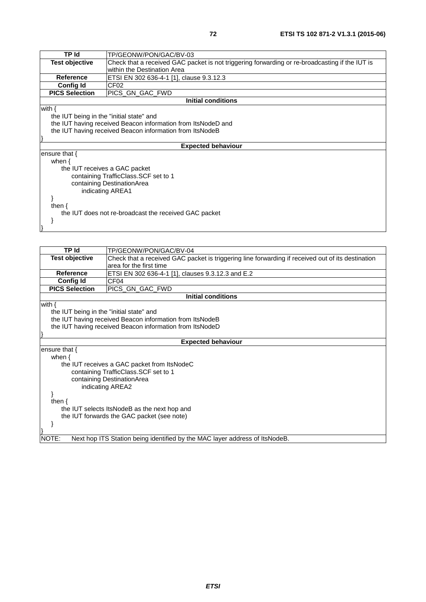| TP Id                                                        | TP/GEONW/PON/GAC/BV-03                                                                         |
|--------------------------------------------------------------|------------------------------------------------------------------------------------------------|
| <b>Test objective</b>                                        | Check that a received GAC packet is not triggering forwarding or re-broadcasting if the IUT is |
|                                                              | within the Destination Area                                                                    |
| <b>Reference</b>                                             | ETSI EN 302 636-4-1 [1], clause 9.3.12.3                                                       |
| Config Id                                                    | CF <sub>02</sub>                                                                               |
| <b>PICS Selection</b>                                        | PICS GN GAC FWD                                                                                |
| <b>Initial conditions</b>                                    |                                                                                                |
| with $\{$                                                    |                                                                                                |
| the IUT being in the "initial state" and                     |                                                                                                |
| the IUT having received Beacon information from ItsNodeD and |                                                                                                |
|                                                              | the IUT having received Beacon information from ItsNodeB                                       |
|                                                              |                                                                                                |
|                                                              | <b>Expected behaviour</b>                                                                      |
| ensure that $\{$                                             |                                                                                                |
| when $\{$                                                    |                                                                                                |
|                                                              | the IUT receives a GAC packet                                                                  |
|                                                              | containing TrafficClass. SCF set to 1                                                          |
| containing DestinationArea                                   |                                                                                                |
|                                                              | indicating AREA1                                                                               |
|                                                              |                                                                                                |
| then $\{$                                                    |                                                                                                |
| the IUT does not re-broadcast the received GAC packet        |                                                                                                |
|                                                              |                                                                                                |
|                                                              |                                                                                                |
|                                                              |                                                                                                |

| <b>TP Id</b>                                             | TP/GEONW/PON/GAC/BV-04                                                                            |  |
|----------------------------------------------------------|---------------------------------------------------------------------------------------------------|--|
| <b>Test objective</b>                                    | Check that a received GAC packet is triggering line forwarding if received out of its destination |  |
|                                                          | area for the first time                                                                           |  |
| <b>Reference</b>                                         | ETSI EN 302 636-4-1 [1], clauses 9.3.12.3 and E.2                                                 |  |
| <b>Config Id</b>                                         | CF <sub>04</sub>                                                                                  |  |
| <b>PICS Selection</b>                                    | PICS_GN_GAC_FWD                                                                                   |  |
| <b>Initial conditions</b>                                |                                                                                                   |  |
| with $\{$                                                |                                                                                                   |  |
| the IUT being in the "initial state" and                 |                                                                                                   |  |
| the IUT having received Beacon information from ItsNodeB |                                                                                                   |  |
|                                                          | the IUT having received Beacon information from ItsNodeD                                          |  |
|                                                          |                                                                                                   |  |
|                                                          | <b>Expected behaviour</b>                                                                         |  |
| ensure that {                                            |                                                                                                   |  |
| when $\{$                                                |                                                                                                   |  |
|                                                          | the IUT receives a GAC packet from ItsNodeC                                                       |  |
|                                                          | containing TrafficClass.SCF set to 1                                                              |  |
|                                                          | containing DestinationArea                                                                        |  |
|                                                          | indicating AREA2                                                                                  |  |
|                                                          |                                                                                                   |  |
| then $\{$                                                |                                                                                                   |  |
|                                                          | the IUT selects ItsNodeB as the next hop and                                                      |  |
|                                                          | the IUT forwards the GAC packet (see note)                                                        |  |
|                                                          |                                                                                                   |  |
|                                                          |                                                                                                   |  |
| NOTE:                                                    | Next hop ITS Station being identified by the MAC layer address of ItsNodeB.                       |  |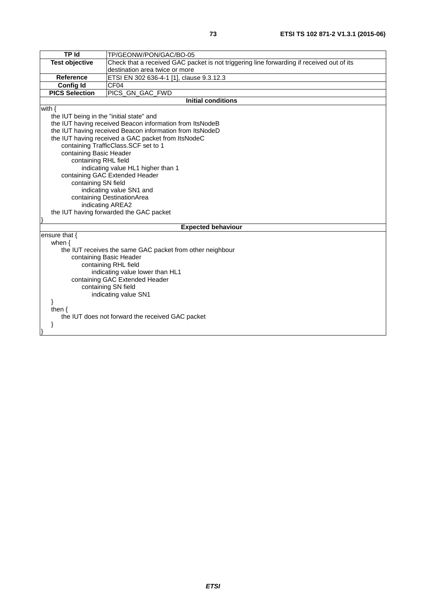| TP Id                                    | TP/GEONW/PON/GAC/BO-05                                                                    |  |
|------------------------------------------|-------------------------------------------------------------------------------------------|--|
| <b>Test objective</b>                    | Check that a received GAC packet is not triggering line forwarding if received out of its |  |
|                                          | destination area twice or more                                                            |  |
| Reference                                | ETSI EN 302 636-4-1 [1], clause 9.3.12.3                                                  |  |
| <b>Config Id</b>                         | CF04                                                                                      |  |
| <b>PICS Selection</b>                    | PICS GN GAC_FWD                                                                           |  |
|                                          | <b>Initial conditions</b>                                                                 |  |
| with $\{$                                |                                                                                           |  |
| the IUT being in the "initial state" and |                                                                                           |  |
|                                          | the IUT having received Beacon information from ItsNodeB                                  |  |
|                                          | the IUT having received Beacon information from ItsNodeD                                  |  |
|                                          | the IUT having received a GAC packet from ItsNodeC                                        |  |
|                                          | containing TrafficClass.SCF set to 1                                                      |  |
| containing Basic Header                  |                                                                                           |  |
| containing RHL field                     |                                                                                           |  |
|                                          | indicating value HL1 higher than 1                                                        |  |
|                                          | containing GAC Extended Header                                                            |  |
| containing SN field                      |                                                                                           |  |
|                                          | indicating value SN1 and                                                                  |  |
| containing DestinationArea               |                                                                                           |  |
| indicating AREA2                         |                                                                                           |  |
|                                          | the IUT having forwarded the GAC packet                                                   |  |
|                                          | <b>Expected behaviour</b>                                                                 |  |
| ensure that {                            |                                                                                           |  |
| when $\{$                                |                                                                                           |  |
|                                          | the IUT receives the same GAC packet from other neighbour                                 |  |
|                                          | containing Basic Header                                                                   |  |
| containing RHL field                     |                                                                                           |  |
| indicating value lower than HL1          |                                                                                           |  |
| containing GAC Extended Header           |                                                                                           |  |
| containing SN field                      |                                                                                           |  |
| indicating value SN1                     |                                                                                           |  |
|                                          |                                                                                           |  |
| then $\{$                                |                                                                                           |  |
|                                          | the IUT does not forward the received GAC packet                                          |  |
| ł                                        |                                                                                           |  |
|                                          |                                                                                           |  |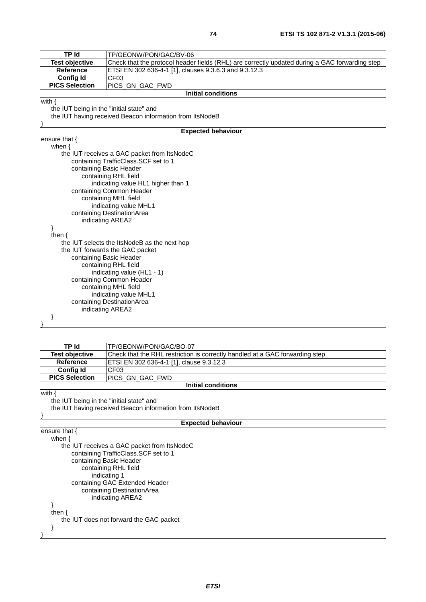| TP Id                                            | TP/GEONW/PON/GAC/BV-06                                                                         |  |  |
|--------------------------------------------------|------------------------------------------------------------------------------------------------|--|--|
| <b>Test objective</b>                            | Check that the protocol header fields (RHL) are correctly updated during a GAC forwarding step |  |  |
| Reference                                        | ETSI EN 302 636-4-1 [1], clauses 9.3.6.3 and 9.3.12.3                                          |  |  |
| <b>Config Id</b>                                 | CF <sub>03</sub>                                                                               |  |  |
| <b>PICS Selection</b>                            | PICS_GN_GAC_FWD                                                                                |  |  |
|                                                  | <b>Initial conditions</b>                                                                      |  |  |
| with $\{$                                        |                                                                                                |  |  |
| the IUT being in the "initial state" and         |                                                                                                |  |  |
|                                                  | the IUT having received Beacon information from ItsNodeB                                       |  |  |
|                                                  |                                                                                                |  |  |
|                                                  | <b>Expected behaviour</b>                                                                      |  |  |
| ensure that $\{$                                 |                                                                                                |  |  |
| when $\{$                                        |                                                                                                |  |  |
|                                                  | the IUT receives a GAC packet from ItsNodeC                                                    |  |  |
|                                                  | containing TrafficClass.SCF set to 1                                                           |  |  |
|                                                  | containing Basic Header                                                                        |  |  |
|                                                  | containing RHL field                                                                           |  |  |
|                                                  | indicating value HL1 higher than 1                                                             |  |  |
|                                                  | containing Common Header                                                                       |  |  |
|                                                  | containing MHL field                                                                           |  |  |
| indicating value MHL1                            |                                                                                                |  |  |
| containing DestinationArea                       |                                                                                                |  |  |
| indicating AREA2                                 |                                                                                                |  |  |
| ł                                                |                                                                                                |  |  |
| then $\{$                                        |                                                                                                |  |  |
|                                                  | the IUT selects the ItsNodeB as the next hop                                                   |  |  |
| the IUT forwards the GAC packet                  |                                                                                                |  |  |
| containing Basic Header                          |                                                                                                |  |  |
| containing RHL field                             |                                                                                                |  |  |
| indicating value (HL1 - 1)                       |                                                                                                |  |  |
| containing Common Header<br>containing MHL field |                                                                                                |  |  |
| indicating value MHL1                            |                                                                                                |  |  |
| containing DestinationArea                       |                                                                                                |  |  |
|                                                  | indicating AREA2                                                                               |  |  |
|                                                  |                                                                                                |  |  |
|                                                  |                                                                                                |  |  |

| TP Id                                    | TP/GEONW/PON/GAC/BO-07                                                       |  |
|------------------------------------------|------------------------------------------------------------------------------|--|
| <b>Test objective</b>                    | Check that the RHL restriction is correctly handled at a GAC forwarding step |  |
| <b>Reference</b>                         | ETSI EN 302 636-4-1 [1], clause 9.3.12.3                                     |  |
| <b>Config Id</b>                         | CF03                                                                         |  |
| <b>PICS Selection</b>                    | PICS_GN_GAC_FWD                                                              |  |
|                                          | <b>Initial conditions</b>                                                    |  |
| with $\{$                                |                                                                              |  |
| the IUT being in the "initial state" and |                                                                              |  |
|                                          | the IUT having received Beacon information from ItsNodeB                     |  |
|                                          |                                                                              |  |
|                                          | <b>Expected behaviour</b>                                                    |  |
| ensure that $\{$                         |                                                                              |  |
| when $\{$                                |                                                                              |  |
|                                          | the IUT receives a GAC packet from ItsNodeC                                  |  |
| containing TrafficClass. SCF set to 1    |                                                                              |  |
|                                          | containing Basic Header                                                      |  |
| containing RHL field                     |                                                                              |  |
|                                          | indicating 1                                                                 |  |
| containing GAC Extended Header           |                                                                              |  |
| containing DestinationArea               |                                                                              |  |
| indicating AREA2                         |                                                                              |  |
|                                          |                                                                              |  |
| then $\{$                                |                                                                              |  |
|                                          | the IUT does not forward the GAC packet                                      |  |
|                                          |                                                                              |  |
|                                          |                                                                              |  |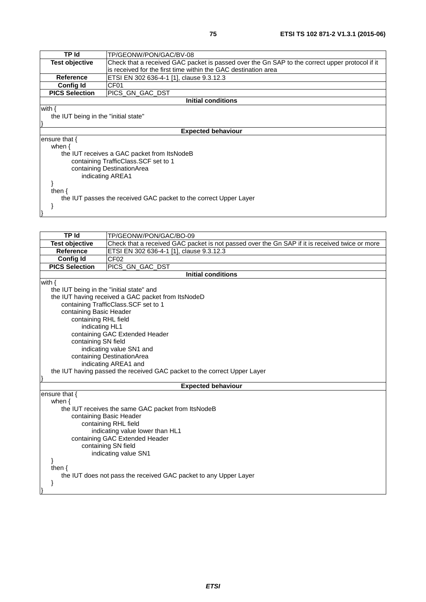| TP Id                                | TP/GEONW/PON/GAC/BV-08                                                                         |  |
|--------------------------------------|------------------------------------------------------------------------------------------------|--|
| <b>Test objective</b>                | Check that a received GAC packet is passed over the Gn SAP to the correct upper protocol if it |  |
|                                      | is received for the first time within the GAC destination area                                 |  |
| Reference                            | ETSI EN 302 636-4-1 [1], clause 9.3.12.3                                                       |  |
| <b>Config Id</b>                     | CF <sub>01</sub>                                                                               |  |
| <b>PICS Selection</b>                | PICS GN GAC DST                                                                                |  |
|                                      | Initial conditions                                                                             |  |
| with $\{$                            |                                                                                                |  |
| the IUT being in the "initial state" |                                                                                                |  |
|                                      |                                                                                                |  |
|                                      | <b>Expected behaviour</b>                                                                      |  |
| ensure that {                        |                                                                                                |  |
| when $\{$                            |                                                                                                |  |
|                                      | the IUT receives a GAC packet from ItsNodeB                                                    |  |
|                                      | containing TrafficClass. SCF set to 1                                                          |  |
| containing DestinationArea           |                                                                                                |  |
| indicating AREA1                     |                                                                                                |  |
|                                      |                                                                                                |  |
| then $\{$                            |                                                                                                |  |
|                                      | the IUT passes the received GAC packet to the correct Upper Layer                              |  |

}

}

| <b>TP Id</b>                                                     | TP/GEONW/PON/GAC/BO-09                                                                         |  |
|------------------------------------------------------------------|------------------------------------------------------------------------------------------------|--|
|                                                                  |                                                                                                |  |
| <b>Test objective</b><br><b>Reference</b>                        | Check that a received GAC packet is not passed over the Gn SAP if it is received twice or more |  |
|                                                                  | ETSI EN 302 636-4-1 [1], clause 9.3.12.3                                                       |  |
| <b>Config Id</b>                                                 | CF <sub>02</sub>                                                                               |  |
| <b>PICS Selection</b>                                            | PICS_GN_GAC_DST                                                                                |  |
|                                                                  | <b>Initial conditions</b>                                                                      |  |
| with $\{$                                                        |                                                                                                |  |
| the IUT being in the "initial state" and                         |                                                                                                |  |
|                                                                  | the IUT having received a GAC packet from ItsNodeD                                             |  |
|                                                                  | containing TrafficClass.SCF set to 1                                                           |  |
| containing Basic Header                                          |                                                                                                |  |
| containing RHL field                                             |                                                                                                |  |
| indicating HL1                                                   |                                                                                                |  |
|                                                                  | containing GAC Extended Header                                                                 |  |
| containing SN field                                              |                                                                                                |  |
|                                                                  | indicating value SN1 and                                                                       |  |
|                                                                  | containing DestinationArea                                                                     |  |
|                                                                  | indicating AREA1 and                                                                           |  |
|                                                                  | the IUT having passed the received GAC packet to the correct Upper Layer                       |  |
|                                                                  | <b>Expected behaviour</b>                                                                      |  |
| ensure that {                                                    |                                                                                                |  |
| when $\{$                                                        |                                                                                                |  |
|                                                                  | the IUT receives the same GAC packet from ItsNodeB                                             |  |
|                                                                  |                                                                                                |  |
|                                                                  | containing Basic Header<br>containing RHL field                                                |  |
| indicating value lower than HL1                                  |                                                                                                |  |
| containing GAC Extended Header                                   |                                                                                                |  |
| containing SN field                                              |                                                                                                |  |
| indicating value SN1                                             |                                                                                                |  |
|                                                                  |                                                                                                |  |
| then $\{$                                                        |                                                                                                |  |
| the IUT does not pass the received GAC packet to any Upper Layer |                                                                                                |  |
|                                                                  |                                                                                                |  |
|                                                                  |                                                                                                |  |
|                                                                  |                                                                                                |  |
|                                                                  |                                                                                                |  |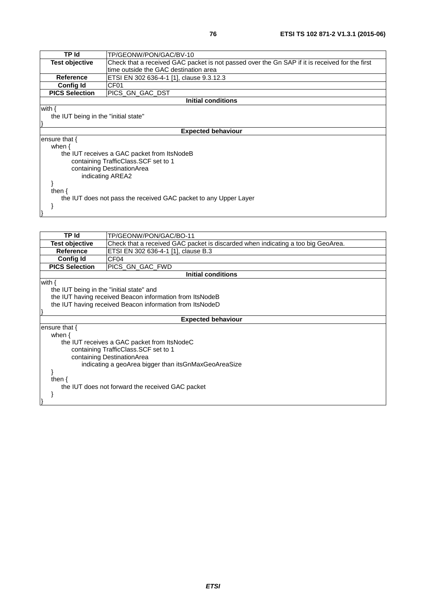| TP/GEONW/PON/GAC/BV-10                                                                         |  |
|------------------------------------------------------------------------------------------------|--|
| Check that a received GAC packet is not passed over the Gn SAP if it is received for the first |  |
| time outside the GAC destination area                                                          |  |
| ETSI EN 302 636-4-1 [1], clause 9.3.12.3                                                       |  |
| CF <sub>01</sub>                                                                               |  |
| PICS GN GAC DST                                                                                |  |
| <b>Initial conditions</b>                                                                      |  |
|                                                                                                |  |
| the IUT being in the "initial state"                                                           |  |
|                                                                                                |  |
| <b>Expected behaviour</b>                                                                      |  |
|                                                                                                |  |
|                                                                                                |  |
| the IUT receives a GAC packet from ItsNodeB                                                    |  |
| containing TrafficClass.SCF set to 1                                                           |  |
| containing DestinationArea                                                                     |  |
| indicating AREA2                                                                               |  |
|                                                                                                |  |
|                                                                                                |  |
| the IUT does not pass the received GAC packet to any Upper Layer                               |  |
|                                                                                                |  |
|                                                                                                |  |
|                                                                                                |  |

| <b>TP Id</b>                                         | TP/GEONW/PON/GAC/BO-11                                                           |  |  |
|------------------------------------------------------|----------------------------------------------------------------------------------|--|--|
| <b>Test objective</b>                                | Check that a received GAC packet is discarded when indicating a too big GeoArea. |  |  |
| <b>Reference</b>                                     | ETSI EN 302 636-4-1 [1], clause B.3                                              |  |  |
| <b>Config Id</b>                                     | CF <sub>04</sub>                                                                 |  |  |
| <b>PICS Selection</b>                                | PICS GN GAC FWD                                                                  |  |  |
|                                                      | <b>Initial conditions</b>                                                        |  |  |
| with $\{$                                            |                                                                                  |  |  |
| the IUT being in the "initial state" and             |                                                                                  |  |  |
|                                                      | the IUT having received Beacon information from ItsNodeB                         |  |  |
|                                                      | the IUT having received Beacon information from ItsNodeD                         |  |  |
|                                                      |                                                                                  |  |  |
|                                                      | <b>Expected behaviour</b>                                                        |  |  |
| ensure that {                                        |                                                                                  |  |  |
| when $\{$                                            |                                                                                  |  |  |
|                                                      | the IUT receives a GAC packet from ItsNodeC                                      |  |  |
|                                                      | containing TrafficClass. SCF set to 1                                            |  |  |
|                                                      | containing DestinationArea                                                       |  |  |
| indicating a geoArea bigger than itsGnMaxGeoAreaSize |                                                                                  |  |  |
|                                                      |                                                                                  |  |  |
| then $\{$                                            |                                                                                  |  |  |
|                                                      | the IUT does not forward the received GAC packet                                 |  |  |
|                                                      |                                                                                  |  |  |
|                                                      |                                                                                  |  |  |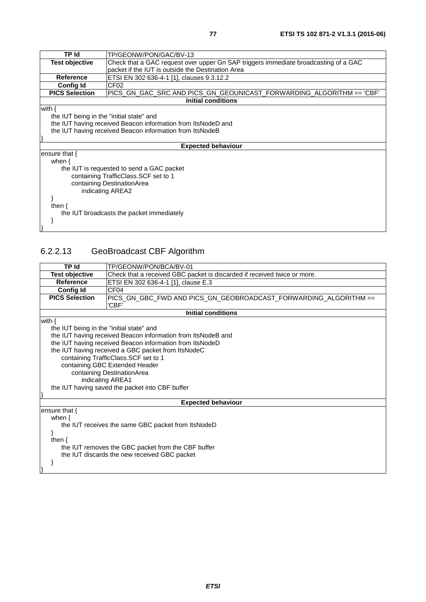| TP Id                                    | TP/GEONW/PON/GAC/BV-13                                                              |  |  |
|------------------------------------------|-------------------------------------------------------------------------------------|--|--|
| <b>Test objective</b>                    | Check that a GAC request over upper Gn SAP triggers immediate broadcasting of a GAC |  |  |
|                                          | packet if the IUT is outside the Destination Area                                   |  |  |
| <b>Reference</b>                         | ETSI EN 302 636-4-1 [1], clauses 9.3.12.2                                           |  |  |
| <b>Config Id</b>                         | CF <sub>02</sub>                                                                    |  |  |
| <b>PICS Selection</b>                    | PICS_GN_GAC_SRC        AND PICS_GN_GEOUNICAST_FORWARDING_ALGORITHM == 'CBF'         |  |  |
|                                          | <b>Initial conditions</b>                                                           |  |  |
| with $\{$                                |                                                                                     |  |  |
| the IUT being in the "initial state" and |                                                                                     |  |  |
|                                          | the IUT having received Beacon information from ItsNodeD and                        |  |  |
|                                          | the IUT having received Beacon information from ItsNodeB                            |  |  |
|                                          |                                                                                     |  |  |
|                                          | <b>Expected behaviour</b>                                                           |  |  |
| ensure that $\{$                         |                                                                                     |  |  |
| when $\{$                                |                                                                                     |  |  |
|                                          | the IUT is requested to send a GAC packet                                           |  |  |
|                                          | containing TrafficClass. SCF set to 1                                               |  |  |
|                                          | containing DestinationArea                                                          |  |  |
| indicating AREA2                         |                                                                                     |  |  |
|                                          |                                                                                     |  |  |
| then $\{$                                |                                                                                     |  |  |
|                                          | the IUT broadcasts the packet immediately                                           |  |  |
|                                          |                                                                                     |  |  |
|                                          |                                                                                     |  |  |

## 6.2.2.13 GeoBroadcast CBF Algorithm

| <b>TP Id</b>                                       | TP/GEONW/PON/BCA/BV-01                                                   |  |  |
|----------------------------------------------------|--------------------------------------------------------------------------|--|--|
| <b>Test objective</b>                              | Check that a received GBC packet is discarded if received twice or more. |  |  |
| <b>Reference</b>                                   | ETSI EN 302 636-4-1 [1], clause E.3                                      |  |  |
| <b>Config Id</b>                                   | CF <sub>04</sub>                                                         |  |  |
| <b>PICS Selection</b>                              | PICS_GN_GBC_FWD AND PICS_GN_GEOBROADCAST_FORWARDING_ALGORITHM ==         |  |  |
|                                                    | 'CBF'                                                                    |  |  |
|                                                    | <b>Initial conditions</b>                                                |  |  |
| with $\{$                                          |                                                                          |  |  |
| the IUT being in the "initial state" and           |                                                                          |  |  |
|                                                    | the IUT having received Beacon information from ItsNodeB and             |  |  |
|                                                    | the IUT having received Beacon information from ItsNodeD                 |  |  |
|                                                    | the IUT having received a GBC packet from ItsNodeC                       |  |  |
|                                                    | containing TrafficClass.SCF set to 1                                     |  |  |
|                                                    | containing GBC Extended Header                                           |  |  |
|                                                    | containing DestinationArea                                               |  |  |
| indicating AREA1                                   |                                                                          |  |  |
|                                                    | the IUT having saved the packet into CBF buffer                          |  |  |
|                                                    |                                                                          |  |  |
|                                                    | <b>Expected behaviour</b>                                                |  |  |
| ensure that {<br>when $\{$                         |                                                                          |  |  |
|                                                    |                                                                          |  |  |
| the IUT receives the same GBC packet from ItsNodeD |                                                                          |  |  |
| then $\{$                                          |                                                                          |  |  |
|                                                    | the IUT removes the GBC packet from the CBF buffer                       |  |  |
| the IUT discards the new received GBC packet       |                                                                          |  |  |
|                                                    |                                                                          |  |  |
|                                                    |                                                                          |  |  |
|                                                    |                                                                          |  |  |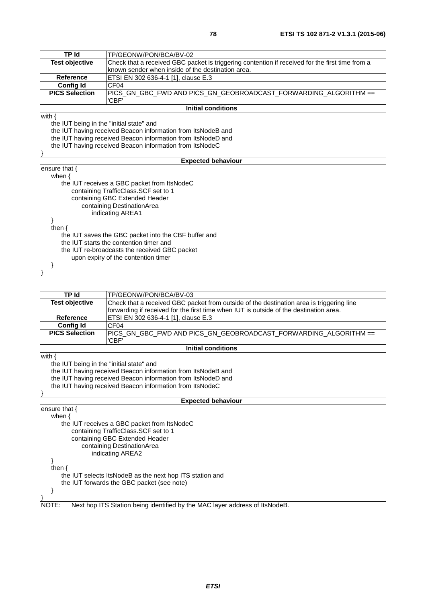| TP Id                                                    | TP/GEONW/PON/BCA/BV-02                                                                          |  |
|----------------------------------------------------------|-------------------------------------------------------------------------------------------------|--|
| <b>Test objective</b>                                    | Check that a received GBC packet is triggering contention if received for the first time from a |  |
|                                                          | known sender when inside of the destination area.                                               |  |
| <b>Reference</b>                                         | ETSI EN 302 636-4-1 [1], clause E.3                                                             |  |
| <b>Config Id</b>                                         | CF <sub>04</sub>                                                                                |  |
| <b>PICS Selection</b>                                    | PICS_GN_GBC_FWD AND PICS_GN_GEOBROADCAST_FORWARDING_ALGORITHM ==                                |  |
|                                                          | 'CBF'                                                                                           |  |
|                                                          | <b>Initial conditions</b>                                                                       |  |
| with $\{$                                                |                                                                                                 |  |
| the IUT being in the "initial state" and                 |                                                                                                 |  |
|                                                          | the IUT having received Beacon information from ItsNodeB and                                    |  |
|                                                          | the IUT having received Beacon information from ItsNodeD and                                    |  |
| the IUT having received Beacon information from ItsNodeC |                                                                                                 |  |
|                                                          |                                                                                                 |  |
|                                                          | <b>Expected behaviour</b>                                                                       |  |
| ensure that {                                            |                                                                                                 |  |
| when $\{$                                                |                                                                                                 |  |
|                                                          | the IUT receives a GBC packet from ItsNodeC                                                     |  |
|                                                          | containing TrafficClass.SCF set to 1                                                            |  |
| containing GBC Extended Header                           |                                                                                                 |  |
| containing DestinationArea                               |                                                                                                 |  |
|                                                          | indicating AREA1                                                                                |  |
|                                                          |                                                                                                 |  |
| then $\{$                                                |                                                                                                 |  |
| the IUT saves the GBC packet into the CBF buffer and     |                                                                                                 |  |
| the IUT starts the contention timer and                  |                                                                                                 |  |
| the IUT re-broadcasts the received GBC packet            |                                                                                                 |  |
|                                                          | upon expiry of the contention timer                                                             |  |
|                                                          |                                                                                                 |  |
|                                                          |                                                                                                 |  |

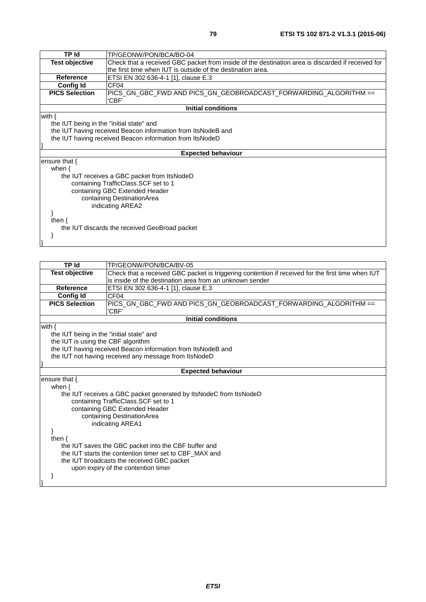| TP Id                                                    | TP/GEONW/PON/BCA/BO-04                                                                            |  |  |
|----------------------------------------------------------|---------------------------------------------------------------------------------------------------|--|--|
| <b>Test objective</b>                                    | Check that a received GBC packet from inside of the destination area is discarded if received for |  |  |
|                                                          | the first time when IUT is outside of the destination area.                                       |  |  |
| <b>Reference</b>                                         | ETSI EN 302 636-4-1 [1], clause E.3                                                               |  |  |
| <b>Config Id</b>                                         | CF04                                                                                              |  |  |
| <b>PICS Selection</b>                                    |                                                                                                   |  |  |
|                                                          | 'CBF'                                                                                             |  |  |
|                                                          | <b>Initial conditions</b>                                                                         |  |  |
| with $\{$                                                |                                                                                                   |  |  |
| the IUT being in the "initial state" and                 |                                                                                                   |  |  |
|                                                          | the IUT having received Beacon information from ItsNodeB and                                      |  |  |
| the IUT having received Beacon information from ItsNodeD |                                                                                                   |  |  |
|                                                          |                                                                                                   |  |  |
|                                                          | <b>Expected behaviour</b>                                                                         |  |  |
| ensure that $\{$                                         |                                                                                                   |  |  |
| when $\{$                                                |                                                                                                   |  |  |
|                                                          | the IUT receives a GBC packet from ItsNodeD                                                       |  |  |
|                                                          | containing TrafficClass.SCF set to 1                                                              |  |  |
|                                                          | containing GBC Extended Header                                                                    |  |  |
| containing DestinationArea                               |                                                                                                   |  |  |
| indicating AREA2                                         |                                                                                                   |  |  |
|                                                          |                                                                                                   |  |  |
| then $\{$                                                |                                                                                                   |  |  |
|                                                          | the IUT discards the received GeoBroad packet                                                     |  |  |
|                                                          |                                                                                                   |  |  |
|                                                          |                                                                                                   |  |  |
|                                                          |                                                                                                   |  |  |

| <b>TP Id</b>                                           | TP/GEONW/PON/BCA/BV-05                                                                            |  |
|--------------------------------------------------------|---------------------------------------------------------------------------------------------------|--|
| <b>Test objective</b>                                  | Check that a received GBC packet is triggering contention if received for the first time when IUT |  |
|                                                        | is inside of the destination area from an unknown sender                                          |  |
| Reference                                              | ETSI EN 302 636-4-1 [1], clause E.3                                                               |  |
| <b>Config Id</b>                                       | CF <sub>04</sub>                                                                                  |  |
| <b>PICS Selection</b>                                  | PICS_GN_GBC_FWD AND PICS_GN_GEOBROADCAST_FORWARDING_ALGORITHM ==                                  |  |
|                                                        | 'CBF'                                                                                             |  |
|                                                        | <b>Initial conditions</b>                                                                         |  |
| with $\{$                                              |                                                                                                   |  |
| the IUT being in the "initial state" and               |                                                                                                   |  |
| the IUT is using the CBF algorithm                     |                                                                                                   |  |
|                                                        | the IUT having received Beacon information from ItsNodeB and                                      |  |
| the IUT not having received any message from ItsNodeD  |                                                                                                   |  |
|                                                        |                                                                                                   |  |
|                                                        | <b>Expected behaviour</b>                                                                         |  |
| ensure that $\{$                                       |                                                                                                   |  |
| when $\{$                                              |                                                                                                   |  |
|                                                        | the IUT receives a GBC packet generated by ItsNodeC from ItsNodeD                                 |  |
|                                                        | containing TrafficClass.SCF set to 1                                                              |  |
|                                                        | containing GBC Extended Header                                                                    |  |
|                                                        | containing DestinationArea                                                                        |  |
|                                                        | indicating AREA1                                                                                  |  |
|                                                        |                                                                                                   |  |
|                                                        | then $\{$                                                                                         |  |
| the IUT saves the GBC packet into the CBF buffer and   |                                                                                                   |  |
| the IUT starts the contention timer set to CBF MAX and |                                                                                                   |  |
|                                                        | the IUT broadcasts the received GBC packet                                                        |  |
|                                                        | upon expiry of the contention timer                                                               |  |
|                                                        |                                                                                                   |  |
|                                                        |                                                                                                   |  |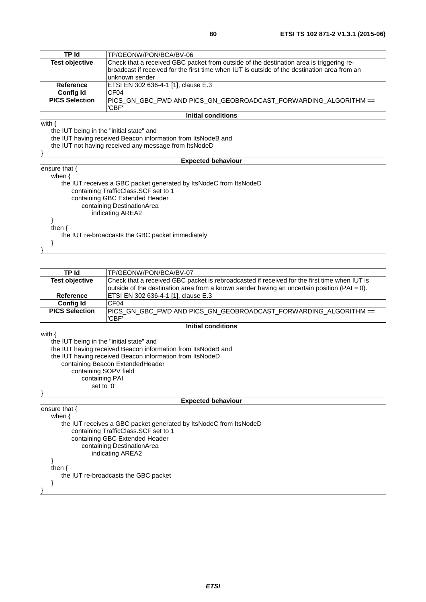| <b>TP Id</b>                                          | TP/GEONW/PON/BCA/BV-06                                                                       |  |  |
|-------------------------------------------------------|----------------------------------------------------------------------------------------------|--|--|
| <b>Test objective</b>                                 | Check that a received GBC packet from outside of the destination area is triggering re-      |  |  |
|                                                       | broadcast if received for the first time when IUT is outside of the destination area from an |  |  |
|                                                       | unknown sender                                                                               |  |  |
| <b>Reference</b>                                      | ETSI EN 302 636-4-1 [1], clause E.3                                                          |  |  |
| <b>Config Id</b>                                      | CF <sub>04</sub>                                                                             |  |  |
| <b>PICS Selection</b>                                 | 'CBF'                                                                                        |  |  |
|                                                       | <b>Initial conditions</b>                                                                    |  |  |
| with $\{$                                             |                                                                                              |  |  |
|                                                       | the IUT being in the "initial state" and                                                     |  |  |
|                                                       | the IUT having received Beacon information from ItsNodeB and                                 |  |  |
| the IUT not having received any message from ItsNodeD |                                                                                              |  |  |
|                                                       |                                                                                              |  |  |
|                                                       | <b>Expected behaviour</b>                                                                    |  |  |
| ensure that $\{$                                      |                                                                                              |  |  |
| when $\{$                                             |                                                                                              |  |  |
|                                                       | the IUT receives a GBC packet generated by ItsNodeC from ItsNodeD                            |  |  |
|                                                       | containing TrafficClass.SCF set to 1                                                         |  |  |
|                                                       | containing GBC Extended Header                                                               |  |  |
| containing DestinationArea                            |                                                                                              |  |  |
|                                                       | indicating AREA2                                                                             |  |  |
|                                                       |                                                                                              |  |  |
| then $\{$                                             |                                                                                              |  |  |
|                                                       | the IUT re-broadcasts the GBC packet immediately                                             |  |  |
|                                                       |                                                                                              |  |  |
|                                                       |                                                                                              |  |  |

| TP Id                                    | TP/GEONW/PON/BCA/BV-07                                                                          |  |
|------------------------------------------|-------------------------------------------------------------------------------------------------|--|
| <b>Test objective</b>                    | Check that a received GBC packet is rebroadcasted if received for the first time when IUT is    |  |
|                                          | outside of the destination area from a known sender having an uncertain position ( $PAI = 0$ ). |  |
| Reference                                | ETSI EN 302 636-4-1 [1], clause E.3                                                             |  |
| <b>Config Id</b>                         | CF <sub>04</sub>                                                                                |  |
| <b>PICS Selection</b>                    | PICS_GN_GBC_FWD AND PICS_GN_GEOBROADCAST_FORWARDING_ALGORITHM ==                                |  |
|                                          | 'CBF'                                                                                           |  |
|                                          | <b>Initial conditions</b>                                                                       |  |
| with $\{$                                |                                                                                                 |  |
| the IUT being in the "initial state" and |                                                                                                 |  |
|                                          | the IUT having received Beacon information from ItsNodeB and                                    |  |
|                                          | the IUT having received Beacon information from ItsNodeD                                        |  |
|                                          | containing Beacon ExtendedHeader                                                                |  |
| containing SOPV field                    |                                                                                                 |  |
| containing PAI                           |                                                                                                 |  |
| set to '0'                               |                                                                                                 |  |
|                                          |                                                                                                 |  |
|                                          | <b>Expected behaviour</b>                                                                       |  |
| ensure that $\{$                         |                                                                                                 |  |
| when $\{$                                |                                                                                                 |  |
|                                          | the IUT receives a GBC packet generated by ItsNodeC from ItsNodeD                               |  |
|                                          | containing TrafficClass.SCF set to 1                                                            |  |
| containing GBC Extended Header           |                                                                                                 |  |
| containing DestinationArea               |                                                                                                 |  |
|                                          | indicating AREA2                                                                                |  |
|                                          |                                                                                                 |  |
| then $\{$                                |                                                                                                 |  |
|                                          | the IUT re-broadcasts the GBC packet                                                            |  |
|                                          |                                                                                                 |  |
|                                          |                                                                                                 |  |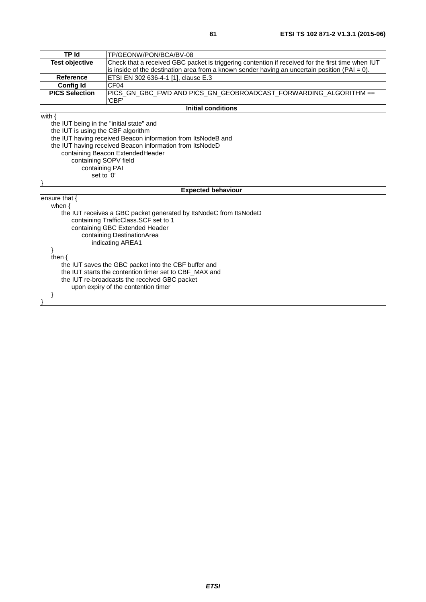| <b>TP Id</b>                                  | TP/GEONW/PON/BCA/BV-08                                                                            |  |
|-----------------------------------------------|---------------------------------------------------------------------------------------------------|--|
| <b>Test objective</b>                         | Check that a received GBC packet is triggering contention if received for the first time when IUT |  |
|                                               | is inside of the destination area from a known sender having an uncertain position $(PAI = 0)$ .  |  |
| <b>Reference</b>                              | ETSI EN 302 636-4-1 [1], clause E.3                                                               |  |
| <b>Config Id</b>                              | CF <sub>04</sub>                                                                                  |  |
| <b>PICS Selection</b>                         | PICS_GN_GBC_FWD AND PICS_GN_GEOBROADCAST_FORWARDING_ALGORITHM ==                                  |  |
|                                               | 'CBF'                                                                                             |  |
|                                               | <b>Initial conditions</b>                                                                         |  |
| with $\{$                                     |                                                                                                   |  |
| the IUT being in the "initial state" and      |                                                                                                   |  |
| the IUT is using the CBF algorithm            |                                                                                                   |  |
|                                               | the IUT having received Beacon information from ItsNodeB and                                      |  |
|                                               | the IUT having received Beacon information from ItsNodeD                                          |  |
| containing Beacon ExtendedHeader              |                                                                                                   |  |
| containing SOPV field                         |                                                                                                   |  |
| containing PAI                                |                                                                                                   |  |
|                                               | set to '0'                                                                                        |  |
|                                               |                                                                                                   |  |
|                                               | <b>Expected behaviour</b>                                                                         |  |
| ensure that {                                 |                                                                                                   |  |
| when $\{$                                     |                                                                                                   |  |
|                                               | the IUT receives a GBC packet generated by ItsNodeC from ItsNodeD                                 |  |
|                                               | containing TrafficClass.SCF set to 1                                                              |  |
|                                               | containing GBC Extended Header                                                                    |  |
|                                               | containing DestinationArea                                                                        |  |
|                                               | indicating AREA1                                                                                  |  |
|                                               |                                                                                                   |  |
| then $\{$                                     |                                                                                                   |  |
|                                               | the IUT saves the GBC packet into the CBF buffer and                                              |  |
|                                               | the IUT starts the contention timer set to CBF_MAX and                                            |  |
| the IUT re-broadcasts the received GBC packet |                                                                                                   |  |
|                                               | upon expiry of the contention timer                                                               |  |
|                                               |                                                                                                   |  |
|                                               |                                                                                                   |  |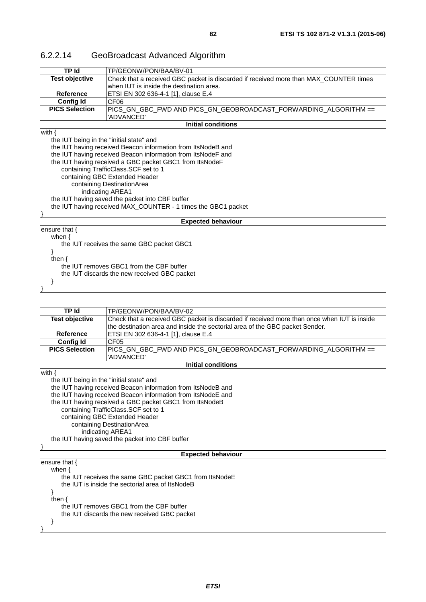| 6.2.2.14 | GeoBroadcast Advanced Algorithm |
|----------|---------------------------------|
|----------|---------------------------------|

| TP Id                                    | TP/GEONW/PON/BAA/BV-01                                                                |  |
|------------------------------------------|---------------------------------------------------------------------------------------|--|
| <b>Test objective</b>                    | Check that a received GBC packet is discarded if received more than MAX_COUNTER times |  |
|                                          | when IUT is inside the destination area.                                              |  |
| Reference                                | ETSI EN 302 636-4-1 [1], clause E.4                                                   |  |
| <b>Config Id</b>                         | CF06                                                                                  |  |
| <b>PICS Selection</b>                    | PICS_GN_GBC_FWD AND PICS_GN_GEOBROADCAST_FORWARDING_ALGORITHM ==                      |  |
|                                          | 'ADVANCED'                                                                            |  |
|                                          | Initial conditions                                                                    |  |
| with $\{$                                |                                                                                       |  |
| the IUT being in the "initial state" and |                                                                                       |  |
|                                          | the IUT having received Beacon information from ItsNodeB and                          |  |
|                                          | the IUT having received Beacon information from ItsNodeF and                          |  |
|                                          | the IUT having received a GBC packet GBC1 from ItsNodeF                               |  |
|                                          | containing TrafficClass.SCF set to 1                                                  |  |
|                                          | containing GBC Extended Header                                                        |  |
|                                          | containing DestinationArea                                                            |  |
| indicating AREA1                         |                                                                                       |  |
|                                          | the IUT having saved the packet into CBF buffer                                       |  |
|                                          | the IUT having received MAX COUNTER - 1 times the GBC1 packet                         |  |
|                                          |                                                                                       |  |
|                                          | <b>Expected behaviour</b>                                                             |  |
| ensure that $\{$                         |                                                                                       |  |
| when $\{$                                |                                                                                       |  |
|                                          | the IUT receives the same GBC packet GBC1                                             |  |
|                                          |                                                                                       |  |
| then $\{$                                |                                                                                       |  |
|                                          | the IUT removes GBC1 from the CBF buffer                                              |  |
|                                          | the IUT discards the new received GBC packet                                          |  |

}

}

| <b>TP Id</b>                                            | TP/GEONW/PON/BAA/BV-02                                                                      |  |
|---------------------------------------------------------|---------------------------------------------------------------------------------------------|--|
| <b>Test objective</b>                                   | Check that a received GBC packet is discarded if received more than once when IUT is inside |  |
|                                                         | the destination area and inside the sectorial area of the GBC packet Sender.                |  |
| Reference                                               | ETSI EN 302 636-4-1 [1], clause E.4                                                         |  |
| <b>Config Id</b>                                        | CF <sub>05</sub>                                                                            |  |
| <b>PICS Selection</b>                                   | PICS_GN_GBC_FWD AND PICS_GN_GEOBROADCAST_FORWARDING_ALGORITHM ==                            |  |
|                                                         | 'ADVANCED'                                                                                  |  |
|                                                         | <b>Initial conditions</b>                                                                   |  |
| with $\{$                                               |                                                                                             |  |
| the IUT being in the "initial state" and                |                                                                                             |  |
|                                                         | the IUT having received Beacon information from ItsNodeB and                                |  |
|                                                         | the IUT having received Beacon information from ItsNodeE and                                |  |
|                                                         | the IUT having received a GBC packet GBC1 from ItsNodeB                                     |  |
|                                                         | containing TrafficClass. SCF set to 1                                                       |  |
|                                                         | containing GBC Extended Header                                                              |  |
|                                                         | containing DestinationArea                                                                  |  |
|                                                         | indicating AREA1                                                                            |  |
|                                                         | the IUT having saved the packet into CBF buffer                                             |  |
|                                                         |                                                                                             |  |
|                                                         | <b>Expected behaviour</b>                                                                   |  |
| ensure that $\{$                                        |                                                                                             |  |
| when $\{$                                               |                                                                                             |  |
| the IUT receives the same GBC packet GBC1 from ItsNodeE |                                                                                             |  |
| the IUT is inside the sectorial area of ItsNodeB        |                                                                                             |  |
|                                                         |                                                                                             |  |
| then $\{$                                               |                                                                                             |  |
|                                                         | the IUT removes GBC1 from the CBF buffer                                                    |  |
|                                                         | the IUT discards the new received GBC packet                                                |  |
|                                                         |                                                                                             |  |
|                                                         |                                                                                             |  |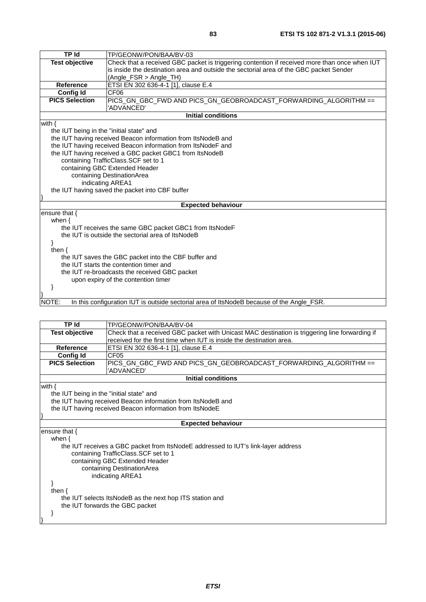| TP Id                                                   | TP/GEONW/PON/BAA/BV-03                                                                        |  |
|---------------------------------------------------------|-----------------------------------------------------------------------------------------------|--|
| <b>Test objective</b>                                   | Check that a received GBC packet is triggering contention if received more than once when IUT |  |
|                                                         | is inside the destination area and outside the sectorial area of the GBC packet Sender        |  |
|                                                         | (Angle_FSR > Angle_TH)                                                                        |  |
| <b>Reference</b>                                        | ETSI EN 302 636-4-1 [1], clause E.4                                                           |  |
| <b>Config Id</b>                                        | CF <sub>06</sub>                                                                              |  |
| <b>PICS Selection</b>                                   | PICS GN GBC FWD AND PICS GN GEOBROADCAST FORWARDING ALGORITHM ==<br>'ADVANCED'                |  |
|                                                         | <b>Initial conditions</b>                                                                     |  |
| with $\{$                                               |                                                                                               |  |
| the IUT being in the "initial state" and                |                                                                                               |  |
|                                                         | the IUT having received Beacon information from ItsNodeB and                                  |  |
|                                                         | the IUT having received Beacon information from ItsNodeF and                                  |  |
| the IUT having received a GBC packet GBC1 from ItsNodeB |                                                                                               |  |
| containing TrafficClass.SCF set to 1                    |                                                                                               |  |
| containing GBC Extended Header                          |                                                                                               |  |
|                                                         | containing DestinationArea                                                                    |  |
|                                                         | indicating AREA1                                                                              |  |
| the IUT having saved the packet into CBF buffer         |                                                                                               |  |
|                                                         |                                                                                               |  |
|                                                         | <b>Expected behaviour</b>                                                                     |  |
| ensure that $\{$                                        |                                                                                               |  |
| when $\{$                                               |                                                                                               |  |
|                                                         | the IUT receives the same GBC packet GBC1 from ItsNodeF                                       |  |
|                                                         | the IUT is outside the sectorial area of ItsNodeB                                             |  |
|                                                         |                                                                                               |  |
|                                                         | then $\{$                                                                                     |  |
| the IUT saves the GBC packet into the CBF buffer and    |                                                                                               |  |
| the IUT starts the contention timer and                 |                                                                                               |  |
| the IUT re-broadcasts the received GBC packet           |                                                                                               |  |
|                                                         | upon expiry of the contention timer                                                           |  |
|                                                         |                                                                                               |  |
|                                                         |                                                                                               |  |
| NOTE:                                                   | In this configuration IUT is outside sectorial area of ItsNodeB because of the Angle_FSR.     |  |

| TP Id                                                    | TP/GEONW/PON/BAA/BV-04                                                                         |  |
|----------------------------------------------------------|------------------------------------------------------------------------------------------------|--|
| <b>Test objective</b>                                    | Check that a received GBC packet with Unicast MAC destination is triggering line forwarding if |  |
|                                                          | received for the first time when IUT is inside the destination area.                           |  |
| Reference                                                | ETSI EN 302 636-4-1 [1], clause E.4                                                            |  |
| <b>Config Id</b>                                         | CF <sub>05</sub>                                                                               |  |
| <b>PICS Selection</b>                                    | PICS_GN_GBC_FWD AND PICS_GN_GEOBROADCAST_FORWARDING_ALGORITHM ==                               |  |
|                                                          | 'ADVANCED'                                                                                     |  |
|                                                          | <b>Initial conditions</b>                                                                      |  |
| with $\{$                                                |                                                                                                |  |
| the IUT being in the "initial state" and                 |                                                                                                |  |
|                                                          | the IUT having received Beacon information from ItsNodeB and                                   |  |
| the IUT having received Beacon information from ItsNodeE |                                                                                                |  |
|                                                          |                                                                                                |  |
|                                                          | <b>Expected behaviour</b>                                                                      |  |
| ensure that $\{$                                         |                                                                                                |  |
| when $\{$                                                |                                                                                                |  |
|                                                          | the IUT receives a GBC packet from ItsNodeE addressed to IUT's link-layer address              |  |
|                                                          | containing TrafficClass.SCF set to 1                                                           |  |
|                                                          | containing GBC Extended Header                                                                 |  |
|                                                          | containing DestinationArea                                                                     |  |
|                                                          | indicating AREA1                                                                               |  |
|                                                          |                                                                                                |  |
| then $\{$                                                |                                                                                                |  |
|                                                          | the IUT selects ItsNodeB as the next hop ITS station and                                       |  |
|                                                          | the IUT forwards the GBC packet                                                                |  |
|                                                          |                                                                                                |  |
|                                                          |                                                                                                |  |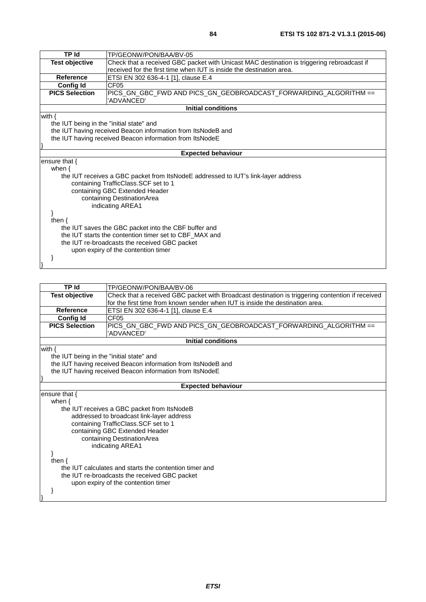| TP Id                                                    | TP/GEONW/PON/BAA/BV-05                                                                     |  |
|----------------------------------------------------------|--------------------------------------------------------------------------------------------|--|
| <b>Test objective</b>                                    | Check that a received GBC packet with Unicast MAC destination is triggering rebroadcast if |  |
|                                                          | received for the first time when IUT is inside the destination area.                       |  |
| Reference                                                | ETSI EN 302 636-4-1 [1], clause E.4                                                        |  |
| <b>Config Id</b>                                         | CF <sub>05</sub>                                                                           |  |
| <b>PICS Selection</b>                                    | PICS GN GBC FWD AND PICS GN GEOBROADCAST FORWARDING ALGORITHM ==                           |  |
|                                                          | 'ADVANCED'                                                                                 |  |
|                                                          | <b>Initial conditions</b>                                                                  |  |
| with $\{$                                                |                                                                                            |  |
| the IUT being in the "initial state" and                 |                                                                                            |  |
|                                                          | the IUT having received Beacon information from ItsNodeB and                               |  |
| the IUT having received Beacon information from ItsNodeE |                                                                                            |  |
|                                                          |                                                                                            |  |
|                                                          | <b>Expected behaviour</b>                                                                  |  |
| ensure that {                                            |                                                                                            |  |
| when $\{$                                                |                                                                                            |  |
|                                                          | the IUT receives a GBC packet from ItsNodeE addressed to IUT's link-layer address          |  |
|                                                          | containing TrafficClass.SCF set to 1                                                       |  |
|                                                          | containing GBC Extended Header                                                             |  |
|                                                          | containing DestinationArea                                                                 |  |
|                                                          | indicating AREA1                                                                           |  |
|                                                          |                                                                                            |  |
| then $\{$                                                |                                                                                            |  |
|                                                          | the IUT saves the GBC packet into the CBF buffer and                                       |  |
|                                                          | the IUT starts the contention timer set to CBF_MAX and                                     |  |
|                                                          | the IUT re-broadcasts the received GBC packet                                              |  |
|                                                          | upon expiry of the contention timer                                                        |  |
|                                                          |                                                                                            |  |
|                                                          |                                                                                            |  |

| TP Id                                                    | TP/GEONW/PON/BAA/BV-06                                                                           |  |
|----------------------------------------------------------|--------------------------------------------------------------------------------------------------|--|
| <b>Test objective</b>                                    | Check that a received GBC packet with Broadcast destination is triggering contention if received |  |
|                                                          | for the first time from known sender when IUT is inside the destination area.                    |  |
| <b>Reference</b>                                         | ETSI EN 302 636-4-1 [1], clause E.4                                                              |  |
| <b>Config Id</b>                                         | CF <sub>05</sub>                                                                                 |  |
| <b>PICS Selection</b>                                    | PICS_GN_GBC_FWD AND PICS_GN_GEOBROADCAST_FORWARDING_ALGORITHM ==                                 |  |
|                                                          | 'ADVANCED'                                                                                       |  |
|                                                          | <b>Initial conditions</b>                                                                        |  |
| with $\{$                                                |                                                                                                  |  |
| the IUT being in the "initial state" and                 |                                                                                                  |  |
|                                                          | the IUT having received Beacon information from ItsNodeB and                                     |  |
| the IUT having received Beacon information from ItsNodeE |                                                                                                  |  |
|                                                          |                                                                                                  |  |
| <b>Expected behaviour</b>                                |                                                                                                  |  |
| ensure that $\{$                                         |                                                                                                  |  |
| when $\{$                                                |                                                                                                  |  |
|                                                          | the IUT receives a GBC packet from ItsNodeB                                                      |  |
|                                                          | addressed to broadcast link-layer address                                                        |  |
|                                                          | containing TrafficClass.SCF set to 1                                                             |  |
|                                                          | containing GBC Extended Header                                                                   |  |
|                                                          | containing DestinationArea                                                                       |  |
|                                                          | indicating AREA1                                                                                 |  |
|                                                          |                                                                                                  |  |
| then $\{$                                                |                                                                                                  |  |
| the IUT calculates and starts the contention timer and   |                                                                                                  |  |
|                                                          | the IUT re-broadcasts the received GBC packet                                                    |  |
|                                                          | upon expiry of the contention timer                                                              |  |
|                                                          |                                                                                                  |  |
|                                                          |                                                                                                  |  |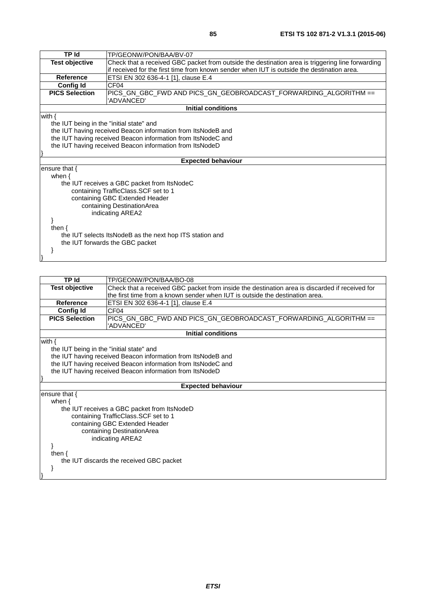| TP Id                                                    | TP/GEONW/PON/BAA/BV-07                                                                           |  |
|----------------------------------------------------------|--------------------------------------------------------------------------------------------------|--|
| <b>Test objective</b>                                    | Check that a received GBC packet from outside the destination area is triggering line forwarding |  |
|                                                          | if received for the first time from known sender when IUT is outside the destination area.       |  |
| Reference                                                | ETSI EN 302 636-4-1 [1], clause E.4                                                              |  |
| CF <sub>04</sub><br><b>Config Id</b>                     |                                                                                                  |  |
| <b>PICS Selection</b>                                    | PICS_GN_GBC_FWD AND PICS_GN_GEOBROADCAST_FORWARDING_ALGORITHM ==                                 |  |
|                                                          | 'ADVANCED'                                                                                       |  |
|                                                          | <b>Initial conditions</b>                                                                        |  |
| with $\{$                                                |                                                                                                  |  |
| the IUT being in the "initial state" and                 |                                                                                                  |  |
|                                                          | the IUT having received Beacon information from ItsNodeB and                                     |  |
|                                                          | the IUT having received Beacon information from ItsNodeC and                                     |  |
| the IUT having received Beacon information from ItsNodeD |                                                                                                  |  |
|                                                          |                                                                                                  |  |
|                                                          | <b>Expected behaviour</b>                                                                        |  |
| ensure that $\{$                                         |                                                                                                  |  |
| when $\{$                                                |                                                                                                  |  |
|                                                          | the IUT receives a GBC packet from ItsNodeC                                                      |  |
|                                                          | containing TrafficClass.SCF set to 1                                                             |  |
|                                                          | containing GBC Extended Header                                                                   |  |
|                                                          | containing DestinationArea                                                                       |  |
| indicating AREA2                                         |                                                                                                  |  |
|                                                          |                                                                                                  |  |
| then {                                                   |                                                                                                  |  |
|                                                          | the IUT selects ItsNodeB as the next hop ITS station and                                         |  |
| the IUT forwards the GBC packet                          |                                                                                                  |  |
|                                                          |                                                                                                  |  |
|                                                          |                                                                                                  |  |

| <b>TP Id</b>                             | TP/GEONW/PON/BAA/BO-08                                                                         |  |  |  |
|------------------------------------------|------------------------------------------------------------------------------------------------|--|--|--|
| <b>Test objective</b>                    | Check that a received GBC packet from inside the destination area is discarded if received for |  |  |  |
|                                          | the first time from a known sender when IUT is outside the destination area.                   |  |  |  |
| <b>Reference</b>                         | ETSI EN 302 636-4-1 [1], clause E.4                                                            |  |  |  |
| <b>Config Id</b>                         | CF <sub>04</sub>                                                                               |  |  |  |
| <b>PICS Selection</b>                    | PICS GN GBC FWD AND PICS GN GEOBROADCAST FORWARDING ALGORITHM ==                               |  |  |  |
|                                          | 'ADVANCED'                                                                                     |  |  |  |
|                                          | <b>Initial conditions</b>                                                                      |  |  |  |
| with $\{$                                |                                                                                                |  |  |  |
|                                          | the IUT being in the "initial state" and                                                       |  |  |  |
|                                          | the IUT having received Beacon information from ItsNodeB and                                   |  |  |  |
|                                          | the IUT having received Beacon information from ItsNodeC and                                   |  |  |  |
|                                          | the IUT having received Beacon information from ItsNodeD                                       |  |  |  |
|                                          |                                                                                                |  |  |  |
|                                          | <b>Expected behaviour</b>                                                                      |  |  |  |
| ensure that {                            |                                                                                                |  |  |  |
| when $\{$                                |                                                                                                |  |  |  |
|                                          | the IUT receives a GBC packet from ItsNodeD                                                    |  |  |  |
|                                          | containing TrafficClass. SCF set to 1                                                          |  |  |  |
| containing GBC Extended Header           |                                                                                                |  |  |  |
| containing DestinationArea               |                                                                                                |  |  |  |
|                                          | indicating AREA2                                                                               |  |  |  |
|                                          |                                                                                                |  |  |  |
| then $\{$                                |                                                                                                |  |  |  |
| the IUT discards the received GBC packet |                                                                                                |  |  |  |
|                                          |                                                                                                |  |  |  |
|                                          |                                                                                                |  |  |  |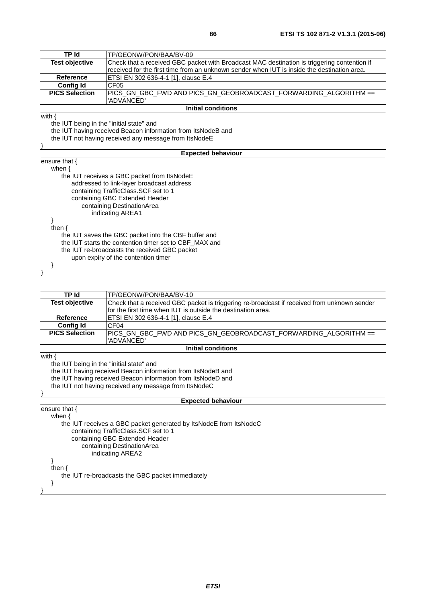| <b>TP Id</b>                                           | TP/GEONW/PON/BAA/BV-09                                                                      |  |  |  |
|--------------------------------------------------------|---------------------------------------------------------------------------------------------|--|--|--|
| <b>Test objective</b>                                  | Check that a received GBC packet with Broadcast MAC destination is triggering contention if |  |  |  |
|                                                        | received for the first time from an unknown sender when IUT is inside the destination area. |  |  |  |
| <b>Reference</b>                                       | ETSI EN 302 636-4-1 [1], clause E.4                                                         |  |  |  |
| <b>Config Id</b>                                       | CF <sub>05</sub>                                                                            |  |  |  |
| <b>PICS Selection</b>                                  | PICS_GN_GBC_FWD AND PICS_GN_GEOBROADCAST_FORWARDING_ALGORITHM ==                            |  |  |  |
|                                                        | 'ADVANCED'                                                                                  |  |  |  |
|                                                        | <b>Initial conditions</b>                                                                   |  |  |  |
| with $\{$                                              |                                                                                             |  |  |  |
| the IUT being in the "initial state" and               |                                                                                             |  |  |  |
|                                                        | the IUT having received Beacon information from ItsNodeB and                                |  |  |  |
|                                                        | the IUT not having received any message from ItsNodeE                                       |  |  |  |
|                                                        |                                                                                             |  |  |  |
|                                                        | <b>Expected behaviour</b>                                                                   |  |  |  |
| ensure that $\{$                                       |                                                                                             |  |  |  |
| when $\{$                                              |                                                                                             |  |  |  |
|                                                        | the IUT receives a GBC packet from ItsNodeE                                                 |  |  |  |
|                                                        | addressed to link-layer broadcast address                                                   |  |  |  |
|                                                        | containing TrafficClass.SCF set to 1                                                        |  |  |  |
|                                                        | containing GBC Extended Header                                                              |  |  |  |
|                                                        | containing DestinationArea                                                                  |  |  |  |
|                                                        | indicating AREA1                                                                            |  |  |  |
|                                                        |                                                                                             |  |  |  |
| then $\{$                                              |                                                                                             |  |  |  |
| the IUT saves the GBC packet into the CBF buffer and   |                                                                                             |  |  |  |
| the IUT starts the contention timer set to CBF_MAX and |                                                                                             |  |  |  |
| the IUT re-broadcasts the received GBC packet          |                                                                                             |  |  |  |
| upon expiry of the contention timer                    |                                                                                             |  |  |  |
|                                                        |                                                                                             |  |  |  |
|                                                        |                                                                                             |  |  |  |

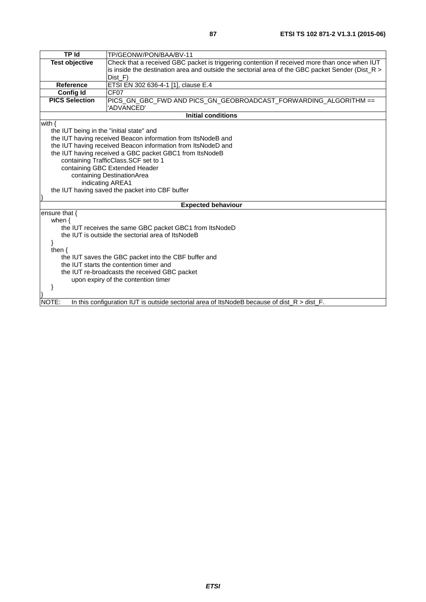| <b>TP Id</b>                                  | TP/GEONW/PON/BAA/BV-11                                                                             |  |  |  |
|-----------------------------------------------|----------------------------------------------------------------------------------------------------|--|--|--|
| <b>Test objective</b>                         | Check that a received GBC packet is triggering contention if received more than once when IUT      |  |  |  |
|                                               | is inside the destination area and outside the sectorial area of the GBC packet Sender (Dist_R $>$ |  |  |  |
|                                               | Dist_F)                                                                                            |  |  |  |
| <b>Reference</b>                              | ETSI EN 302 636-4-1 [1], clause E.4                                                                |  |  |  |
| Config Id                                     | CF <sub>07</sub>                                                                                   |  |  |  |
| <b>PICS Selection</b>                         | PICS_GN_GBC_FWD AND PICS_GN_GEOBROADCAST_FORWARDING_ALGORITHM ==                                   |  |  |  |
|                                               | 'ADVANCED'                                                                                         |  |  |  |
|                                               | <b>Initial conditions</b>                                                                          |  |  |  |
| with $\{$                                     |                                                                                                    |  |  |  |
| the IUT being in the "initial state" and      |                                                                                                    |  |  |  |
|                                               | the IUT having received Beacon information from ItsNodeB and                                       |  |  |  |
|                                               | the IUT having received Beacon information from ItsNodeD and                                       |  |  |  |
|                                               | the IUT having received a GBC packet GBC1 from ItsNodeB                                            |  |  |  |
|                                               | containing TrafficClass.SCF set to 1                                                               |  |  |  |
|                                               | containing GBC Extended Header                                                                     |  |  |  |
|                                               | containing DestinationArea                                                                         |  |  |  |
|                                               | indicating AREA1                                                                                   |  |  |  |
|                                               | the IUT having saved the packet into CBF buffer                                                    |  |  |  |
|                                               |                                                                                                    |  |  |  |
|                                               | <b>Expected behaviour</b>                                                                          |  |  |  |
| ensure that {                                 |                                                                                                    |  |  |  |
| when $\{$                                     |                                                                                                    |  |  |  |
|                                               | the IUT receives the same GBC packet GBC1 from ItsNodeD                                            |  |  |  |
|                                               | the IUT is outside the sectorial area of ItsNodeB                                                  |  |  |  |
|                                               |                                                                                                    |  |  |  |
| then $\{$                                     |                                                                                                    |  |  |  |
|                                               | the IUT saves the GBC packet into the CBF buffer and                                               |  |  |  |
| the IUT starts the contention timer and       |                                                                                                    |  |  |  |
| the IUT re-broadcasts the received GBC packet |                                                                                                    |  |  |  |
| upon expiry of the contention timer           |                                                                                                    |  |  |  |
|                                               |                                                                                                    |  |  |  |
|                                               |                                                                                                    |  |  |  |
| NOTE:                                         | In this configuration IUT is outside sectorial area of ItsNodeB because of dist $R >$ dist $F$ .   |  |  |  |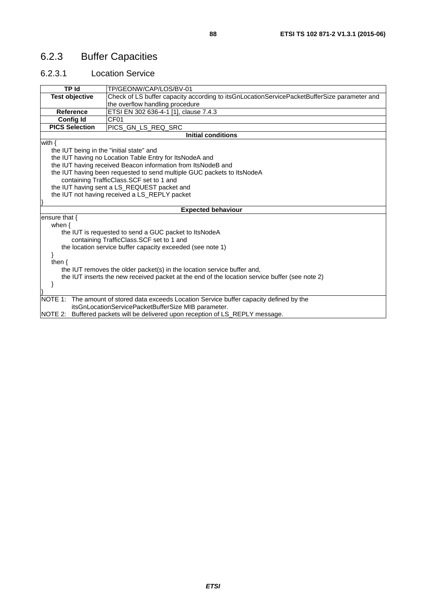# 6.2.3 Buffer Capacities

#### 6.2.3.1 Location Service

| TP Id                                                   | TP/GEONW/CAP/LOS/BV-01                                                                         |  |  |  |
|---------------------------------------------------------|------------------------------------------------------------------------------------------------|--|--|--|
| <b>Test objective</b>                                   | Check of LS buffer capacity according to itsGnLocationServicePacketBufferSize parameter and    |  |  |  |
|                                                         | the overflow handling procedure                                                                |  |  |  |
| <b>Reference</b>                                        | ETSI EN 302 636-4-1 [1], clause 7.4.3                                                          |  |  |  |
| <b>Config Id</b>                                        | CF <sub>01</sub>                                                                               |  |  |  |
| <b>PICS Selection</b>                                   | PICS GN LS REQ SRC                                                                             |  |  |  |
|                                                         | <b>Initial conditions</b>                                                                      |  |  |  |
| with $\{$                                               |                                                                                                |  |  |  |
| the IUT being in the "initial state" and                |                                                                                                |  |  |  |
| the IUT having no Location Table Entry for ItsNodeA and |                                                                                                |  |  |  |
|                                                         | the IUT having received Beacon information from ItsNodeB and                                   |  |  |  |
|                                                         | the IUT having been requested to send multiple GUC packets to ItsNodeA                         |  |  |  |
|                                                         | containing TrafficClass.SCF set to 1 and                                                       |  |  |  |
|                                                         | the IUT having sent a LS_REQUEST packet and                                                    |  |  |  |
|                                                         | the IUT not having received a LS_REPLY packet                                                  |  |  |  |
|                                                         |                                                                                                |  |  |  |
|                                                         | <b>Expected behaviour</b>                                                                      |  |  |  |
| ensure that $\{$                                        |                                                                                                |  |  |  |
| when $\{$                                               |                                                                                                |  |  |  |
|                                                         | the IUT is requested to send a GUC packet to ItsNodeA                                          |  |  |  |
|                                                         | containing TrafficClass.SCF set to 1 and                                                       |  |  |  |
|                                                         | the location service buffer capacity exceeded (see note 1)                                     |  |  |  |
|                                                         |                                                                                                |  |  |  |
| then $\{$                                               |                                                                                                |  |  |  |
|                                                         | the IUT removes the older packet(s) in the location service buffer and,                        |  |  |  |
|                                                         | the IUT inserts the new received packet at the end of the location service buffer (see note 2) |  |  |  |
|                                                         |                                                                                                |  |  |  |
|                                                         |                                                                                                |  |  |  |
|                                                         | NOTE 1: The amount of stored data exceeds Location Service buffer capacity defined by the      |  |  |  |
|                                                         | itsGnLocationServicePacketBufferSize MIB parameter.                                            |  |  |  |
|                                                         | NOTE 2: Buffered packets will be delivered upon reception of LS_REPLY message.                 |  |  |  |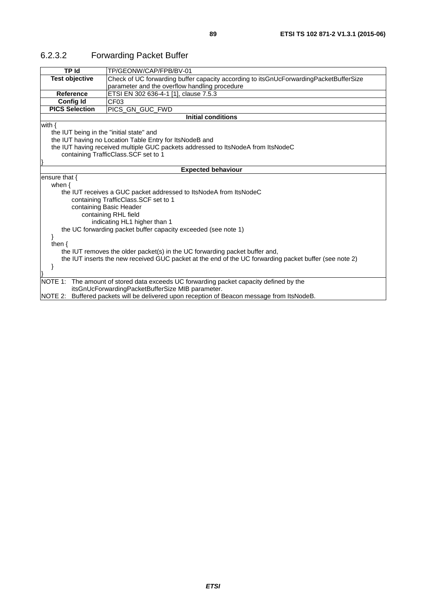| TP Id                                                                                                          | TP/GEONW/CAP/FPB/BV-01                                                                                 |  |  |  |
|----------------------------------------------------------------------------------------------------------------|--------------------------------------------------------------------------------------------------------|--|--|--|
| <b>Test objective</b><br>Check of UC forwarding buffer capacity according to itsGnUcForwardingPacketBufferSize |                                                                                                        |  |  |  |
|                                                                                                                | parameter and the overflow handling procedure                                                          |  |  |  |
| <b>Reference</b>                                                                                               | ETSI EN 302 636-4-1 [1], clause 7.5.3                                                                  |  |  |  |
| <b>Config Id</b>                                                                                               | CF <sub>03</sub>                                                                                       |  |  |  |
| <b>PICS Selection</b><br>PICS_GN_GUC_FWD                                                                       |                                                                                                        |  |  |  |
|                                                                                                                | <b>Initial conditions</b>                                                                              |  |  |  |
| with $\{$                                                                                                      |                                                                                                        |  |  |  |
|                                                                                                                | the IUT being in the "initial state" and                                                               |  |  |  |
|                                                                                                                | the IUT having no Location Table Entry for ItsNodeB and                                                |  |  |  |
|                                                                                                                | the IUT having received multiple GUC packets addressed to ItsNodeA from ItsNodeC                       |  |  |  |
| containing TrafficClass.SCF set to 1                                                                           |                                                                                                        |  |  |  |
|                                                                                                                |                                                                                                        |  |  |  |
| <b>Expected behaviour</b>                                                                                      |                                                                                                        |  |  |  |
| ensure that $\{$                                                                                               |                                                                                                        |  |  |  |
| when $\{$                                                                                                      |                                                                                                        |  |  |  |
|                                                                                                                | the IUT receives a GUC packet addressed to ItsNodeA from ItsNodeC                                      |  |  |  |
|                                                                                                                | containing TrafficClass.SCF set to 1                                                                   |  |  |  |
|                                                                                                                | containing Basic Header                                                                                |  |  |  |
|                                                                                                                | containing RHL field                                                                                   |  |  |  |
|                                                                                                                | indicating HL1 higher than 1                                                                           |  |  |  |
|                                                                                                                | the UC forwarding packet buffer capacity exceeded (see note 1)                                         |  |  |  |
| ł                                                                                                              |                                                                                                        |  |  |  |
| then $\{$                                                                                                      |                                                                                                        |  |  |  |
|                                                                                                                | the IUT removes the older packet(s) in the UC forwarding packet buffer and,                            |  |  |  |
|                                                                                                                | the IUT inserts the new received GUC packet at the end of the UC forwarding packet buffer (see note 2) |  |  |  |
| ł                                                                                                              |                                                                                                        |  |  |  |
|                                                                                                                |                                                                                                        |  |  |  |
|                                                                                                                | NOTE 1: The amount of stored data exceeds UC forwarding packet capacity defined by the                 |  |  |  |
|                                                                                                                | itsGnUcForwardingPacketBufferSize MIB parameter.                                                       |  |  |  |
|                                                                                                                | NOTE 2: Buffered packets will be delivered upon reception of Beacon message from ItsNodeB.             |  |  |  |

### 6.2.3.2 Forwarding Packet Buffer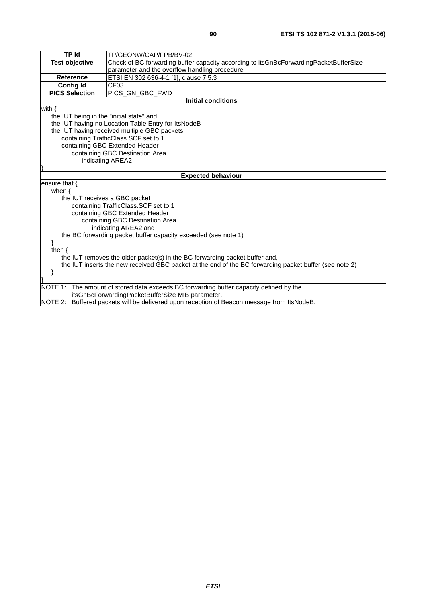| <b>TP Id</b>                                                                                           | TP/GEONW/CAP/FPB/BV-02                                                                     |  |  |  |
|--------------------------------------------------------------------------------------------------------|--------------------------------------------------------------------------------------------|--|--|--|
| <b>Test objective</b>                                                                                  | Check of BC forwarding buffer capacity according to itsGnBcForwardingPacketBufferSize      |  |  |  |
|                                                                                                        | parameter and the overflow handling procedure                                              |  |  |  |
| <b>Reference</b>                                                                                       | ETSI EN 302 636-4-1 [1], clause 7.5.3                                                      |  |  |  |
| <b>Config Id</b>                                                                                       | CF <sub>03</sub>                                                                           |  |  |  |
| <b>PICS Selection</b>                                                                                  | PICS GN GBC FWD                                                                            |  |  |  |
|                                                                                                        | <b>Initial conditions</b>                                                                  |  |  |  |
| with $\{$                                                                                              |                                                                                            |  |  |  |
| the IUT being in the "initial state" and                                                               |                                                                                            |  |  |  |
|                                                                                                        | the IUT having no Location Table Entry for ItsNodeB                                        |  |  |  |
|                                                                                                        | the IUT having received multiple GBC packets                                               |  |  |  |
|                                                                                                        | containing TrafficClass.SCF set to 1                                                       |  |  |  |
|                                                                                                        | containing GBC Extended Header                                                             |  |  |  |
|                                                                                                        | containing GBC Destination Area                                                            |  |  |  |
|                                                                                                        | indicating AREA2                                                                           |  |  |  |
|                                                                                                        |                                                                                            |  |  |  |
|                                                                                                        | <b>Expected behaviour</b>                                                                  |  |  |  |
| ensure that $\{$                                                                                       |                                                                                            |  |  |  |
| when $\{$<br>the IUT receives a GBC packet                                                             |                                                                                            |  |  |  |
|                                                                                                        | containing TrafficClass.SCF set to 1                                                       |  |  |  |
|                                                                                                        | containing GBC Extended Header                                                             |  |  |  |
|                                                                                                        | containing GBC Destination Area                                                            |  |  |  |
|                                                                                                        | indicating AREA2 and                                                                       |  |  |  |
|                                                                                                        | the BC forwarding packet buffer capacity exceeded (see note 1)                             |  |  |  |
|                                                                                                        |                                                                                            |  |  |  |
| then $\{$                                                                                              |                                                                                            |  |  |  |
| the IUT removes the older packet(s) in the BC forwarding packet buffer and,                            |                                                                                            |  |  |  |
| the IUT inserts the new received GBC packet at the end of the BC forwarding packet buffer (see note 2) |                                                                                            |  |  |  |
|                                                                                                        |                                                                                            |  |  |  |
|                                                                                                        |                                                                                            |  |  |  |
|                                                                                                        | NOTE 1: The amount of stored data exceeds BC forwarding buffer capacity defined by the     |  |  |  |
| itsGnBcForwardingPacketBufferSize MIB parameter.                                                       |                                                                                            |  |  |  |
|                                                                                                        | NOTE 2: Buffered packets will be delivered upon reception of Beacon message from ItsNodeB. |  |  |  |